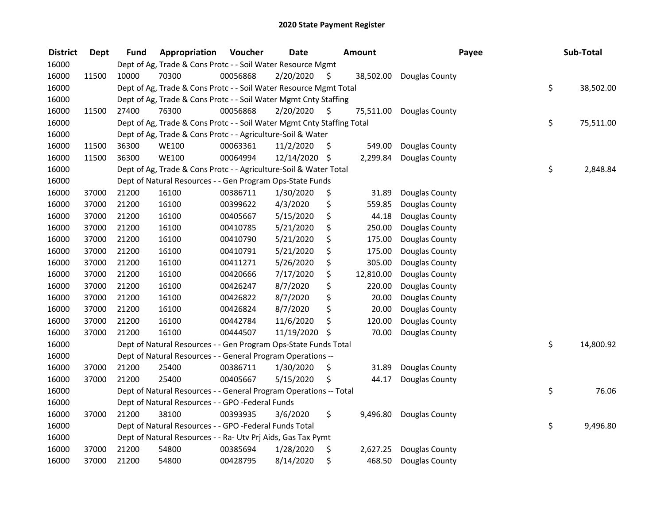| <b>District</b> | <b>Dept</b> | <b>Fund</b> | Appropriation                                                          | Voucher  | <b>Date</b>   |     | Amount    | Payee          | Sub-Total       |
|-----------------|-------------|-------------|------------------------------------------------------------------------|----------|---------------|-----|-----------|----------------|-----------------|
| 16000           |             |             | Dept of Ag, Trade & Cons Protc - - Soil Water Resource Mgmt            |          |               |     |           |                |                 |
| 16000           | 11500       | 10000       | 70300                                                                  | 00056868 | 2/20/2020     | -\$ | 38,502.00 | Douglas County |                 |
| 16000           |             |             | Dept of Ag, Trade & Cons Protc - - Soil Water Resource Mgmt Total      |          |               |     |           |                | \$<br>38,502.00 |
| 16000           |             |             | Dept of Ag, Trade & Cons Protc - - Soil Water Mgmt Cnty Staffing       |          |               |     |           |                |                 |
| 16000           | 11500       | 27400       | 76300                                                                  | 00056868 | 2/20/2020     | -S  | 75,511.00 | Douglas County |                 |
| 16000           |             |             | Dept of Ag, Trade & Cons Protc - - Soil Water Mgmt Cnty Staffing Total |          |               |     |           |                | \$<br>75,511.00 |
| 16000           |             |             | Dept of Ag, Trade & Cons Protc - - Agriculture-Soil & Water            |          |               |     |           |                |                 |
| 16000           | 11500       | 36300       | <b>WE100</b>                                                           | 00063361 | 11/2/2020     | \$  | 549.00    | Douglas County |                 |
| 16000           | 11500       | 36300       | <b>WE100</b>                                                           | 00064994 | 12/14/2020 \$ |     | 2,299.84  | Douglas County |                 |
| 16000           |             |             | Dept of Ag, Trade & Cons Protc - - Agriculture-Soil & Water Total      |          |               |     |           |                | \$<br>2,848.84  |
| 16000           |             |             | Dept of Natural Resources - - Gen Program Ops-State Funds              |          |               |     |           |                |                 |
| 16000           | 37000       | 21200       | 16100                                                                  | 00386711 | 1/30/2020     | \$  | 31.89     | Douglas County |                 |
| 16000           | 37000       | 21200       | 16100                                                                  | 00399622 | 4/3/2020      | \$  | 559.85    | Douglas County |                 |
| 16000           | 37000       | 21200       | 16100                                                                  | 00405667 | 5/15/2020     | \$  | 44.18     | Douglas County |                 |
| 16000           | 37000       | 21200       | 16100                                                                  | 00410785 | 5/21/2020     | \$  | 250.00    | Douglas County |                 |
| 16000           | 37000       | 21200       | 16100                                                                  | 00410790 | 5/21/2020     | \$  | 175.00    | Douglas County |                 |
| 16000           | 37000       | 21200       | 16100                                                                  | 00410791 | 5/21/2020     | \$  | 175.00    | Douglas County |                 |
| 16000           | 37000       | 21200       | 16100                                                                  | 00411271 | 5/26/2020     | \$  | 305.00    | Douglas County |                 |
| 16000           | 37000       | 21200       | 16100                                                                  | 00420666 | 7/17/2020     | \$  | 12,810.00 | Douglas County |                 |
| 16000           | 37000       | 21200       | 16100                                                                  | 00426247 | 8/7/2020      | \$  | 220.00    | Douglas County |                 |
| 16000           | 37000       | 21200       | 16100                                                                  | 00426822 | 8/7/2020      | \$  | 20.00     | Douglas County |                 |
| 16000           | 37000       | 21200       | 16100                                                                  | 00426824 | 8/7/2020      | \$  | 20.00     | Douglas County |                 |
| 16000           | 37000       | 21200       | 16100                                                                  | 00442784 | 11/6/2020     | \$  | 120.00    | Douglas County |                 |
| 16000           | 37000       | 21200       | 16100                                                                  | 00444507 | 11/19/2020    | \$  | 70.00     | Douglas County |                 |
| 16000           |             |             | Dept of Natural Resources - - Gen Program Ops-State Funds Total        |          |               |     |           |                | \$<br>14,800.92 |
| 16000           |             |             | Dept of Natural Resources - - General Program Operations --            |          |               |     |           |                |                 |
| 16000           | 37000       | 21200       | 25400                                                                  | 00386711 | 1/30/2020     | \$  | 31.89     | Douglas County |                 |
| 16000           | 37000       | 21200       | 25400                                                                  | 00405667 | 5/15/2020     | \$  | 44.17     | Douglas County |                 |
| 16000           |             |             | Dept of Natural Resources - - General Program Operations -- Total      |          |               |     |           |                | \$<br>76.06     |
| 16000           |             |             | Dept of Natural Resources - - GPO -Federal Funds                       |          |               |     |           |                |                 |
| 16000           | 37000       | 21200       | 38100                                                                  | 00393935 | 3/6/2020      | \$  | 9,496.80  | Douglas County |                 |
| 16000           |             |             | Dept of Natural Resources - - GPO -Federal Funds Total                 |          |               |     |           |                | \$<br>9,496.80  |
| 16000           |             |             | Dept of Natural Resources - - Ra- Utv Prj Aids, Gas Tax Pymt           |          |               |     |           |                |                 |
| 16000           | 37000       | 21200       | 54800                                                                  | 00385694 | 1/28/2020     | \$  | 2,627.25  | Douglas County |                 |
| 16000           | 37000       | 21200       | 54800                                                                  | 00428795 | 8/14/2020     | \$  | 468.50    | Douglas County |                 |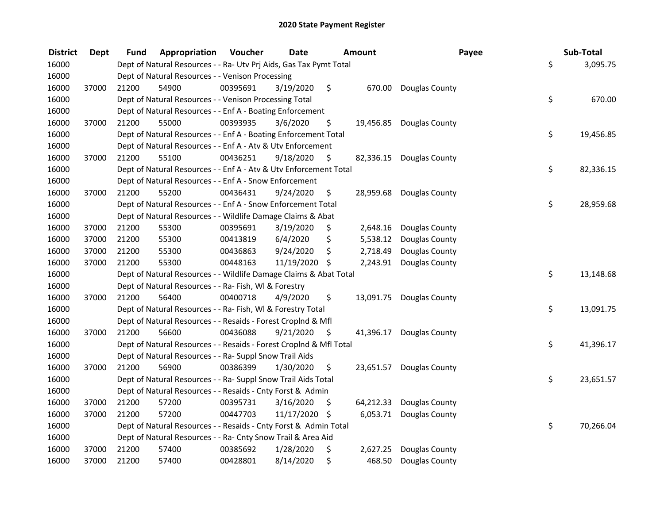| <b>District</b> | <b>Dept</b> | Fund  | Appropriation                                                      | Voucher  | <b>Date</b>   | Amount          | Payee                    | Sub-Total       |
|-----------------|-------------|-------|--------------------------------------------------------------------|----------|---------------|-----------------|--------------------------|-----------------|
| 16000           |             |       | Dept of Natural Resources - - Ra- Utv Prj Aids, Gas Tax Pymt Total |          |               |                 |                          | \$<br>3,095.75  |
| 16000           |             |       | Dept of Natural Resources - - Venison Processing                   |          |               |                 |                          |                 |
| 16000           | 37000       | 21200 | 54900                                                              | 00395691 | 3/19/2020     | \$              | 670.00 Douglas County    |                 |
| 16000           |             |       | Dept of Natural Resources - - Venison Processing Total             |          |               |                 |                          | \$<br>670.00    |
| 16000           |             |       | Dept of Natural Resources - - Enf A - Boating Enforcement          |          |               |                 |                          |                 |
| 16000           | 37000       | 21200 | 55000                                                              | 00393935 | 3/6/2020      | \$              | 19,456.85 Douglas County |                 |
| 16000           |             |       | Dept of Natural Resources - - Enf A - Boating Enforcement Total    |          |               |                 |                          | \$<br>19,456.85 |
| 16000           |             |       | Dept of Natural Resources - - Enf A - Atv & Utv Enforcement        |          |               |                 |                          |                 |
| 16000           | 37000       | 21200 | 55100                                                              | 00436251 | 9/18/2020     | \$              | 82,336.15 Douglas County |                 |
| 16000           |             |       | Dept of Natural Resources - - Enf A - Atv & Utv Enforcement Total  |          |               |                 |                          | \$<br>82,336.15 |
| 16000           |             |       | Dept of Natural Resources - - Enf A - Snow Enforcement             |          |               |                 |                          |                 |
| 16000           | 37000       | 21200 | 55200                                                              | 00436431 | 9/24/2020     | \$              | 28,959.68 Douglas County |                 |
| 16000           |             |       | Dept of Natural Resources - - Enf A - Snow Enforcement Total       |          |               |                 |                          | \$<br>28,959.68 |
| 16000           |             |       | Dept of Natural Resources - - Wildlife Damage Claims & Abat        |          |               |                 |                          |                 |
| 16000           | 37000       | 21200 | 55300                                                              | 00395691 | 3/19/2020     | \$<br>2,648.16  | Douglas County           |                 |
| 16000           | 37000       | 21200 | 55300                                                              | 00413819 | 6/4/2020      | \$<br>5,538.12  | Douglas County           |                 |
| 16000           | 37000       | 21200 | 55300                                                              | 00436863 | 9/24/2020     | \$<br>2,718.49  | Douglas County           |                 |
| 16000           | 37000       | 21200 | 55300                                                              | 00448163 | 11/19/2020 \$ | 2,243.91        | Douglas County           |                 |
| 16000           |             |       | Dept of Natural Resources - - Wildlife Damage Claims & Abat Total  |          |               |                 |                          | \$<br>13,148.68 |
| 16000           |             |       | Dept of Natural Resources - - Ra- Fish, WI & Forestry              |          |               |                 |                          |                 |
| 16000           | 37000       | 21200 | 56400                                                              | 00400718 | 4/9/2020      | \$              | 13,091.75 Douglas County |                 |
| 16000           |             |       | Dept of Natural Resources - - Ra- Fish, WI & Forestry Total        |          |               |                 |                          | \$<br>13,091.75 |
| 16000           |             |       | Dept of Natural Resources - - Resaids - Forest Croplnd & Mfl       |          |               |                 |                          |                 |
| 16000           | 37000       | 21200 | 56600                                                              | 00436088 | 9/21/2020     | \$<br>41,396.17 | Douglas County           |                 |
| 16000           |             |       | Dept of Natural Resources - - Resaids - Forest Croplnd & Mfl Total |          |               |                 |                          | \$<br>41,396.17 |
| 16000           |             |       | Dept of Natural Resources - - Ra- Suppl Snow Trail Aids            |          |               |                 |                          |                 |
| 16000           | 37000       | 21200 | 56900                                                              | 00386399 | 1/30/2020     | \$              | 23,651.57 Douglas County |                 |
| 16000           |             |       | Dept of Natural Resources - - Ra- Suppl Snow Trail Aids Total      |          |               |                 |                          | \$<br>23,651.57 |
| 16000           |             |       | Dept of Natural Resources - - Resaids - Cnty Forst & Admin         |          |               |                 |                          |                 |
| 16000           | 37000       | 21200 | 57200                                                              | 00395731 | 3/16/2020     | \$<br>64,212.33 | Douglas County           |                 |
| 16000           | 37000       | 21200 | 57200                                                              | 00447703 | 11/17/2020 \$ | 6,053.71        | Douglas County           |                 |
| 16000           |             |       | Dept of Natural Resources - - Resaids - Cnty Forst & Admin Total   |          |               |                 |                          | \$<br>70,266.04 |
| 16000           |             |       | Dept of Natural Resources - - Ra- Cnty Snow Trail & Area Aid       |          |               |                 |                          |                 |
| 16000           | 37000       | 21200 | 57400                                                              | 00385692 | 1/28/2020     | \$<br>2,627.25  | Douglas County           |                 |
| 16000           | 37000       | 21200 | 57400                                                              | 00428801 | 8/14/2020     | \$<br>468.50    | Douglas County           |                 |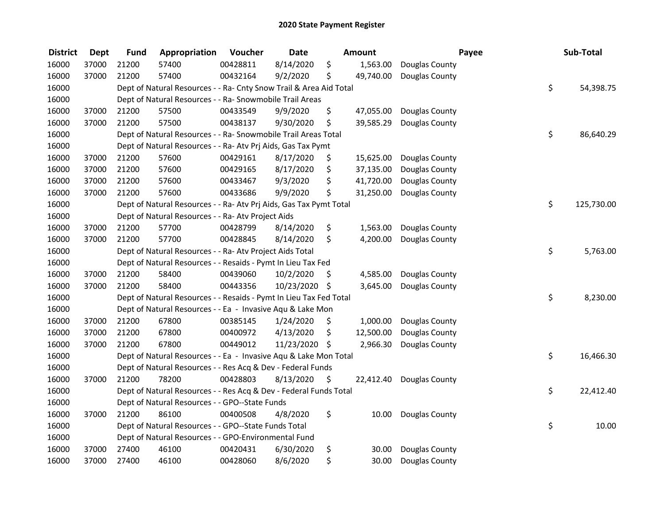| <b>District</b> | <b>Dept</b> | <b>Fund</b> | Appropriation                                                      | Voucher  | <b>Date</b>   |     | <b>Amount</b> | Payee                    | Sub-Total        |
|-----------------|-------------|-------------|--------------------------------------------------------------------|----------|---------------|-----|---------------|--------------------------|------------------|
| 16000           | 37000       | 21200       | 57400                                                              | 00428811 | 8/14/2020     | \$  | 1,563.00      | Douglas County           |                  |
| 16000           | 37000       | 21200       | 57400                                                              | 00432164 | 9/2/2020      | \$  | 49,740.00     | Douglas County           |                  |
| 16000           |             |             | Dept of Natural Resources - - Ra- Cnty Snow Trail & Area Aid Total |          |               |     |               |                          | \$<br>54,398.75  |
| 16000           |             |             | Dept of Natural Resources - - Ra- Snowmobile Trail Areas           |          |               |     |               |                          |                  |
| 16000           | 37000       | 21200       | 57500                                                              | 00433549 | 9/9/2020      | \$  | 47,055.00     | Douglas County           |                  |
| 16000           | 37000       | 21200       | 57500                                                              | 00438137 | 9/30/2020     | \$  | 39,585.29     | Douglas County           |                  |
| 16000           |             |             | Dept of Natural Resources - - Ra- Snowmobile Trail Areas Total     |          |               |     |               |                          | \$<br>86,640.29  |
| 16000           |             |             | Dept of Natural Resources - - Ra- Atv Prj Aids, Gas Tax Pymt       |          |               |     |               |                          |                  |
| 16000           | 37000       | 21200       | 57600                                                              | 00429161 | 8/17/2020     | \$  | 15,625.00     | Douglas County           |                  |
| 16000           | 37000       | 21200       | 57600                                                              | 00429165 | 8/17/2020     | \$  | 37,135.00     | Douglas County           |                  |
| 16000           | 37000       | 21200       | 57600                                                              | 00433467 | 9/3/2020      | \$  | 41,720.00     | Douglas County           |                  |
| 16000           | 37000       | 21200       | 57600                                                              | 00433686 | 9/9/2020      | \$  | 31,250.00     | Douglas County           |                  |
| 16000           |             |             | Dept of Natural Resources - - Ra- Atv Prj Aids, Gas Tax Pymt Total |          |               |     |               |                          | \$<br>125,730.00 |
| 16000           |             |             | Dept of Natural Resources - - Ra- Atv Project Aids                 |          |               |     |               |                          |                  |
| 16000           | 37000       | 21200       | 57700                                                              | 00428799 | 8/14/2020     | \$  | 1,563.00      | Douglas County           |                  |
| 16000           | 37000       | 21200       | 57700                                                              | 00428845 | 8/14/2020     | \$  | 4,200.00      | Douglas County           |                  |
| 16000           |             |             | Dept of Natural Resources - - Ra- Atv Project Aids Total           |          |               |     |               |                          | \$<br>5,763.00   |
| 16000           |             |             | Dept of Natural Resources - - Resaids - Pymt In Lieu Tax Fed       |          |               |     |               |                          |                  |
| 16000           | 37000       | 21200       | 58400                                                              | 00439060 | 10/2/2020     | \$  | 4,585.00      | Douglas County           |                  |
| 16000           | 37000       | 21200       | 58400                                                              | 00443356 | 10/23/2020 \$ |     | 3,645.00      | Douglas County           |                  |
| 16000           |             |             | Dept of Natural Resources - - Resaids - Pymt In Lieu Tax Fed Total |          |               |     |               |                          | \$<br>8,230.00   |
| 16000           |             |             | Dept of Natural Resources - - Ea - Invasive Aqu & Lake Mon         |          |               |     |               |                          |                  |
| 16000           | 37000       | 21200       | 67800                                                              | 00385145 | 1/24/2020     | \$, | 1,000.00      | Douglas County           |                  |
| 16000           | 37000       | 21200       | 67800                                                              | 00400972 | 4/13/2020     | \$  | 12,500.00     | Douglas County           |                  |
| 16000           | 37000       | 21200       | 67800                                                              | 00449012 | 11/23/2020    | -\$ | 2,966.30      | Douglas County           |                  |
| 16000           |             |             | Dept of Natural Resources - - Ea - Invasive Aqu & Lake Mon Total   |          |               |     |               |                          | \$<br>16,466.30  |
| 16000           |             |             | Dept of Natural Resources - - Res Acq & Dev - Federal Funds        |          |               |     |               |                          |                  |
| 16000           | 37000       | 21200       | 78200                                                              | 00428803 | 8/13/2020     | \$  |               | 22,412.40 Douglas County |                  |
| 16000           |             |             | Dept of Natural Resources - - Res Acq & Dev - Federal Funds Total  |          |               |     |               |                          | \$<br>22,412.40  |
| 16000           |             |             | Dept of Natural Resources - - GPO--State Funds                     |          |               |     |               |                          |                  |
| 16000           | 37000       | 21200       | 86100                                                              | 00400508 | 4/8/2020      | \$  | 10.00         | Douglas County           |                  |
| 16000           |             |             | Dept of Natural Resources - - GPO--State Funds Total               |          |               |     |               |                          | \$<br>10.00      |
| 16000           |             |             | Dept of Natural Resources - - GPO-Environmental Fund               |          |               |     |               |                          |                  |
| 16000           | 37000       | 27400       | 46100                                                              | 00420431 | 6/30/2020     | \$  | 30.00         | Douglas County           |                  |
| 16000           | 37000       | 27400       | 46100                                                              | 00428060 | 8/6/2020      | \$  | 30.00         | Douglas County           |                  |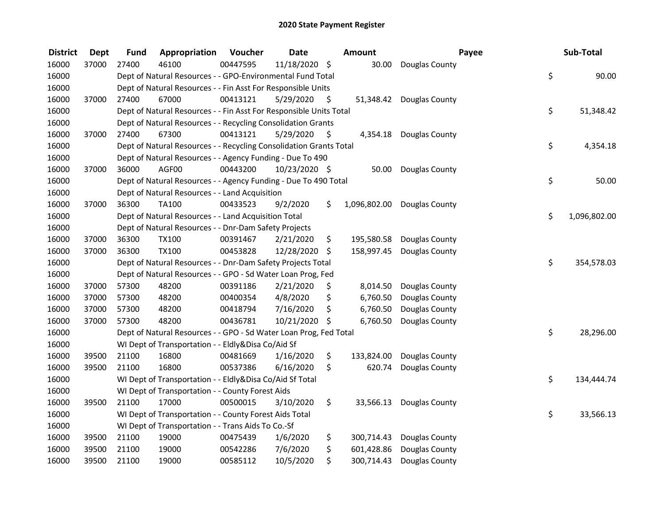| <b>District</b> | <b>Dept</b> | Fund  | Appropriation                                                      | Voucher  | <b>Date</b>   |     | Amount       |                          | Payee | Sub-Total    |
|-----------------|-------------|-------|--------------------------------------------------------------------|----------|---------------|-----|--------------|--------------------------|-------|--------------|
| 16000           | 37000       | 27400 | 46100                                                              | 00447595 | 11/18/2020 \$ |     | 30.00        | Douglas County           |       |              |
| 16000           |             |       | Dept of Natural Resources - - GPO-Environmental Fund Total         |          |               |     |              |                          | \$    | 90.00        |
| 16000           |             |       | Dept of Natural Resources - - Fin Asst For Responsible Units       |          |               |     |              |                          |       |              |
| 16000           | 37000       | 27400 | 67000                                                              | 00413121 | 5/29/2020     | \$  |              | 51,348.42 Douglas County |       |              |
| 16000           |             |       | Dept of Natural Resources - - Fin Asst For Responsible Units Total |          |               |     |              |                          | \$    | 51,348.42    |
| 16000           |             |       | Dept of Natural Resources - - Recycling Consolidation Grants       |          |               |     |              |                          |       |              |
| 16000           | 37000       | 27400 | 67300                                                              | 00413121 | 5/29/2020     | -\$ |              | 4,354.18 Douglas County  |       |              |
| 16000           |             |       | Dept of Natural Resources - - Recycling Consolidation Grants Total |          |               |     |              |                          | \$    | 4,354.18     |
| 16000           |             |       | Dept of Natural Resources - - Agency Funding - Due To 490          |          |               |     |              |                          |       |              |
| 16000           | 37000       | 36000 | AGF00                                                              | 00443200 | 10/23/2020 \$ |     |              | 50.00 Douglas County     |       |              |
| 16000           |             |       | Dept of Natural Resources - - Agency Funding - Due To 490 Total    |          |               |     |              |                          | \$    | 50.00        |
| 16000           |             |       | Dept of Natural Resources - - Land Acquisition                     |          |               |     |              |                          |       |              |
| 16000           | 37000       | 36300 | TA100                                                              | 00433523 | 9/2/2020      | \$. | 1,096,802.00 | Douglas County           |       |              |
| 16000           |             |       | Dept of Natural Resources - - Land Acquisition Total               |          |               |     |              |                          | \$    | 1,096,802.00 |
| 16000           |             |       | Dept of Natural Resources - - Dnr-Dam Safety Projects              |          |               |     |              |                          |       |              |
| 16000           | 37000       | 36300 | TX100                                                              | 00391467 | 2/21/2020     | \$  | 195,580.58   | Douglas County           |       |              |
| 16000           | 37000       | 36300 | TX100                                                              | 00453828 | 12/28/2020    | \$  | 158,997.45   | Douglas County           |       |              |
| 16000           |             |       | Dept of Natural Resources - - Dnr-Dam Safety Projects Total        |          |               |     |              |                          | \$    | 354,578.03   |
| 16000           |             |       | Dept of Natural Resources - - GPO - Sd Water Loan Prog, Fed        |          |               |     |              |                          |       |              |
| 16000           | 37000       | 57300 | 48200                                                              | 00391186 | 2/21/2020     | \$  | 8,014.50     | Douglas County           |       |              |
| 16000           | 37000       | 57300 | 48200                                                              | 00400354 | 4/8/2020      | \$  | 6,760.50     | Douglas County           |       |              |
| 16000           | 37000       | 57300 | 48200                                                              | 00418794 | 7/16/2020     | \$  | 6,760.50     | Douglas County           |       |              |
| 16000           | 37000       | 57300 | 48200                                                              | 00436781 | 10/21/2020 \$ |     | 6,760.50     | Douglas County           |       |              |
| 16000           |             |       | Dept of Natural Resources - - GPO - Sd Water Loan Prog, Fed Total  |          |               |     |              |                          | \$    | 28,296.00    |
| 16000           |             |       | WI Dept of Transportation - - Eldly&Disa Co/Aid Sf                 |          |               |     |              |                          |       |              |
| 16000           | 39500       | 21100 | 16800                                                              | 00481669 | 1/16/2020     | \$  | 133,824.00   | Douglas County           |       |              |
| 16000           | 39500       | 21100 | 16800                                                              | 00537386 | 6/16/2020     | \$  | 620.74       | Douglas County           |       |              |
| 16000           |             |       | WI Dept of Transportation - - Eldly&Disa Co/Aid Sf Total           |          |               |     |              |                          | \$    | 134,444.74   |
| 16000           |             |       | WI Dept of Transportation - - County Forest Aids                   |          |               |     |              |                          |       |              |
| 16000           | 39500       | 21100 | 17000                                                              | 00500015 | 3/10/2020     | \$  | 33,566.13    | Douglas County           |       |              |
| 16000           |             |       | WI Dept of Transportation - - County Forest Aids Total             |          |               |     |              |                          | \$    | 33,566.13    |
| 16000           |             |       | WI Dept of Transportation - - Trans Aids To Co.-Sf                 |          |               |     |              |                          |       |              |
| 16000           | 39500       | 21100 | 19000                                                              | 00475439 | 1/6/2020      | \$  | 300,714.43   | Douglas County           |       |              |
| 16000           | 39500       | 21100 | 19000                                                              | 00542286 | 7/6/2020      | \$  | 601,428.86   | Douglas County           |       |              |
| 16000           | 39500       | 21100 | 19000                                                              | 00585112 | 10/5/2020     | \$  | 300,714.43   | Douglas County           |       |              |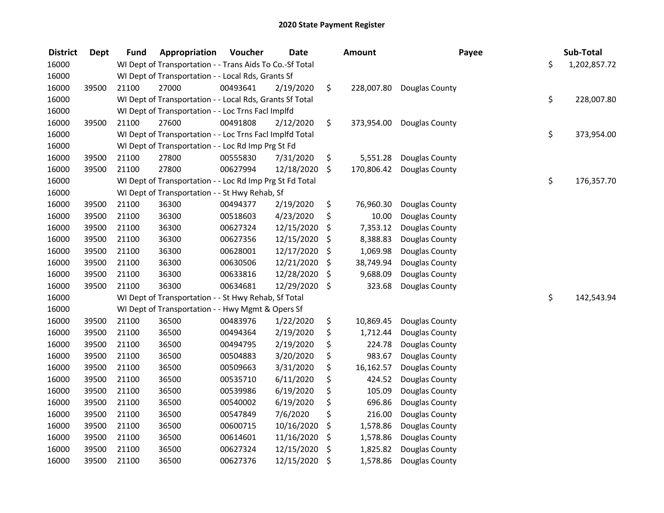| <b>District</b> | <b>Dept</b> | <b>Fund</b> | Appropriation                                            | Voucher  | <b>Date</b> | Amount           | Payee          | Sub-Total          |
|-----------------|-------------|-------------|----------------------------------------------------------|----------|-------------|------------------|----------------|--------------------|
| 16000           |             |             | WI Dept of Transportation - - Trans Aids To Co.-Sf Total |          |             |                  |                | \$<br>1,202,857.72 |
| 16000           |             |             | WI Dept of Transportation - - Local Rds, Grants Sf       |          |             |                  |                |                    |
| 16000           | 39500       | 21100       | 27000                                                    | 00493641 | 2/19/2020   | \$<br>228,007.80 | Douglas County |                    |
| 16000           |             |             | WI Dept of Transportation - - Local Rds, Grants Sf Total |          |             |                  |                | \$<br>228,007.80   |
| 16000           |             |             | WI Dept of Transportation - - Loc Trns FacI Implfd       |          |             |                  |                |                    |
| 16000           | 39500       | 21100       | 27600                                                    | 00491808 | 2/12/2020   | \$<br>373,954.00 | Douglas County |                    |
| 16000           |             |             | WI Dept of Transportation - - Loc Trns FacI Implfd Total |          |             |                  |                | \$<br>373,954.00   |
| 16000           |             |             | WI Dept of Transportation - - Loc Rd Imp Prg St Fd       |          |             |                  |                |                    |
| 16000           | 39500       | 21100       | 27800                                                    | 00555830 | 7/31/2020   | \$<br>5,551.28   | Douglas County |                    |
| 16000           | 39500       | 21100       | 27800                                                    | 00627994 | 12/18/2020  | \$<br>170,806.42 | Douglas County |                    |
| 16000           |             |             | WI Dept of Transportation - - Loc Rd Imp Prg St Fd Total |          |             |                  |                | \$<br>176,357.70   |
| 16000           |             |             | WI Dept of Transportation - - St Hwy Rehab, Sf           |          |             |                  |                |                    |
| 16000           | 39500       | 21100       | 36300                                                    | 00494377 | 2/19/2020   | \$<br>76,960.30  | Douglas County |                    |
| 16000           | 39500       | 21100       | 36300                                                    | 00518603 | 4/23/2020   | \$<br>10.00      | Douglas County |                    |
| 16000           | 39500       | 21100       | 36300                                                    | 00627324 | 12/15/2020  | \$<br>7,353.12   | Douglas County |                    |
| 16000           | 39500       | 21100       | 36300                                                    | 00627356 | 12/15/2020  | \$<br>8,388.83   | Douglas County |                    |
| 16000           | 39500       | 21100       | 36300                                                    | 00628001 | 12/17/2020  | \$<br>1,069.98   | Douglas County |                    |
| 16000           | 39500       | 21100       | 36300                                                    | 00630506 | 12/21/2020  | \$<br>38,749.94  | Douglas County |                    |
| 16000           | 39500       | 21100       | 36300                                                    | 00633816 | 12/28/2020  | \$<br>9,688.09   | Douglas County |                    |
| 16000           | 39500       | 21100       | 36300                                                    | 00634681 | 12/29/2020  | \$<br>323.68     | Douglas County |                    |
| 16000           |             |             | WI Dept of Transportation - - St Hwy Rehab, Sf Total     |          |             |                  |                | \$<br>142,543.94   |
| 16000           |             |             | WI Dept of Transportation - - Hwy Mgmt & Opers Sf        |          |             |                  |                |                    |
| 16000           | 39500       | 21100       | 36500                                                    | 00483976 | 1/22/2020   | \$<br>10,869.45  | Douglas County |                    |
| 16000           | 39500       | 21100       | 36500                                                    | 00494364 | 2/19/2020   | \$<br>1,712.44   | Douglas County |                    |
| 16000           | 39500       | 21100       | 36500                                                    | 00494795 | 2/19/2020   | \$<br>224.78     | Douglas County |                    |
| 16000           | 39500       | 21100       | 36500                                                    | 00504883 | 3/20/2020   | \$<br>983.67     | Douglas County |                    |
| 16000           | 39500       | 21100       | 36500                                                    | 00509663 | 3/31/2020   | \$<br>16,162.57  | Douglas County |                    |
| 16000           | 39500       | 21100       | 36500                                                    | 00535710 | 6/11/2020   | \$<br>424.52     | Douglas County |                    |
| 16000           | 39500       | 21100       | 36500                                                    | 00539986 | 6/19/2020   | \$<br>105.09     | Douglas County |                    |
| 16000           | 39500       | 21100       | 36500                                                    | 00540002 | 6/19/2020   | \$<br>696.86     | Douglas County |                    |
| 16000           | 39500       | 21100       | 36500                                                    | 00547849 | 7/6/2020    | \$<br>216.00     | Douglas County |                    |
| 16000           | 39500       | 21100       | 36500                                                    | 00600715 | 10/16/2020  | \$<br>1,578.86   | Douglas County |                    |
| 16000           | 39500       | 21100       | 36500                                                    | 00614601 | 11/16/2020  | \$<br>1,578.86   | Douglas County |                    |
| 16000           | 39500       | 21100       | 36500                                                    | 00627324 | 12/15/2020  | \$<br>1,825.82   | Douglas County |                    |
| 16000           | 39500       | 21100       | 36500                                                    | 00627376 | 12/15/2020  | \$<br>1,578.86   | Douglas County |                    |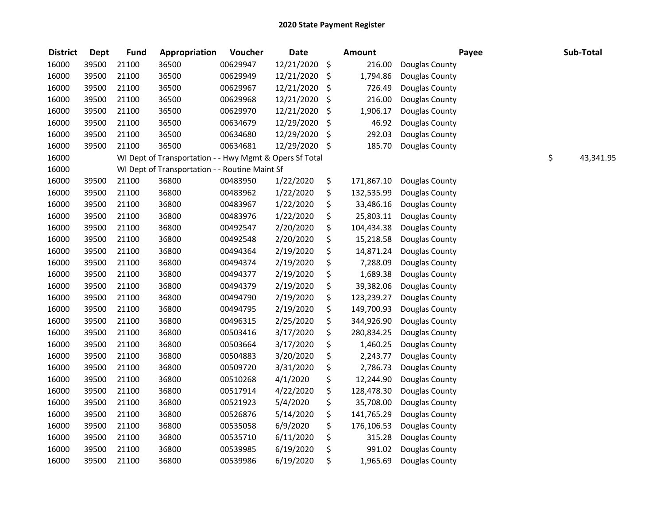| <b>District</b> | <b>Dept</b> | <b>Fund</b> | Appropriation                                           | Voucher  | <b>Date</b>   |     | <b>Amount</b> | Payee          | Sub-Total       |
|-----------------|-------------|-------------|---------------------------------------------------------|----------|---------------|-----|---------------|----------------|-----------------|
| 16000           | 39500       | 21100       | 36500                                                   | 00629947 | 12/21/2020    | \$  | 216.00        | Douglas County |                 |
| 16000           | 39500       | 21100       | 36500                                                   | 00629949 | 12/21/2020    | \$  | 1,794.86      | Douglas County |                 |
| 16000           | 39500       | 21100       | 36500                                                   | 00629967 | 12/21/2020    | \$  | 726.49        | Douglas County |                 |
| 16000           | 39500       | 21100       | 36500                                                   | 00629968 | 12/21/2020    | \$  | 216.00        | Douglas County |                 |
| 16000           | 39500       | 21100       | 36500                                                   | 00629970 | 12/21/2020    | \$  | 1,906.17      | Douglas County |                 |
| 16000           | 39500       | 21100       | 36500                                                   | 00634679 | 12/29/2020    | \$  | 46.92         | Douglas County |                 |
| 16000           | 39500       | 21100       | 36500                                                   | 00634680 | 12/29/2020    | \$. | 292.03        | Douglas County |                 |
| 16000           | 39500       | 21100       | 36500                                                   | 00634681 | 12/29/2020 \$ |     | 185.70        | Douglas County |                 |
| 16000           |             |             | WI Dept of Transportation - - Hwy Mgmt & Opers Sf Total |          |               |     |               |                | \$<br>43,341.95 |
| 16000           |             |             | WI Dept of Transportation - - Routine Maint Sf          |          |               |     |               |                |                 |
| 16000           | 39500       | 21100       | 36800                                                   | 00483950 | 1/22/2020     | \$  | 171,867.10    | Douglas County |                 |
| 16000           | 39500       | 21100       | 36800                                                   | 00483962 | 1/22/2020     | \$  | 132,535.99    | Douglas County |                 |
| 16000           | 39500       | 21100       | 36800                                                   | 00483967 | 1/22/2020     | \$  | 33,486.16     | Douglas County |                 |
| 16000           | 39500       | 21100       | 36800                                                   | 00483976 | 1/22/2020     | \$  | 25,803.11     | Douglas County |                 |
| 16000           | 39500       | 21100       | 36800                                                   | 00492547 | 2/20/2020     | \$  | 104,434.38    | Douglas County |                 |
| 16000           | 39500       | 21100       | 36800                                                   | 00492548 | 2/20/2020     | \$  | 15,218.58     | Douglas County |                 |
| 16000           | 39500       | 21100       | 36800                                                   | 00494364 | 2/19/2020     | \$  | 14,871.24     | Douglas County |                 |
| 16000           | 39500       | 21100       | 36800                                                   | 00494374 | 2/19/2020     | \$  | 7,288.09      | Douglas County |                 |
| 16000           | 39500       | 21100       | 36800                                                   | 00494377 | 2/19/2020     | \$  | 1,689.38      | Douglas County |                 |
| 16000           | 39500       | 21100       | 36800                                                   | 00494379 | 2/19/2020     | \$  | 39,382.06     | Douglas County |                 |
| 16000           | 39500       | 21100       | 36800                                                   | 00494790 | 2/19/2020     | \$  | 123,239.27    | Douglas County |                 |
| 16000           | 39500       | 21100       | 36800                                                   | 00494795 | 2/19/2020     | \$  | 149,700.93    | Douglas County |                 |
| 16000           | 39500       | 21100       | 36800                                                   | 00496315 | 2/25/2020     | \$  | 344,926.90    | Douglas County |                 |
| 16000           | 39500       | 21100       | 36800                                                   | 00503416 | 3/17/2020     | \$  | 280,834.25    | Douglas County |                 |
| 16000           | 39500       | 21100       | 36800                                                   | 00503664 | 3/17/2020     | \$  | 1,460.25      | Douglas County |                 |
| 16000           | 39500       | 21100       | 36800                                                   | 00504883 | 3/20/2020     | \$  | 2,243.77      | Douglas County |                 |
| 16000           | 39500       | 21100       | 36800                                                   | 00509720 | 3/31/2020     | \$  | 2,786.73      | Douglas County |                 |
| 16000           | 39500       | 21100       | 36800                                                   | 00510268 | 4/1/2020      | \$  | 12,244.90     | Douglas County |                 |
| 16000           | 39500       | 21100       | 36800                                                   | 00517914 | 4/22/2020     | \$  | 128,478.30    | Douglas County |                 |
| 16000           | 39500       | 21100       | 36800                                                   | 00521923 | 5/4/2020      | \$  | 35,708.00     | Douglas County |                 |
| 16000           | 39500       | 21100       | 36800                                                   | 00526876 | 5/14/2020     | \$  | 141,765.29    | Douglas County |                 |
| 16000           | 39500       | 21100       | 36800                                                   | 00535058 | 6/9/2020      | \$  | 176,106.53    | Douglas County |                 |
| 16000           | 39500       | 21100       | 36800                                                   | 00535710 | 6/11/2020     | \$  | 315.28        | Douglas County |                 |
| 16000           | 39500       | 21100       | 36800                                                   | 00539985 | 6/19/2020     | \$  | 991.02        | Douglas County |                 |
| 16000           | 39500       | 21100       | 36800                                                   | 00539986 | 6/19/2020     | \$  | 1,965.69      | Douglas County |                 |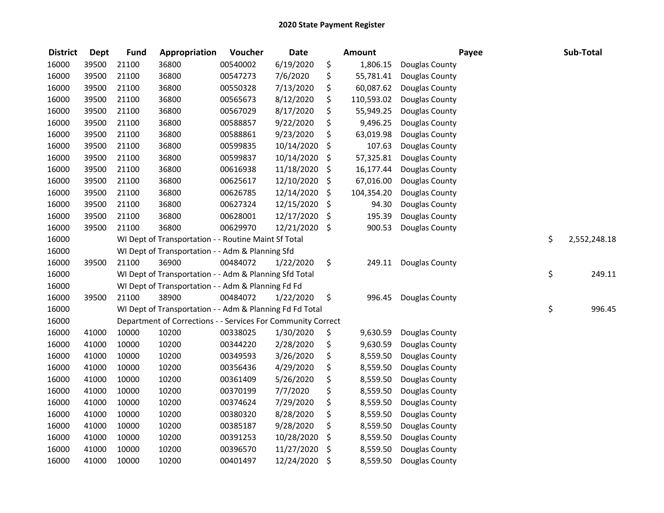| <b>District</b> | <b>Dept</b> | <b>Fund</b> | Appropriation                                                | Voucher  | <b>Date</b> | <b>Amount</b>    | Payee          | Sub-Total          |
|-----------------|-------------|-------------|--------------------------------------------------------------|----------|-------------|------------------|----------------|--------------------|
| 16000           | 39500       | 21100       | 36800                                                        | 00540002 | 6/19/2020   | \$<br>1,806.15   | Douglas County |                    |
| 16000           | 39500       | 21100       | 36800                                                        | 00547273 | 7/6/2020    | \$<br>55,781.41  | Douglas County |                    |
| 16000           | 39500       | 21100       | 36800                                                        | 00550328 | 7/13/2020   | \$<br>60,087.62  | Douglas County |                    |
| 16000           | 39500       | 21100       | 36800                                                        | 00565673 | 8/12/2020   | \$<br>110,593.02 | Douglas County |                    |
| 16000           | 39500       | 21100       | 36800                                                        | 00567029 | 8/17/2020   | \$<br>55,949.25  | Douglas County |                    |
| 16000           | 39500       | 21100       | 36800                                                        | 00588857 | 9/22/2020   | \$<br>9,496.25   | Douglas County |                    |
| 16000           | 39500       | 21100       | 36800                                                        | 00588861 | 9/23/2020   | \$<br>63,019.98  | Douglas County |                    |
| 16000           | 39500       | 21100       | 36800                                                        | 00599835 | 10/14/2020  | \$<br>107.63     | Douglas County |                    |
| 16000           | 39500       | 21100       | 36800                                                        | 00599837 | 10/14/2020  | \$<br>57,325.81  | Douglas County |                    |
| 16000           | 39500       | 21100       | 36800                                                        | 00616938 | 11/18/2020  | \$<br>16,177.44  | Douglas County |                    |
| 16000           | 39500       | 21100       | 36800                                                        | 00625617 | 12/10/2020  | \$<br>67,016.00  | Douglas County |                    |
| 16000           | 39500       | 21100       | 36800                                                        | 00626785 | 12/14/2020  | \$<br>104,354.20 | Douglas County |                    |
| 16000           | 39500       | 21100       | 36800                                                        | 00627324 | 12/15/2020  | \$<br>94.30      | Douglas County |                    |
| 16000           | 39500       | 21100       | 36800                                                        | 00628001 | 12/17/2020  | \$<br>195.39     | Douglas County |                    |
| 16000           | 39500       | 21100       | 36800                                                        | 00629970 | 12/21/2020  | \$<br>900.53     | Douglas County |                    |
| 16000           |             |             | WI Dept of Transportation - - Routine Maint Sf Total         |          |             |                  |                | \$<br>2,552,248.18 |
| 16000           |             |             | WI Dept of Transportation - - Adm & Planning Sfd             |          |             |                  |                |                    |
| 16000           | 39500       | 21100       | 36900                                                        | 00484072 | 1/22/2020   | \$<br>249.11     | Douglas County |                    |
| 16000           |             |             | WI Dept of Transportation - - Adm & Planning Sfd Total       |          |             |                  |                | \$<br>249.11       |
| 16000           |             |             | WI Dept of Transportation - - Adm & Planning Fd Fd           |          |             |                  |                |                    |
| 16000           | 39500       | 21100       | 38900                                                        | 00484072 | 1/22/2020   | \$<br>996.45     | Douglas County |                    |
| 16000           |             |             | WI Dept of Transportation - - Adm & Planning Fd Fd Total     |          |             |                  |                | \$<br>996.45       |
| 16000           |             |             | Department of Corrections - - Services For Community Correct |          |             |                  |                |                    |
| 16000           | 41000       | 10000       | 10200                                                        | 00338025 | 1/30/2020   | \$<br>9,630.59   | Douglas County |                    |
| 16000           | 41000       | 10000       | 10200                                                        | 00344220 | 2/28/2020   | \$<br>9,630.59   | Douglas County |                    |
| 16000           | 41000       | 10000       | 10200                                                        | 00349593 | 3/26/2020   | \$<br>8,559.50   | Douglas County |                    |
| 16000           | 41000       | 10000       | 10200                                                        | 00356436 | 4/29/2020   | \$<br>8,559.50   | Douglas County |                    |
| 16000           | 41000       | 10000       | 10200                                                        | 00361409 | 5/26/2020   | \$<br>8,559.50   | Douglas County |                    |
| 16000           | 41000       | 10000       | 10200                                                        | 00370199 | 7/7/2020    | \$<br>8,559.50   | Douglas County |                    |
| 16000           | 41000       | 10000       | 10200                                                        | 00374624 | 7/29/2020   | \$<br>8,559.50   | Douglas County |                    |
| 16000           | 41000       | 10000       | 10200                                                        | 00380320 | 8/28/2020   | \$<br>8,559.50   | Douglas County |                    |
| 16000           | 41000       | 10000       | 10200                                                        | 00385187 | 9/28/2020   | \$<br>8,559.50   | Douglas County |                    |
| 16000           | 41000       | 10000       | 10200                                                        | 00391253 | 10/28/2020  | \$<br>8,559.50   | Douglas County |                    |
| 16000           | 41000       | 10000       | 10200                                                        | 00396570 | 11/27/2020  | \$<br>8,559.50   | Douglas County |                    |
| 16000           | 41000       | 10000       | 10200                                                        | 00401497 | 12/24/2020  | \$<br>8,559.50   | Douglas County |                    |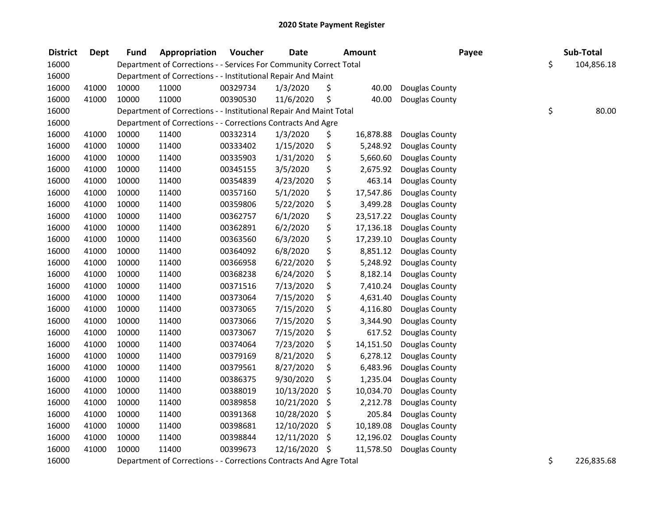| <b>District</b> | Dept  | <b>Fund</b> | Appropriation                                                      | Voucher  | <b>Date</b> | <b>Amount</b>   | Payee          | Sub-Total        |
|-----------------|-------|-------------|--------------------------------------------------------------------|----------|-------------|-----------------|----------------|------------------|
| 16000           |       |             | Department of Corrections - - Services For Community Correct Total |          |             |                 |                | \$<br>104,856.18 |
| 16000           |       |             | Department of Corrections - - Institutional Repair And Maint       |          |             |                 |                |                  |
| 16000           | 41000 | 10000       | 11000                                                              | 00329734 | 1/3/2020    | \$<br>40.00     | Douglas County |                  |
| 16000           | 41000 | 10000       | 11000                                                              | 00390530 | 11/6/2020   | \$<br>40.00     | Douglas County |                  |
| 16000           |       |             | Department of Corrections - - Institutional Repair And Maint Total |          |             |                 |                | \$<br>80.00      |
| 16000           |       |             | Department of Corrections - - Corrections Contracts And Agre       |          |             |                 |                |                  |
| 16000           | 41000 | 10000       | 11400                                                              | 00332314 | 1/3/2020    | \$<br>16,878.88 | Douglas County |                  |
| 16000           | 41000 | 10000       | 11400                                                              | 00333402 | 1/15/2020   | \$<br>5,248.92  | Douglas County |                  |
| 16000           | 41000 | 10000       | 11400                                                              | 00335903 | 1/31/2020   | \$<br>5,660.60  | Douglas County |                  |
| 16000           | 41000 | 10000       | 11400                                                              | 00345155 | 3/5/2020    | \$<br>2,675.92  | Douglas County |                  |
| 16000           | 41000 | 10000       | 11400                                                              | 00354839 | 4/23/2020   | \$<br>463.14    | Douglas County |                  |
| 16000           | 41000 | 10000       | 11400                                                              | 00357160 | 5/1/2020    | \$<br>17,547.86 | Douglas County |                  |
| 16000           | 41000 | 10000       | 11400                                                              | 00359806 | 5/22/2020   | \$<br>3,499.28  | Douglas County |                  |
| 16000           | 41000 | 10000       | 11400                                                              | 00362757 | 6/1/2020    | \$<br>23,517.22 | Douglas County |                  |
| 16000           | 41000 | 10000       | 11400                                                              | 00362891 | 6/2/2020    | \$<br>17,136.18 | Douglas County |                  |
| 16000           | 41000 | 10000       | 11400                                                              | 00363560 | 6/3/2020    | \$<br>17,239.10 | Douglas County |                  |
| 16000           | 41000 | 10000       | 11400                                                              | 00364092 | 6/8/2020    | \$<br>8,851.12  | Douglas County |                  |
| 16000           | 41000 | 10000       | 11400                                                              | 00366958 | 6/22/2020   | \$<br>5,248.92  | Douglas County |                  |
| 16000           | 41000 | 10000       | 11400                                                              | 00368238 | 6/24/2020   | \$<br>8,182.14  | Douglas County |                  |
| 16000           | 41000 | 10000       | 11400                                                              | 00371516 | 7/13/2020   | \$<br>7,410.24  | Douglas County |                  |
| 16000           | 41000 | 10000       | 11400                                                              | 00373064 | 7/15/2020   | \$<br>4,631.40  | Douglas County |                  |
| 16000           | 41000 | 10000       | 11400                                                              | 00373065 | 7/15/2020   | \$<br>4,116.80  | Douglas County |                  |
| 16000           | 41000 | 10000       | 11400                                                              | 00373066 | 7/15/2020   | \$<br>3,344.90  | Douglas County |                  |
| 16000           | 41000 | 10000       | 11400                                                              | 00373067 | 7/15/2020   | \$<br>617.52    | Douglas County |                  |
| 16000           | 41000 | 10000       | 11400                                                              | 00374064 | 7/23/2020   | \$<br>14,151.50 | Douglas County |                  |
| 16000           | 41000 | 10000       | 11400                                                              | 00379169 | 8/21/2020   | \$<br>6,278.12  | Douglas County |                  |
| 16000           | 41000 | 10000       | 11400                                                              | 00379561 | 8/27/2020   | \$<br>6,483.96  | Douglas County |                  |
| 16000           | 41000 | 10000       | 11400                                                              | 00386375 | 9/30/2020   | \$<br>1,235.04  | Douglas County |                  |
| 16000           | 41000 | 10000       | 11400                                                              | 00388019 | 10/13/2020  | \$<br>10,034.70 | Douglas County |                  |
| 16000           | 41000 | 10000       | 11400                                                              | 00389858 | 10/21/2020  | \$<br>2,212.78  | Douglas County |                  |
| 16000           | 41000 | 10000       | 11400                                                              | 00391368 | 10/28/2020  | \$<br>205.84    | Douglas County |                  |
| 16000           | 41000 | 10000       | 11400                                                              | 00398681 | 12/10/2020  | \$<br>10,189.08 | Douglas County |                  |
| 16000           | 41000 | 10000       | 11400                                                              | 00398844 | 12/11/2020  | \$<br>12,196.02 | Douglas County |                  |
| 16000           | 41000 | 10000       | 11400                                                              | 00399673 | 12/16/2020  | \$<br>11,578.50 | Douglas County |                  |
| 16000           |       |             | Department of Corrections - - Corrections Contracts And Agre Total |          |             |                 |                | \$<br>226,835.68 |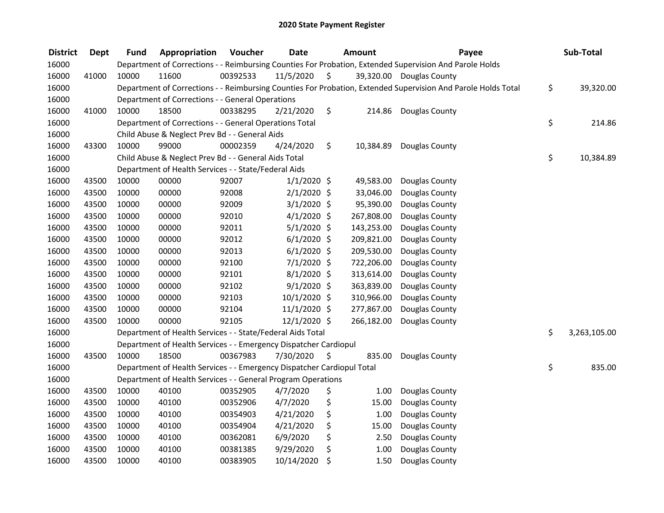| <b>District</b> | Dept  | <b>Fund</b> | Appropriation                                                          | Voucher  | <b>Date</b>    | <b>Amount</b>   | Payee                                                                                                         | Sub-Total          |
|-----------------|-------|-------------|------------------------------------------------------------------------|----------|----------------|-----------------|---------------------------------------------------------------------------------------------------------------|--------------------|
| 16000           |       |             |                                                                        |          |                |                 | Department of Corrections - - Reimbursing Counties For Probation, Extended Supervision And Parole Holds       |                    |
| 16000           | 41000 | 10000       | 11600                                                                  | 00392533 | 11/5/2020      | \$              | 39,320.00 Douglas County                                                                                      |                    |
| 16000           |       |             |                                                                        |          |                |                 | Department of Corrections - - Reimbursing Counties For Probation, Extended Supervision And Parole Holds Total | \$<br>39,320.00    |
| 16000           |       |             | Department of Corrections - - General Operations                       |          |                |                 |                                                                                                               |                    |
| 16000           | 41000 | 10000       | 18500                                                                  | 00338295 | 2/21/2020      | \$              | 214.86 Douglas County                                                                                         |                    |
| 16000           |       |             | Department of Corrections - - General Operations Total                 |          |                |                 |                                                                                                               | \$<br>214.86       |
| 16000           |       |             | Child Abuse & Neglect Prev Bd - - General Aids                         |          |                |                 |                                                                                                               |                    |
| 16000           | 43300 | 10000       | 99000                                                                  | 00002359 | 4/24/2020      | \$<br>10,384.89 | Douglas County                                                                                                |                    |
| 16000           |       |             | Child Abuse & Neglect Prev Bd - - General Aids Total                   |          |                |                 |                                                                                                               | \$<br>10,384.89    |
| 16000           |       |             | Department of Health Services - - State/Federal Aids                   |          |                |                 |                                                                                                               |                    |
| 16000           | 43500 | 10000       | 00000                                                                  | 92007    | $1/1/2020$ \$  | 49,583.00       | Douglas County                                                                                                |                    |
| 16000           | 43500 | 10000       | 00000                                                                  | 92008    | $2/1/2020$ \$  | 33,046.00       | Douglas County                                                                                                |                    |
| 16000           | 43500 | 10000       | 00000                                                                  | 92009    | $3/1/2020$ \$  | 95,390.00       | Douglas County                                                                                                |                    |
| 16000           | 43500 | 10000       | 00000                                                                  | 92010    | $4/1/2020$ \$  | 267,808.00      | Douglas County                                                                                                |                    |
| 16000           | 43500 | 10000       | 00000                                                                  | 92011    | $5/1/2020$ \$  | 143,253.00      | Douglas County                                                                                                |                    |
| 16000           | 43500 | 10000       | 00000                                                                  | 92012    | $6/1/2020$ \$  | 209,821.00      | Douglas County                                                                                                |                    |
| 16000           | 43500 | 10000       | 00000                                                                  | 92013    | $6/1/2020$ \$  | 209,530.00      | Douglas County                                                                                                |                    |
| 16000           | 43500 | 10000       | 00000                                                                  | 92100    | $7/1/2020$ \$  | 722,206.00      | Douglas County                                                                                                |                    |
| 16000           | 43500 | 10000       | 00000                                                                  | 92101    | $8/1/2020$ \$  | 313,614.00      | Douglas County                                                                                                |                    |
| 16000           | 43500 | 10000       | 00000                                                                  | 92102    | $9/1/2020$ \$  | 363,839.00      | Douglas County                                                                                                |                    |
| 16000           | 43500 | 10000       | 00000                                                                  | 92103    | 10/1/2020 \$   | 310,966.00      | Douglas County                                                                                                |                    |
| 16000           | 43500 | 10000       | 00000                                                                  | 92104    | $11/1/2020$ \$ | 277,867.00      | Douglas County                                                                                                |                    |
| 16000           | 43500 | 10000       | 00000                                                                  | 92105    | $12/1/2020$ \$ | 266,182.00      | Douglas County                                                                                                |                    |
| 16000           |       |             | Department of Health Services - - State/Federal Aids Total             |          |                |                 |                                                                                                               | \$<br>3,263,105.00 |
| 16000           |       |             | Department of Health Services - - Emergency Dispatcher Cardiopul       |          |                |                 |                                                                                                               |                    |
| 16000           | 43500 | 10000       | 18500                                                                  | 00367983 | 7/30/2020      | \$<br>835.00    | Douglas County                                                                                                |                    |
| 16000           |       |             | Department of Health Services - - Emergency Dispatcher Cardiopul Total |          |                |                 |                                                                                                               | \$<br>835.00       |
| 16000           |       |             | Department of Health Services - - General Program Operations           |          |                |                 |                                                                                                               |                    |
| 16000           | 43500 | 10000       | 40100                                                                  | 00352905 | 4/7/2020       | \$<br>1.00      | Douglas County                                                                                                |                    |
| 16000           | 43500 | 10000       | 40100                                                                  | 00352906 | 4/7/2020       | \$<br>15.00     | Douglas County                                                                                                |                    |
| 16000           | 43500 | 10000       | 40100                                                                  | 00354903 | 4/21/2020      | \$<br>1.00      | Douglas County                                                                                                |                    |
| 16000           | 43500 | 10000       | 40100                                                                  | 00354904 | 4/21/2020      | \$<br>15.00     | Douglas County                                                                                                |                    |
| 16000           | 43500 | 10000       | 40100                                                                  | 00362081 | 6/9/2020       | \$<br>2.50      | Douglas County                                                                                                |                    |
| 16000           | 43500 | 10000       | 40100                                                                  | 00381385 | 9/29/2020      | \$<br>1.00      | Douglas County                                                                                                |                    |
| 16000           | 43500 | 10000       | 40100                                                                  | 00383905 | 10/14/2020     | \$<br>1.50      | Douglas County                                                                                                |                    |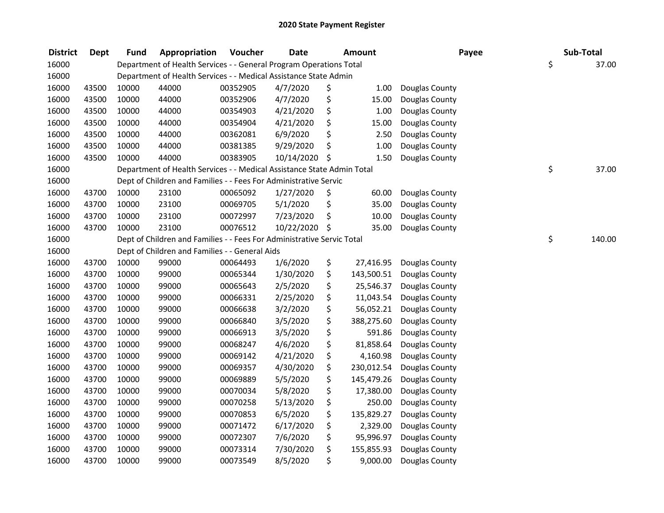| <b>District</b> | <b>Dept</b> | <b>Fund</b> | Appropriation                                                          | Voucher  | <b>Date</b> | <b>Amount</b>    | Payee          | Sub-Total    |
|-----------------|-------------|-------------|------------------------------------------------------------------------|----------|-------------|------------------|----------------|--------------|
| 16000           |             |             | Department of Health Services - - General Program Operations Total     |          |             |                  |                | \$<br>37.00  |
| 16000           |             |             | Department of Health Services - - Medical Assistance State Admin       |          |             |                  |                |              |
| 16000           | 43500       | 10000       | 44000                                                                  | 00352905 | 4/7/2020    | \$<br>1.00       | Douglas County |              |
| 16000           | 43500       | 10000       | 44000                                                                  | 00352906 | 4/7/2020    | \$<br>15.00      | Douglas County |              |
| 16000           | 43500       | 10000       | 44000                                                                  | 00354903 | 4/21/2020   | \$<br>1.00       | Douglas County |              |
| 16000           | 43500       | 10000       | 44000                                                                  | 00354904 | 4/21/2020   | \$<br>15.00      | Douglas County |              |
| 16000           | 43500       | 10000       | 44000                                                                  | 00362081 | 6/9/2020    | \$<br>2.50       | Douglas County |              |
| 16000           | 43500       | 10000       | 44000                                                                  | 00381385 | 9/29/2020   | \$<br>1.00       | Douglas County |              |
| 16000           | 43500       | 10000       | 44000                                                                  | 00383905 | 10/14/2020  | \$<br>1.50       | Douglas County |              |
| 16000           |             |             | Department of Health Services - - Medical Assistance State Admin Total |          |             |                  |                | \$<br>37.00  |
| 16000           |             |             | Dept of Children and Families - - Fees For Administrative Servic       |          |             |                  |                |              |
| 16000           | 43700       | 10000       | 23100                                                                  | 00065092 | 1/27/2020   | \$<br>60.00      | Douglas County |              |
| 16000           | 43700       | 10000       | 23100                                                                  | 00069705 | 5/1/2020    | \$<br>35.00      | Douglas County |              |
| 16000           | 43700       | 10000       | 23100                                                                  | 00072997 | 7/23/2020   | \$<br>10.00      | Douglas County |              |
| 16000           | 43700       | 10000       | 23100                                                                  | 00076512 | 10/22/2020  | \$<br>35.00      | Douglas County |              |
| 16000           |             |             | Dept of Children and Families - - Fees For Administrative Servic Total |          |             |                  |                | \$<br>140.00 |
| 16000           |             |             | Dept of Children and Families - - General Aids                         |          |             |                  |                |              |
| 16000           | 43700       | 10000       | 99000                                                                  | 00064493 | 1/6/2020    | \$<br>27,416.95  | Douglas County |              |
| 16000           | 43700       | 10000       | 99000                                                                  | 00065344 | 1/30/2020   | \$<br>143,500.51 | Douglas County |              |
| 16000           | 43700       | 10000       | 99000                                                                  | 00065643 | 2/5/2020    | \$<br>25,546.37  | Douglas County |              |
| 16000           | 43700       | 10000       | 99000                                                                  | 00066331 | 2/25/2020   | \$<br>11,043.54  | Douglas County |              |
| 16000           | 43700       | 10000       | 99000                                                                  | 00066638 | 3/2/2020    | \$<br>56,052.21  | Douglas County |              |
| 16000           | 43700       | 10000       | 99000                                                                  | 00066840 | 3/5/2020    | \$<br>388,275.60 | Douglas County |              |
| 16000           | 43700       | 10000       | 99000                                                                  | 00066913 | 3/5/2020    | \$<br>591.86     | Douglas County |              |
| 16000           | 43700       | 10000       | 99000                                                                  | 00068247 | 4/6/2020    | \$<br>81,858.64  | Douglas County |              |
| 16000           | 43700       | 10000       | 99000                                                                  | 00069142 | 4/21/2020   | \$<br>4,160.98   | Douglas County |              |
| 16000           | 43700       | 10000       | 99000                                                                  | 00069357 | 4/30/2020   | \$<br>230,012.54 | Douglas County |              |
| 16000           | 43700       | 10000       | 99000                                                                  | 00069889 | 5/5/2020    | \$<br>145,479.26 | Douglas County |              |
| 16000           | 43700       | 10000       | 99000                                                                  | 00070034 | 5/8/2020    | \$<br>17,380.00  | Douglas County |              |
| 16000           | 43700       | 10000       | 99000                                                                  | 00070258 | 5/13/2020   | \$<br>250.00     | Douglas County |              |
| 16000           | 43700       | 10000       | 99000                                                                  | 00070853 | 6/5/2020    | \$<br>135,829.27 | Douglas County |              |
| 16000           | 43700       | 10000       | 99000                                                                  | 00071472 | 6/17/2020   | \$<br>2,329.00   | Douglas County |              |
| 16000           | 43700       | 10000       | 99000                                                                  | 00072307 | 7/6/2020    | \$<br>95,996.97  | Douglas County |              |
| 16000           | 43700       | 10000       | 99000                                                                  | 00073314 | 7/30/2020   | \$<br>155,855.93 | Douglas County |              |
| 16000           | 43700       | 10000       | 99000                                                                  | 00073549 | 8/5/2020    | \$<br>9,000.00   | Douglas County |              |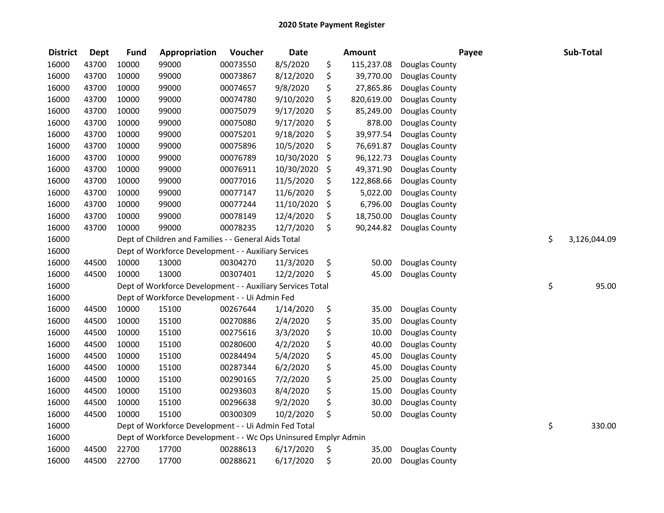| <b>District</b> | <b>Dept</b> | <b>Fund</b> | Appropriation                                                   | Voucher  | <b>Date</b> | <b>Amount</b>    | Payee          | Sub-Total          |
|-----------------|-------------|-------------|-----------------------------------------------------------------|----------|-------------|------------------|----------------|--------------------|
| 16000           | 43700       | 10000       | 99000                                                           | 00073550 | 8/5/2020    | \$<br>115,237.08 | Douglas County |                    |
| 16000           | 43700       | 10000       | 99000                                                           | 00073867 | 8/12/2020   | \$<br>39,770.00  | Douglas County |                    |
| 16000           | 43700       | 10000       | 99000                                                           | 00074657 | 9/8/2020    | \$<br>27,865.86  | Douglas County |                    |
| 16000           | 43700       | 10000       | 99000                                                           | 00074780 | 9/10/2020   | \$<br>820,619.00 | Douglas County |                    |
| 16000           | 43700       | 10000       | 99000                                                           | 00075079 | 9/17/2020   | \$<br>85,249.00  | Douglas County |                    |
| 16000           | 43700       | 10000       | 99000                                                           | 00075080 | 9/17/2020   | \$<br>878.00     | Douglas County |                    |
| 16000           | 43700       | 10000       | 99000                                                           | 00075201 | 9/18/2020   | \$<br>39,977.54  | Douglas County |                    |
| 16000           | 43700       | 10000       | 99000                                                           | 00075896 | 10/5/2020   | \$<br>76,691.87  | Douglas County |                    |
| 16000           | 43700       | 10000       | 99000                                                           | 00076789 | 10/30/2020  | \$<br>96,122.73  | Douglas County |                    |
| 16000           | 43700       | 10000       | 99000                                                           | 00076911 | 10/30/2020  | \$<br>49,371.90  | Douglas County |                    |
| 16000           | 43700       | 10000       | 99000                                                           | 00077016 | 11/5/2020   | \$<br>122,868.66 | Douglas County |                    |
| 16000           | 43700       | 10000       | 99000                                                           | 00077147 | 11/6/2020   | \$<br>5,022.00   | Douglas County |                    |
| 16000           | 43700       | 10000       | 99000                                                           | 00077244 | 11/10/2020  | \$<br>6,796.00   | Douglas County |                    |
| 16000           | 43700       | 10000       | 99000                                                           | 00078149 | 12/4/2020   | \$<br>18,750.00  | Douglas County |                    |
| 16000           | 43700       | 10000       | 99000                                                           | 00078235 | 12/7/2020   | \$<br>90,244.82  | Douglas County |                    |
| 16000           |             |             | Dept of Children and Families - - General Aids Total            |          |             |                  |                | \$<br>3,126,044.09 |
| 16000           |             |             | Dept of Workforce Development - - Auxiliary Services            |          |             |                  |                |                    |
| 16000           | 44500       | 10000       | 13000                                                           | 00304270 | 11/3/2020   | \$<br>50.00      | Douglas County |                    |
| 16000           | 44500       | 10000       | 13000                                                           | 00307401 | 12/2/2020   | \$<br>45.00      | Douglas County |                    |
| 16000           |             |             | Dept of Workforce Development - - Auxiliary Services Total      |          |             |                  |                | \$<br>95.00        |
| 16000           |             |             | Dept of Workforce Development - - Ui Admin Fed                  |          |             |                  |                |                    |
| 16000           | 44500       | 10000       | 15100                                                           | 00267644 | 1/14/2020   | \$<br>35.00      | Douglas County |                    |
| 16000           | 44500       | 10000       | 15100                                                           | 00270886 | 2/4/2020    | \$<br>35.00      | Douglas County |                    |
| 16000           | 44500       | 10000       | 15100                                                           | 00275616 | 3/3/2020    | \$<br>10.00      | Douglas County |                    |
| 16000           | 44500       | 10000       | 15100                                                           | 00280600 | 4/2/2020    | \$<br>40.00      | Douglas County |                    |
| 16000           | 44500       | 10000       | 15100                                                           | 00284494 | 5/4/2020    | \$<br>45.00      | Douglas County |                    |
| 16000           | 44500       | 10000       | 15100                                                           | 00287344 | 6/2/2020    | \$<br>45.00      | Douglas County |                    |
| 16000           | 44500       | 10000       | 15100                                                           | 00290165 | 7/2/2020    | \$<br>25.00      | Douglas County |                    |
| 16000           | 44500       | 10000       | 15100                                                           | 00293603 | 8/4/2020    | \$<br>15.00      | Douglas County |                    |
| 16000           | 44500       | 10000       | 15100                                                           | 00296638 | 9/2/2020    | \$<br>30.00      | Douglas County |                    |
| 16000           | 44500       | 10000       | 15100                                                           | 00300309 | 10/2/2020   | \$<br>50.00      | Douglas County |                    |
| 16000           |             |             | Dept of Workforce Development - - Ui Admin Fed Total            |          |             |                  |                | \$<br>330.00       |
| 16000           |             |             | Dept of Workforce Development - - Wc Ops Uninsured Emplyr Admin |          |             |                  |                |                    |
| 16000           | 44500       | 22700       | 17700                                                           | 00288613 | 6/17/2020   | \$<br>35.00      | Douglas County |                    |
| 16000           | 44500       | 22700       | 17700                                                           | 00288621 | 6/17/2020   | \$<br>20.00      | Douglas County |                    |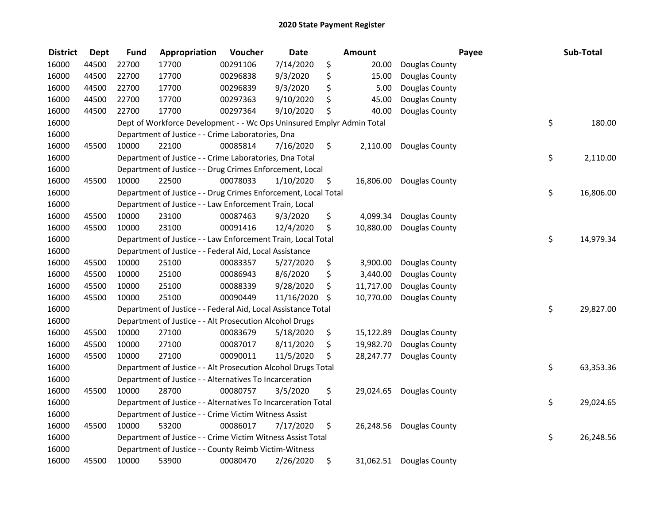| <b>District</b> | <b>Dept</b> | <b>Fund</b> | Appropriation                                                         | Voucher  | <b>Date</b> | <b>Amount</b>   |                          | Payee | Sub-Total |
|-----------------|-------------|-------------|-----------------------------------------------------------------------|----------|-------------|-----------------|--------------------------|-------|-----------|
| 16000           | 44500       | 22700       | 17700                                                                 | 00291106 | 7/14/2020   | \$<br>20.00     | Douglas County           |       |           |
| 16000           | 44500       | 22700       | 17700                                                                 | 00296838 | 9/3/2020    | \$<br>15.00     | Douglas County           |       |           |
| 16000           | 44500       | 22700       | 17700                                                                 | 00296839 | 9/3/2020    | \$<br>5.00      | Douglas County           |       |           |
| 16000           | 44500       | 22700       | 17700                                                                 | 00297363 | 9/10/2020   | \$<br>45.00     | Douglas County           |       |           |
| 16000           | 44500       | 22700       | 17700                                                                 | 00297364 | 9/10/2020   | \$<br>40.00     | Douglas County           |       |           |
| 16000           |             |             | Dept of Workforce Development - - Wc Ops Uninsured Emplyr Admin Total |          |             |                 |                          | \$    | 180.00    |
| 16000           |             |             | Department of Justice - - Crime Laboratories, Dna                     |          |             |                 |                          |       |           |
| 16000           | 45500       | 10000       | 22100                                                                 | 00085814 | 7/16/2020   | \$<br>2,110.00  | Douglas County           |       |           |
| 16000           |             |             | Department of Justice - - Crime Laboratories, Dna Total               |          |             |                 |                          | \$    | 2,110.00  |
| 16000           |             |             | Department of Justice - - Drug Crimes Enforcement, Local              |          |             |                 |                          |       |           |
| 16000           | 45500       | 10000       | 22500                                                                 | 00078033 | 1/10/2020   | \$<br>16,806.00 | Douglas County           |       |           |
| 16000           |             |             | Department of Justice - - Drug Crimes Enforcement, Local Total        |          |             |                 |                          | \$    | 16,806.00 |
| 16000           |             |             | Department of Justice - - Law Enforcement Train, Local                |          |             |                 |                          |       |           |
| 16000           | 45500       | 10000       | 23100                                                                 | 00087463 | 9/3/2020    | \$<br>4,099.34  | Douglas County           |       |           |
| 16000           | 45500       | 10000       | 23100                                                                 | 00091416 | 12/4/2020   | \$<br>10,880.00 | Douglas County           |       |           |
| 16000           |             |             | Department of Justice - - Law Enforcement Train, Local Total          |          |             |                 |                          | \$    | 14,979.34 |
| 16000           |             |             | Department of Justice - - Federal Aid, Local Assistance               |          |             |                 |                          |       |           |
| 16000           | 45500       | 10000       | 25100                                                                 | 00083357 | 5/27/2020   | \$<br>3,900.00  | Douglas County           |       |           |
| 16000           | 45500       | 10000       | 25100                                                                 | 00086943 | 8/6/2020    | \$<br>3,440.00  | Douglas County           |       |           |
| 16000           | 45500       | 10000       | 25100                                                                 | 00088339 | 9/28/2020   | \$<br>11,717.00 | Douglas County           |       |           |
| 16000           | 45500       | 10000       | 25100                                                                 | 00090449 | 11/16/2020  | \$<br>10,770.00 | Douglas County           |       |           |
| 16000           |             |             | Department of Justice - - Federal Aid, Local Assistance Total         |          |             |                 |                          | \$    | 29,827.00 |
| 16000           |             |             | Department of Justice - - Alt Prosecution Alcohol Drugs               |          |             |                 |                          |       |           |
| 16000           | 45500       | 10000       | 27100                                                                 | 00083679 | 5/18/2020   | \$<br>15,122.89 | Douglas County           |       |           |
| 16000           | 45500       | 10000       | 27100                                                                 | 00087017 | 8/11/2020   | \$<br>19,982.70 | Douglas County           |       |           |
| 16000           | 45500       | 10000       | 27100                                                                 | 00090011 | 11/5/2020   | \$<br>28,247.77 | Douglas County           |       |           |
| 16000           |             |             | Department of Justice - - Alt Prosecution Alcohol Drugs Total         |          |             |                 |                          | \$    | 63,353.36 |
| 16000           |             |             | Department of Justice - - Alternatives To Incarceration               |          |             |                 |                          |       |           |
| 16000           | 45500       | 10000       | 28700                                                                 | 00080757 | 3/5/2020    | \$<br>29,024.65 | Douglas County           |       |           |
| 16000           |             |             | Department of Justice - - Alternatives To Incarceration Total         |          |             |                 |                          | \$    | 29,024.65 |
| 16000           |             |             | Department of Justice - - Crime Victim Witness Assist                 |          |             |                 |                          |       |           |
| 16000           | 45500       | 10000       | 53200                                                                 | 00086017 | 7/17/2020   | \$              | 26,248.56 Douglas County |       |           |
| 16000           |             |             | Department of Justice - - Crime Victim Witness Assist Total           |          |             |                 |                          | \$    | 26,248.56 |
| 16000           |             |             | Department of Justice - - County Reimb Victim-Witness                 |          |             |                 |                          |       |           |
| 16000           | 45500       | 10000       | 53900                                                                 | 00080470 | 2/26/2020   | \$<br>31,062.51 | Douglas County           |       |           |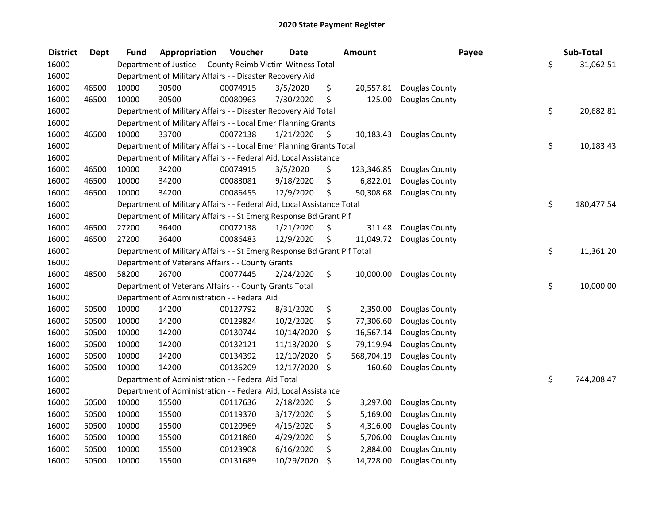| <b>District</b> | Dept  | Fund  | Appropriation                                                           | Voucher  | <b>Date</b>   |     | <b>Amount</b> | Payee          | Sub-Total        |
|-----------------|-------|-------|-------------------------------------------------------------------------|----------|---------------|-----|---------------|----------------|------------------|
| 16000           |       |       | Department of Justice - - County Reimb Victim-Witness Total             |          |               |     |               |                | \$<br>31,062.51  |
| 16000           |       |       | Department of Military Affairs - - Disaster Recovery Aid                |          |               |     |               |                |                  |
| 16000           | 46500 | 10000 | 30500                                                                   | 00074915 | 3/5/2020      | \$  | 20,557.81     | Douglas County |                  |
| 16000           | 46500 | 10000 | 30500                                                                   | 00080963 | 7/30/2020     | \$  | 125.00        | Douglas County |                  |
| 16000           |       |       | Department of Military Affairs - - Disaster Recovery Aid Total          |          |               |     |               |                | \$<br>20,682.81  |
| 16000           |       |       | Department of Military Affairs - - Local Emer Planning Grants           |          |               |     |               |                |                  |
| 16000           | 46500 | 10000 | 33700                                                                   | 00072138 | 1/21/2020     | \$. | 10,183.43     | Douglas County |                  |
| 16000           |       |       | Department of Military Affairs - - Local Emer Planning Grants Total     |          |               |     |               |                | \$<br>10,183.43  |
| 16000           |       |       | Department of Military Affairs - - Federal Aid, Local Assistance        |          |               |     |               |                |                  |
| 16000           | 46500 | 10000 | 34200                                                                   | 00074915 | 3/5/2020      | \$  | 123,346.85    | Douglas County |                  |
| 16000           | 46500 | 10000 | 34200                                                                   | 00083081 | 9/18/2020     | \$  | 6,822.01      | Douglas County |                  |
| 16000           | 46500 | 10000 | 34200                                                                   | 00086455 | 12/9/2020     | \$  | 50,308.68     | Douglas County |                  |
| 16000           |       |       | Department of Military Affairs - - Federal Aid, Local Assistance Total  |          |               |     |               |                | \$<br>180,477.54 |
| 16000           |       |       | Department of Military Affairs - - St Emerg Response Bd Grant Pif       |          |               |     |               |                |                  |
| 16000           | 46500 | 27200 | 36400                                                                   | 00072138 | 1/21/2020     | \$  | 311.48        | Douglas County |                  |
| 16000           | 46500 | 27200 | 36400                                                                   | 00086483 | 12/9/2020     | \$  | 11,049.72     | Douglas County |                  |
| 16000           |       |       | Department of Military Affairs - - St Emerg Response Bd Grant Pif Total |          |               |     |               |                | \$<br>11,361.20  |
| 16000           |       |       | Department of Veterans Affairs - - County Grants                        |          |               |     |               |                |                  |
| 16000           | 48500 | 58200 | 26700                                                                   | 00077445 | 2/24/2020     | \$  | 10,000.00     | Douglas County |                  |
| 16000           |       |       | Department of Veterans Affairs - - County Grants Total                  |          |               |     |               |                | \$<br>10,000.00  |
| 16000           |       |       | Department of Administration - - Federal Aid                            |          |               |     |               |                |                  |
| 16000           | 50500 | 10000 | 14200                                                                   | 00127792 | 8/31/2020     | \$  | 2,350.00      | Douglas County |                  |
| 16000           | 50500 | 10000 | 14200                                                                   | 00129824 | 10/2/2020     | \$  | 77,306.60     | Douglas County |                  |
| 16000           | 50500 | 10000 | 14200                                                                   | 00130744 | 10/14/2020    | \$  | 16,567.14     | Douglas County |                  |
| 16000           | 50500 | 10000 | 14200                                                                   | 00132121 | 11/13/2020    | \$  | 79,119.94     | Douglas County |                  |
| 16000           | 50500 | 10000 | 14200                                                                   | 00134392 | 12/10/2020    | \$  | 568,704.19    | Douglas County |                  |
| 16000           | 50500 | 10000 | 14200                                                                   | 00136209 | 12/17/2020 \$ |     | 160.60        | Douglas County |                  |
| 16000           |       |       | Department of Administration - - Federal Aid Total                      |          |               |     |               |                | \$<br>744,208.47 |
| 16000           |       |       | Department of Administration - - Federal Aid, Local Assistance          |          |               |     |               |                |                  |
| 16000           | 50500 | 10000 | 15500                                                                   | 00117636 | 2/18/2020     | \$  | 3,297.00      | Douglas County |                  |
| 16000           | 50500 | 10000 | 15500                                                                   | 00119370 | 3/17/2020     | \$  | 5,169.00      | Douglas County |                  |
| 16000           | 50500 | 10000 | 15500                                                                   | 00120969 | 4/15/2020     | \$  | 4,316.00      | Douglas County |                  |
| 16000           | 50500 | 10000 | 15500                                                                   | 00121860 | 4/29/2020     | \$  | 5,706.00      | Douglas County |                  |
| 16000           | 50500 | 10000 | 15500                                                                   | 00123908 | 6/16/2020     | \$  | 2,884.00      | Douglas County |                  |
| 16000           | 50500 | 10000 | 15500                                                                   | 00131689 | 10/29/2020    | \$  | 14,728.00     | Douglas County |                  |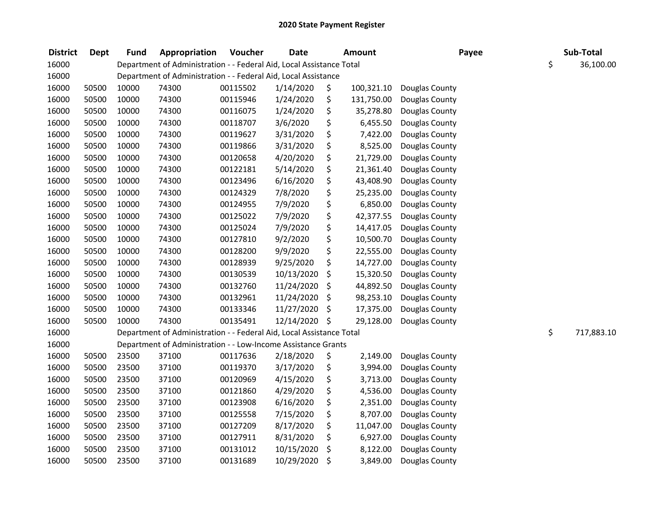| <b>District</b> | <b>Dept</b> | <b>Fund</b> | Appropriation                                                        | Voucher  | <b>Date</b>   | Amount           | Payee          | Sub-Total        |
|-----------------|-------------|-------------|----------------------------------------------------------------------|----------|---------------|------------------|----------------|------------------|
| 16000           |             |             | Department of Administration - - Federal Aid, Local Assistance Total |          |               |                  |                | \$<br>36,100.00  |
| 16000           |             |             | Department of Administration - - Federal Aid, Local Assistance       |          |               |                  |                |                  |
| 16000           | 50500       | 10000       | 74300                                                                | 00115502 | 1/14/2020     | \$<br>100,321.10 | Douglas County |                  |
| 16000           | 50500       | 10000       | 74300                                                                | 00115946 | 1/24/2020     | \$<br>131,750.00 | Douglas County |                  |
| 16000           | 50500       | 10000       | 74300                                                                | 00116075 | 1/24/2020     | \$<br>35,278.80  | Douglas County |                  |
| 16000           | 50500       | 10000       | 74300                                                                | 00118707 | 3/6/2020      | \$<br>6,455.50   | Douglas County |                  |
| 16000           | 50500       | 10000       | 74300                                                                | 00119627 | 3/31/2020     | \$<br>7,422.00   | Douglas County |                  |
| 16000           | 50500       | 10000       | 74300                                                                | 00119866 | 3/31/2020     | \$<br>8,525.00   | Douglas County |                  |
| 16000           | 50500       | 10000       | 74300                                                                | 00120658 | 4/20/2020     | \$<br>21,729.00  | Douglas County |                  |
| 16000           | 50500       | 10000       | 74300                                                                | 00122181 | 5/14/2020     | \$<br>21,361.40  | Douglas County |                  |
| 16000           | 50500       | 10000       | 74300                                                                | 00123496 | 6/16/2020     | \$<br>43,408.90  | Douglas County |                  |
| 16000           | 50500       | 10000       | 74300                                                                | 00124329 | 7/8/2020      | \$<br>25,235.00  | Douglas County |                  |
| 16000           | 50500       | 10000       | 74300                                                                | 00124955 | 7/9/2020      | \$<br>6,850.00   | Douglas County |                  |
| 16000           | 50500       | 10000       | 74300                                                                | 00125022 | 7/9/2020      | \$<br>42,377.55  | Douglas County |                  |
| 16000           | 50500       | 10000       | 74300                                                                | 00125024 | 7/9/2020      | \$<br>14,417.05  | Douglas County |                  |
| 16000           | 50500       | 10000       | 74300                                                                | 00127810 | 9/2/2020      | \$<br>10,500.70  | Douglas County |                  |
| 16000           | 50500       | 10000       | 74300                                                                | 00128200 | 9/9/2020      | \$<br>22,555.00  | Douglas County |                  |
| 16000           | 50500       | 10000       | 74300                                                                | 00128939 | 9/25/2020     | \$<br>14,727.00  | Douglas County |                  |
| 16000           | 50500       | 10000       | 74300                                                                | 00130539 | 10/13/2020    | \$<br>15,320.50  | Douglas County |                  |
| 16000           | 50500       | 10000       | 74300                                                                | 00132760 | 11/24/2020    | \$<br>44,892.50  | Douglas County |                  |
| 16000           | 50500       | 10000       | 74300                                                                | 00132961 | 11/24/2020    | \$<br>98,253.10  | Douglas County |                  |
| 16000           | 50500       | 10000       | 74300                                                                | 00133346 | 11/27/2020    | \$<br>17,375.00  | Douglas County |                  |
| 16000           | 50500       | 10000       | 74300                                                                | 00135491 | 12/14/2020 \$ | 29,128.00        | Douglas County |                  |
| 16000           |             |             | Department of Administration - - Federal Aid, Local Assistance Total |          |               |                  |                | \$<br>717,883.10 |
| 16000           |             |             | Department of Administration - - Low-Income Assistance Grants        |          |               |                  |                |                  |
| 16000           | 50500       | 23500       | 37100                                                                | 00117636 | 2/18/2020     | \$<br>2,149.00   | Douglas County |                  |
| 16000           | 50500       | 23500       | 37100                                                                | 00119370 | 3/17/2020     | \$<br>3,994.00   | Douglas County |                  |
| 16000           | 50500       | 23500       | 37100                                                                | 00120969 | 4/15/2020     | \$<br>3,713.00   | Douglas County |                  |
| 16000           | 50500       | 23500       | 37100                                                                | 00121860 | 4/29/2020     | \$<br>4,536.00   | Douglas County |                  |
| 16000           | 50500       | 23500       | 37100                                                                | 00123908 | 6/16/2020     | \$<br>2,351.00   | Douglas County |                  |
| 16000           | 50500       | 23500       | 37100                                                                | 00125558 | 7/15/2020     | \$<br>8,707.00   | Douglas County |                  |
| 16000           | 50500       | 23500       | 37100                                                                | 00127209 | 8/17/2020     | \$<br>11,047.00  | Douglas County |                  |
| 16000           | 50500       | 23500       | 37100                                                                | 00127911 | 8/31/2020     | \$<br>6,927.00   | Douglas County |                  |
| 16000           | 50500       | 23500       | 37100                                                                | 00131012 | 10/15/2020    | \$<br>8,122.00   | Douglas County |                  |
| 16000           | 50500       | 23500       | 37100                                                                | 00131689 | 10/29/2020    | \$<br>3,849.00   | Douglas County |                  |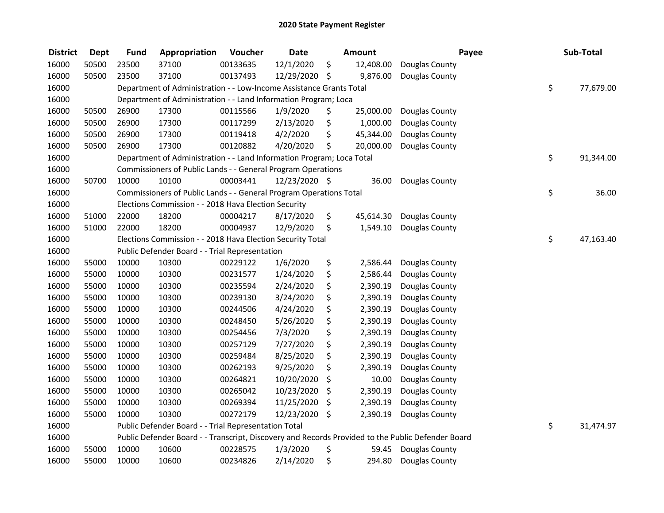| <b>District</b> | <b>Dept</b> | <b>Fund</b> | Appropriation                                                         | Voucher  | <b>Date</b>   |     | <b>Amount</b> |                                                                                                   | Payee | Sub-Total       |
|-----------------|-------------|-------------|-----------------------------------------------------------------------|----------|---------------|-----|---------------|---------------------------------------------------------------------------------------------------|-------|-----------------|
| 16000           | 50500       | 23500       | 37100                                                                 | 00133635 | 12/1/2020     | \$  | 12,408.00     | Douglas County                                                                                    |       |                 |
| 16000           | 50500       | 23500       | 37100                                                                 | 00137493 | 12/29/2020    | -\$ | 9,876.00      | Douglas County                                                                                    |       |                 |
| 16000           |             |             | Department of Administration - - Low-Income Assistance Grants Total   |          |               |     |               |                                                                                                   |       | \$<br>77,679.00 |
| 16000           |             |             | Department of Administration - - Land Information Program; Loca       |          |               |     |               |                                                                                                   |       |                 |
| 16000           | 50500       | 26900       | 17300                                                                 | 00115566 | 1/9/2020      | \$  | 25,000.00     | Douglas County                                                                                    |       |                 |
| 16000           | 50500       | 26900       | 17300                                                                 | 00117299 | 2/13/2020     | \$  | 1,000.00      | Douglas County                                                                                    |       |                 |
| 16000           | 50500       | 26900       | 17300                                                                 | 00119418 | 4/2/2020      | \$  | 45,344.00     | Douglas County                                                                                    |       |                 |
| 16000           | 50500       | 26900       | 17300                                                                 | 00120882 | 4/20/2020     | \$  | 20,000.00     | Douglas County                                                                                    |       |                 |
| 16000           |             |             | Department of Administration - - Land Information Program; Loca Total |          |               |     |               |                                                                                                   |       | \$<br>91,344.00 |
| 16000           |             |             | Commissioners of Public Lands - - General Program Operations          |          |               |     |               |                                                                                                   |       |                 |
| 16000           | 50700       | 10000       | 10100                                                                 | 00003441 | 12/23/2020 \$ |     | 36.00         | Douglas County                                                                                    |       |                 |
| 16000           |             |             | Commissioners of Public Lands - - General Program Operations Total    |          |               |     |               |                                                                                                   |       | \$<br>36.00     |
| 16000           |             |             | Elections Commission - - 2018 Hava Election Security                  |          |               |     |               |                                                                                                   |       |                 |
| 16000           | 51000       | 22000       | 18200                                                                 | 00004217 | 8/17/2020     | \$  | 45,614.30     | Douglas County                                                                                    |       |                 |
| 16000           | 51000       | 22000       | 18200                                                                 | 00004937 | 12/9/2020     | \$  | 1,549.10      | Douglas County                                                                                    |       |                 |
| 16000           |             |             | Elections Commission - - 2018 Hava Election Security Total            |          |               |     |               |                                                                                                   |       | \$<br>47,163.40 |
| 16000           |             |             | Public Defender Board - - Trial Representation                        |          |               |     |               |                                                                                                   |       |                 |
| 16000           | 55000       | 10000       | 10300                                                                 | 00229122 | 1/6/2020      | \$  | 2,586.44      | Douglas County                                                                                    |       |                 |
| 16000           | 55000       | 10000       | 10300                                                                 | 00231577 | 1/24/2020     | \$  | 2,586.44      | Douglas County                                                                                    |       |                 |
| 16000           | 55000       | 10000       | 10300                                                                 | 00235594 | 2/24/2020     | \$  | 2,390.19      | Douglas County                                                                                    |       |                 |
| 16000           | 55000       | 10000       | 10300                                                                 | 00239130 | 3/24/2020     | \$  | 2,390.19      | Douglas County                                                                                    |       |                 |
| 16000           | 55000       | 10000       | 10300                                                                 | 00244506 | 4/24/2020     | \$  | 2,390.19      | Douglas County                                                                                    |       |                 |
| 16000           | 55000       | 10000       | 10300                                                                 | 00248450 | 5/26/2020     | \$  | 2,390.19      | Douglas County                                                                                    |       |                 |
| 16000           | 55000       | 10000       | 10300                                                                 | 00254456 | 7/3/2020      | \$  | 2,390.19      | Douglas County                                                                                    |       |                 |
| 16000           | 55000       | 10000       | 10300                                                                 | 00257129 | 7/27/2020     | \$  | 2,390.19      | Douglas County                                                                                    |       |                 |
| 16000           | 55000       | 10000       | 10300                                                                 | 00259484 | 8/25/2020     | \$  | 2,390.19      | Douglas County                                                                                    |       |                 |
| 16000           | 55000       | 10000       | 10300                                                                 | 00262193 | 9/25/2020     | \$  | 2,390.19      | Douglas County                                                                                    |       |                 |
| 16000           | 55000       | 10000       | 10300                                                                 | 00264821 | 10/20/2020    | \$  | 10.00         | Douglas County                                                                                    |       |                 |
| 16000           | 55000       | 10000       | 10300                                                                 | 00265042 | 10/23/2020    | \$  | 2,390.19      | Douglas County                                                                                    |       |                 |
| 16000           | 55000       | 10000       | 10300                                                                 | 00269394 | 11/25/2020    | \$  | 2,390.19      | Douglas County                                                                                    |       |                 |
| 16000           | 55000       | 10000       | 10300                                                                 | 00272179 | 12/23/2020    | \$  | 2,390.19      | Douglas County                                                                                    |       |                 |
| 16000           |             |             | Public Defender Board - - Trial Representation Total                  |          |               |     |               |                                                                                                   |       | \$<br>31,474.97 |
| 16000           |             |             |                                                                       |          |               |     |               | Public Defender Board - - Transcript, Discovery and Records Provided to the Public Defender Board |       |                 |
| 16000           | 55000       | 10000       | 10600                                                                 | 00228575 | 1/3/2020      | \$  | 59.45         | Douglas County                                                                                    |       |                 |
| 16000           | 55000       | 10000       | 10600                                                                 | 00234826 | 2/14/2020     | \$  | 294.80        | Douglas County                                                                                    |       |                 |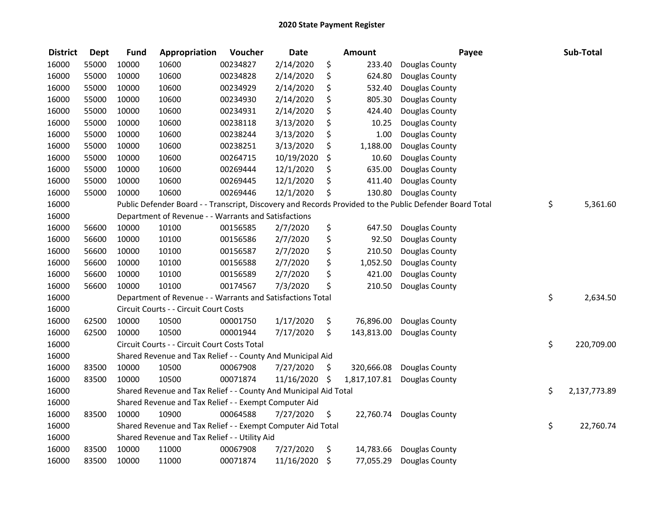| <b>District</b> | <b>Dept</b> | <b>Fund</b> | Appropriation                                                    | Voucher  | <b>Date</b> |     | <b>Amount</b> | Payee                                                                                                   | Sub-Total          |
|-----------------|-------------|-------------|------------------------------------------------------------------|----------|-------------|-----|---------------|---------------------------------------------------------------------------------------------------------|--------------------|
| 16000           | 55000       | 10000       | 10600                                                            | 00234827 | 2/14/2020   | \$  | 233.40        | Douglas County                                                                                          |                    |
| 16000           | 55000       | 10000       | 10600                                                            | 00234828 | 2/14/2020   | \$  | 624.80        | Douglas County                                                                                          |                    |
| 16000           | 55000       | 10000       | 10600                                                            | 00234929 | 2/14/2020   | \$  | 532.40        | Douglas County                                                                                          |                    |
| 16000           | 55000       | 10000       | 10600                                                            | 00234930 | 2/14/2020   | \$  | 805.30        | Douglas County                                                                                          |                    |
| 16000           | 55000       | 10000       | 10600                                                            | 00234931 | 2/14/2020   | \$  | 424.40        | Douglas County                                                                                          |                    |
| 16000           | 55000       | 10000       | 10600                                                            | 00238118 | 3/13/2020   | \$  | 10.25         | Douglas County                                                                                          |                    |
| 16000           | 55000       | 10000       | 10600                                                            | 00238244 | 3/13/2020   | \$  | 1.00          | Douglas County                                                                                          |                    |
| 16000           | 55000       | 10000       | 10600                                                            | 00238251 | 3/13/2020   | \$  | 1,188.00      | Douglas County                                                                                          |                    |
| 16000           | 55000       | 10000       | 10600                                                            | 00264715 | 10/19/2020  | \$  | 10.60         | Douglas County                                                                                          |                    |
| 16000           | 55000       | 10000       | 10600                                                            | 00269444 | 12/1/2020   | \$  | 635.00        | Douglas County                                                                                          |                    |
| 16000           | 55000       | 10000       | 10600                                                            | 00269445 | 12/1/2020   | \$  | 411.40        | Douglas County                                                                                          |                    |
| 16000           | 55000       | 10000       | 10600                                                            | 00269446 | 12/1/2020   | \$  | 130.80        | Douglas County                                                                                          |                    |
| 16000           |             |             |                                                                  |          |             |     |               | Public Defender Board - - Transcript, Discovery and Records Provided to the Public Defender Board Total | \$<br>5,361.60     |
| 16000           |             |             | Department of Revenue - - Warrants and Satisfactions             |          |             |     |               |                                                                                                         |                    |
| 16000           | 56600       | 10000       | 10100                                                            | 00156585 | 2/7/2020    | \$  | 647.50        | Douglas County                                                                                          |                    |
| 16000           | 56600       | 10000       | 10100                                                            | 00156586 | 2/7/2020    | \$  | 92.50         | Douglas County                                                                                          |                    |
| 16000           | 56600       | 10000       | 10100                                                            | 00156587 | 2/7/2020    | \$  | 210.50        | Douglas County                                                                                          |                    |
| 16000           | 56600       | 10000       | 10100                                                            | 00156588 | 2/7/2020    | \$  | 1,052.50      | Douglas County                                                                                          |                    |
| 16000           | 56600       | 10000       | 10100                                                            | 00156589 | 2/7/2020    | \$  | 421.00        | Douglas County                                                                                          |                    |
| 16000           | 56600       | 10000       | 10100                                                            | 00174567 | 7/3/2020    | \$  | 210.50        | Douglas County                                                                                          |                    |
| 16000           |             |             | Department of Revenue - - Warrants and Satisfactions Total       |          |             |     |               |                                                                                                         | \$<br>2,634.50     |
| 16000           |             |             | Circuit Courts - - Circuit Court Costs                           |          |             |     |               |                                                                                                         |                    |
| 16000           | 62500       | 10000       | 10500                                                            | 00001750 | 1/17/2020   | \$  | 76,896.00     | Douglas County                                                                                          |                    |
| 16000           | 62500       | 10000       | 10500                                                            | 00001944 | 7/17/2020   | \$  | 143,813.00    | Douglas County                                                                                          |                    |
| 16000           |             |             | Circuit Courts - - Circuit Court Costs Total                     |          |             |     |               |                                                                                                         | \$<br>220,709.00   |
| 16000           |             |             | Shared Revenue and Tax Relief - - County And Municipal Aid       |          |             |     |               |                                                                                                         |                    |
| 16000           | 83500       | 10000       | 10500                                                            | 00067908 | 7/27/2020   | \$  | 320,666.08    | Douglas County                                                                                          |                    |
| 16000           | 83500       | 10000       | 10500                                                            | 00071874 | 11/16/2020  | -\$ | 1,817,107.81  | Douglas County                                                                                          |                    |
| 16000           |             |             | Shared Revenue and Tax Relief - - County And Municipal Aid Total |          |             |     |               |                                                                                                         | \$<br>2,137,773.89 |
| 16000           |             |             | Shared Revenue and Tax Relief - - Exempt Computer Aid            |          |             |     |               |                                                                                                         |                    |
| 16000           | 83500       | 10000       | 10900                                                            | 00064588 | 7/27/2020   | \$  | 22,760.74     | Douglas County                                                                                          |                    |
| 16000           |             |             | Shared Revenue and Tax Relief - - Exempt Computer Aid Total      |          |             |     |               |                                                                                                         | \$<br>22,760.74    |
| 16000           |             |             | Shared Revenue and Tax Relief - - Utility Aid                    |          |             |     |               |                                                                                                         |                    |
| 16000           | 83500       | 10000       | 11000                                                            | 00067908 | 7/27/2020   | \$  | 14,783.66     | Douglas County                                                                                          |                    |
| 16000           | 83500       | 10000       | 11000                                                            | 00071874 | 11/16/2020  | \$  | 77,055.29     | Douglas County                                                                                          |                    |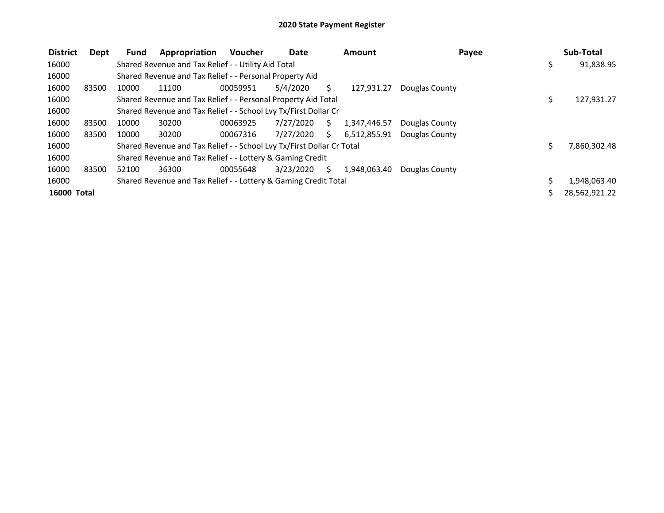| <b>District</b>    | Dept  | <b>Fund</b> | Appropriation                                                         | <b>Voucher</b> | <b>Date</b> |    | <b>Amount</b> | Payee          | Sub-Total        |
|--------------------|-------|-------------|-----------------------------------------------------------------------|----------------|-------------|----|---------------|----------------|------------------|
| 16000              |       |             | Shared Revenue and Tax Relief - - Utility Aid Total                   |                |             |    |               |                | \$<br>91,838.95  |
| 16000              |       |             | Shared Revenue and Tax Relief - - Personal Property Aid               |                |             |    |               |                |                  |
| 16000              | 83500 | 10000       | 11100                                                                 | 00059951       | 5/4/2020    | S  | 127,931.27    | Douglas County |                  |
| 16000              |       |             | Shared Revenue and Tax Relief - - Personal Property Aid Total         |                |             |    |               |                | \$<br>127,931.27 |
| 16000              |       |             | Shared Revenue and Tax Relief - - School Lvy Tx/First Dollar Cr       |                |             |    |               |                |                  |
| 16000              | 83500 | 10000       | 30200                                                                 | 00063925       | 7/27/2020   | S. | 1,347,446.57  | Douglas County |                  |
| 16000              | 83500 | 10000       | 30200                                                                 | 00067316       | 7/27/2020   | S. | 6,512,855.91  | Douglas County |                  |
| 16000              |       |             | Shared Revenue and Tax Relief - - School Lvy Tx/First Dollar Cr Total |                |             |    |               |                | 7,860,302.48     |
| 16000              |       |             | Shared Revenue and Tax Relief - - Lottery & Gaming Credit             |                |             |    |               |                |                  |
| 16000              | 83500 | 52100       | 36300                                                                 | 00055648       | 3/23/2020   | S. | 1,948,063.40  | Douglas County |                  |
| 16000              |       |             | Shared Revenue and Tax Relief - - Lottery & Gaming Credit Total       |                |             |    |               |                | 1,948,063.40     |
| <b>16000 Total</b> |       |             |                                                                       |                |             |    |               |                | 28,562,921.22    |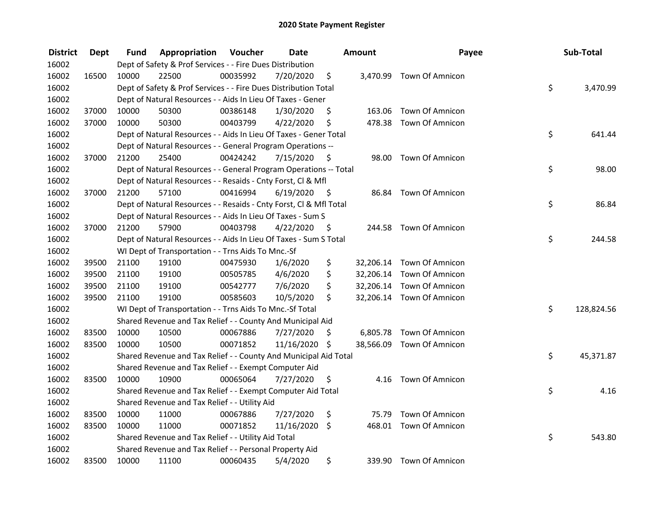| <b>District</b> | <b>Dept</b> | Fund  | Appropriation                                                      | Voucher  | <b>Date</b> |      | Amount    | Payee                     | Sub-Total        |
|-----------------|-------------|-------|--------------------------------------------------------------------|----------|-------------|------|-----------|---------------------------|------------------|
| 16002           |             |       | Dept of Safety & Prof Services - - Fire Dues Distribution          |          |             |      |           |                           |                  |
| 16002           | 16500       | 10000 | 22500                                                              | 00035992 | 7/20/2020   | \$   |           | 3,470.99 Town Of Amnicon  |                  |
| 16002           |             |       | Dept of Safety & Prof Services - - Fire Dues Distribution Total    |          |             |      |           |                           | \$<br>3,470.99   |
| 16002           |             |       | Dept of Natural Resources - - Aids In Lieu Of Taxes - Gener        |          |             |      |           |                           |                  |
| 16002           | 37000       | 10000 | 50300                                                              | 00386148 | 1/30/2020   | \$   | 163.06    | <b>Town Of Amnicon</b>    |                  |
| 16002           | 37000       | 10000 | 50300                                                              | 00403799 | 4/22/2020   | \$   |           | 478.38 Town Of Amnicon    |                  |
| 16002           |             |       | Dept of Natural Resources - - Aids In Lieu Of Taxes - Gener Total  |          |             |      |           |                           | \$<br>641.44     |
| 16002           |             |       | Dept of Natural Resources - - General Program Operations --        |          |             |      |           |                           |                  |
| 16002           | 37000       | 21200 | 25400                                                              | 00424242 | 7/15/2020   | \$   |           | 98.00 Town Of Amnicon     |                  |
| 16002           |             |       | Dept of Natural Resources - - General Program Operations -- Total  |          |             |      |           |                           | \$<br>98.00      |
| 16002           |             |       | Dept of Natural Resources - - Resaids - Cnty Forst, Cl & Mfl       |          |             |      |           |                           |                  |
| 16002           | 37000       | 21200 | 57100                                                              | 00416994 | 6/19/2020   | - \$ | 86.84     | <b>Town Of Amnicon</b>    |                  |
| 16002           |             |       | Dept of Natural Resources - - Resaids - Cnty Forst, Cl & Mfl Total |          |             |      |           |                           | \$<br>86.84      |
| 16002           |             |       | Dept of Natural Resources - - Aids In Lieu Of Taxes - Sum S        |          |             |      |           |                           |                  |
| 16002           | 37000       | 21200 | 57900                                                              | 00403798 | 4/22/2020   | \$   | 244.58    | Town Of Amnicon           |                  |
| 16002           |             |       | Dept of Natural Resources - - Aids In Lieu Of Taxes - Sum S Total  |          |             |      |           |                           | \$<br>244.58     |
| 16002           |             |       | WI Dept of Transportation - - Trns Aids To Mnc.-Sf                 |          |             |      |           |                           |                  |
| 16002           | 39500       | 21100 | 19100                                                              | 00475930 | 1/6/2020    | \$   | 32,206.14 | Town Of Amnicon           |                  |
| 16002           | 39500       | 21100 | 19100                                                              | 00505785 | 4/6/2020    | \$   |           | 32,206.14 Town Of Amnicon |                  |
| 16002           | 39500       | 21100 | 19100                                                              | 00542777 | 7/6/2020    | \$   |           | 32,206.14 Town Of Amnicon |                  |
| 16002           | 39500       | 21100 | 19100                                                              | 00585603 | 10/5/2020   | \$   |           | 32,206.14 Town Of Amnicon |                  |
| 16002           |             |       | WI Dept of Transportation - - Trns Aids To Mnc.-Sf Total           |          |             |      |           |                           | \$<br>128,824.56 |
| 16002           |             |       | Shared Revenue and Tax Relief - - County And Municipal Aid         |          |             |      |           |                           |                  |
| 16002           | 83500       | 10000 | 10500                                                              | 00067886 | 7/27/2020   | S    |           | 6,805.78 Town Of Amnicon  |                  |
| 16002           | 83500       | 10000 | 10500                                                              | 00071852 | 11/16/2020  | \$   |           | 38,566.09 Town Of Amnicon |                  |
| 16002           |             |       | Shared Revenue and Tax Relief - - County And Municipal Aid Total   |          |             |      |           |                           | \$<br>45,371.87  |
| 16002           |             |       | Shared Revenue and Tax Relief - - Exempt Computer Aid              |          |             |      |           |                           |                  |
| 16002           | 83500       | 10000 | 10900                                                              | 00065064 | 7/27/2020   | \$   |           | 4.16 Town Of Amnicon      |                  |
| 16002           |             |       | Shared Revenue and Tax Relief - - Exempt Computer Aid Total        |          |             |      |           |                           | \$<br>4.16       |
| 16002           |             |       | Shared Revenue and Tax Relief - - Utility Aid                      |          |             |      |           |                           |                  |
| 16002           | 83500       | 10000 | 11000                                                              | 00067886 | 7/27/2020   | \$   | 75.79     | Town Of Amnicon           |                  |
| 16002           | 83500       | 10000 | 11000                                                              | 00071852 | 11/16/2020  | \$   |           | 468.01 Town Of Amnicon    |                  |
| 16002           |             |       | Shared Revenue and Tax Relief - - Utility Aid Total                |          |             |      |           |                           | \$<br>543.80     |
| 16002           |             |       | Shared Revenue and Tax Relief - - Personal Property Aid            |          |             |      |           |                           |                  |
| 16002           | 83500       | 10000 | 11100                                                              | 00060435 | 5/4/2020    | \$   |           | 339.90 Town Of Amnicon    |                  |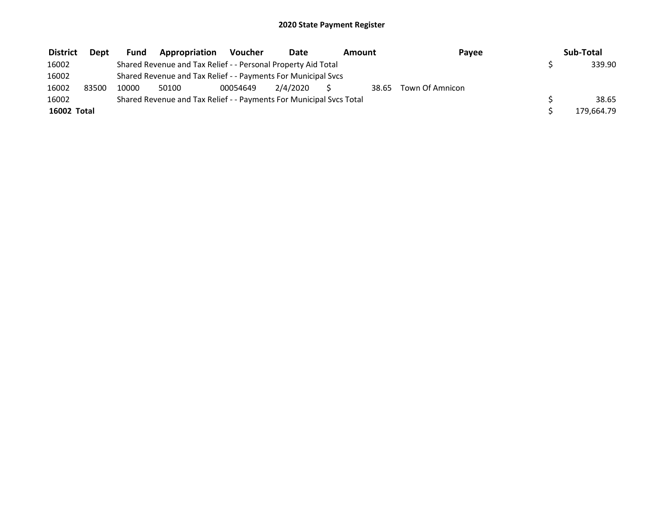| <b>District</b> | <b>Dept</b> | <b>Fund</b> | Appropriation                                                       | Voucher  | Date     | Amount |       | Pavee           | Sub-Total  |
|-----------------|-------------|-------------|---------------------------------------------------------------------|----------|----------|--------|-------|-----------------|------------|
| 16002           |             |             | Shared Revenue and Tax Relief - - Personal Property Aid Total       |          |          |        |       |                 | 339.90     |
| 16002           |             |             | Shared Revenue and Tax Relief - - Payments For Municipal Svcs       |          |          |        |       |                 |            |
| 16002           | 83500       | 10000       | 50100                                                               | 00054649 | 2/4/2020 |        | 38.65 | Town Of Amnicon |            |
| 16002           |             |             | Shared Revenue and Tax Relief - - Payments For Municipal Svcs Total |          |          |        |       |                 | 38.65      |
| 16002 Total     |             |             |                                                                     |          |          |        |       |                 | 179,664.79 |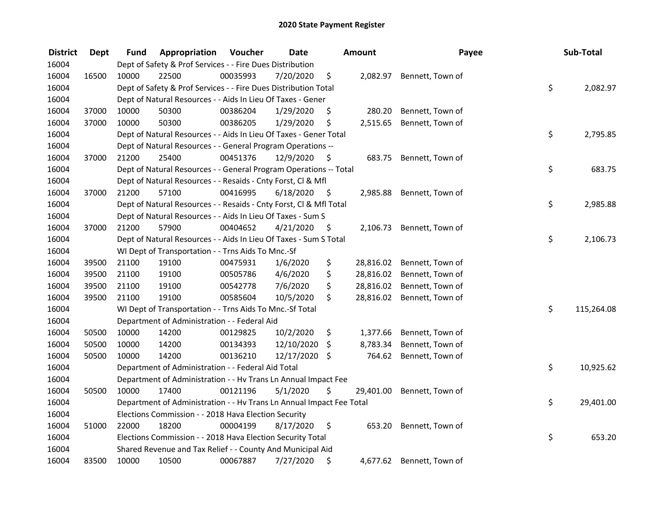| <b>District</b> | <b>Dept</b> | Fund  | Appropriation                                                        | Voucher  | <b>Date</b>   |      | Amount    | Payee                      | Sub-Total        |
|-----------------|-------------|-------|----------------------------------------------------------------------|----------|---------------|------|-----------|----------------------------|------------------|
| 16004           |             |       | Dept of Safety & Prof Services - - Fire Dues Distribution            |          |               |      |           |                            |                  |
| 16004           | 16500       | 10000 | 22500                                                                | 00035993 | 7/20/2020     | \$   |           | 2,082.97 Bennett, Town of  |                  |
| 16004           |             |       | Dept of Safety & Prof Services - - Fire Dues Distribution Total      |          |               |      |           |                            | \$<br>2,082.97   |
| 16004           |             |       | Dept of Natural Resources - - Aids In Lieu Of Taxes - Gener          |          |               |      |           |                            |                  |
| 16004           | 37000       | 10000 | 50300                                                                | 00386204 | 1/29/2020     | \$   | 280.20    | Bennett, Town of           |                  |
| 16004           | 37000       | 10000 | 50300                                                                | 00386205 | 1/29/2020     | \$   | 2,515.65  | Bennett, Town of           |                  |
| 16004           |             |       | Dept of Natural Resources - - Aids In Lieu Of Taxes - Gener Total    |          |               |      |           |                            | \$<br>2,795.85   |
| 16004           |             |       | Dept of Natural Resources - - General Program Operations --          |          |               |      |           |                            |                  |
| 16004           | 37000       | 21200 | 25400                                                                | 00451376 | 12/9/2020     | - \$ |           | 683.75 Bennett, Town of    |                  |
| 16004           |             |       | Dept of Natural Resources - - General Program Operations -- Total    |          |               |      |           |                            | \$<br>683.75     |
| 16004           |             |       | Dept of Natural Resources - - Resaids - Cnty Forst, Cl & Mfl         |          |               |      |           |                            |                  |
| 16004           | 37000       | 21200 | 57100                                                                | 00416995 | 6/18/2020     | - \$ |           | 2,985.88 Bennett, Town of  |                  |
| 16004           |             |       | Dept of Natural Resources - - Resaids - Cnty Forst, Cl & Mfl Total   |          |               |      |           |                            | \$<br>2,985.88   |
| 16004           |             |       | Dept of Natural Resources - - Aids In Lieu Of Taxes - Sum S          |          |               |      |           |                            |                  |
| 16004           | 37000       | 21200 | 57900                                                                | 00404652 | 4/21/2020     | \$,  |           | 2,106.73 Bennett, Town of  |                  |
| 16004           |             |       | Dept of Natural Resources - - Aids In Lieu Of Taxes - Sum S Total    |          |               |      |           |                            | \$<br>2,106.73   |
| 16004           |             |       | WI Dept of Transportation - - Trns Aids To Mnc.-Sf                   |          |               |      |           |                            |                  |
| 16004           | 39500       | 21100 | 19100                                                                | 00475931 | 1/6/2020      | \$   | 28,816.02 | Bennett, Town of           |                  |
| 16004           | 39500       | 21100 | 19100                                                                | 00505786 | 4/6/2020      | \$   |           | 28,816.02 Bennett, Town of |                  |
| 16004           | 39500       | 21100 | 19100                                                                | 00542778 | 7/6/2020      | \$   |           | 28,816.02 Bennett, Town of |                  |
| 16004           | 39500       | 21100 | 19100                                                                | 00585604 | 10/5/2020     | \$   |           | 28,816.02 Bennett, Town of |                  |
| 16004           |             |       | WI Dept of Transportation - - Trns Aids To Mnc.-Sf Total             |          |               |      |           |                            | \$<br>115,264.08 |
| 16004           |             |       | Department of Administration - - Federal Aid                         |          |               |      |           |                            |                  |
| 16004           | 50500       | 10000 | 14200                                                                | 00129825 | 10/2/2020     | \$   | 1,377.66  | Bennett, Town of           |                  |
| 16004           | 50500       | 10000 | 14200                                                                | 00134393 | 12/10/2020    | \$   | 8,783.34  | Bennett, Town of           |                  |
| 16004           | 50500       | 10000 | 14200                                                                | 00136210 | 12/17/2020 \$ |      | 764.62    | Bennett, Town of           |                  |
| 16004           |             |       | Department of Administration - - Federal Aid Total                   |          |               |      |           |                            | \$<br>10,925.62  |
| 16004           |             |       | Department of Administration - - Hv Trans Ln Annual Impact Fee       |          |               |      |           |                            |                  |
| 16004           | 50500       | 10000 | 17400                                                                | 00121196 | 5/1/2020      | \$   | 29,401.00 | Bennett, Town of           |                  |
| 16004           |             |       | Department of Administration - - Hv Trans Ln Annual Impact Fee Total |          |               |      |           |                            | \$<br>29,401.00  |
| 16004           |             |       | Elections Commission - - 2018 Hava Election Security                 |          |               |      |           |                            |                  |
| 16004           | 51000       | 22000 | 18200                                                                | 00004199 | 8/17/2020     | \$   | 653.20    | Bennett, Town of           |                  |
| 16004           |             |       | Elections Commission - - 2018 Hava Election Security Total           |          |               |      |           |                            | \$<br>653.20     |
| 16004           |             |       | Shared Revenue and Tax Relief - - County And Municipal Aid           |          |               |      |           |                            |                  |
| 16004           | 83500       | 10000 | 10500                                                                | 00067887 | 7/27/2020     | \$   |           | 4,677.62 Bennett, Town of  |                  |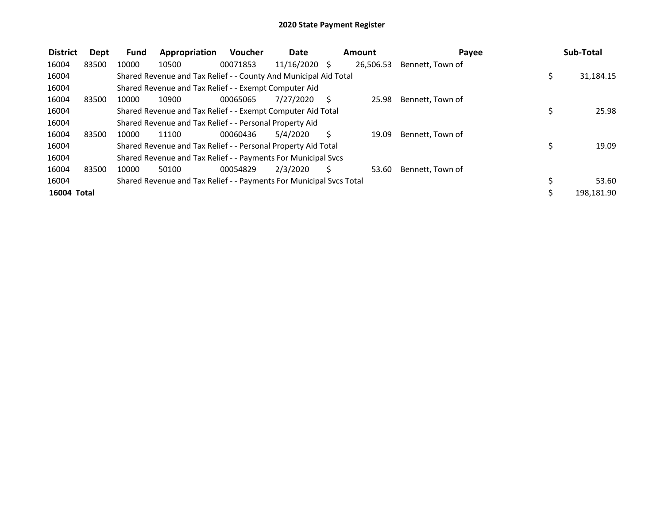| <b>District</b> | Dept  | <b>Fund</b> | Appropriation                                                       | <b>Voucher</b> | Date          |    | Amount    | Payee            | Sub-Total       |
|-----------------|-------|-------------|---------------------------------------------------------------------|----------------|---------------|----|-----------|------------------|-----------------|
| 16004           | 83500 | 10000       | 10500                                                               | 00071853       | 11/16/2020 \$ |    | 26,506.53 | Bennett, Town of |                 |
| 16004           |       |             | Shared Revenue and Tax Relief - - County And Municipal Aid Total    |                |               |    |           |                  | \$<br>31,184.15 |
| 16004           |       |             | Shared Revenue and Tax Relief - - Exempt Computer Aid               |                |               |    |           |                  |                 |
| 16004           | 83500 | 10000       | 10900                                                               | 00065065       | 7/27/2020     | S  | 25.98     | Bennett, Town of |                 |
| 16004           |       |             | Shared Revenue and Tax Relief - - Exempt Computer Aid Total         |                |               |    |           |                  | 25.98           |
| 16004           |       |             | Shared Revenue and Tax Relief - - Personal Property Aid             |                |               |    |           |                  |                 |
| 16004           | 83500 | 10000       | 11100                                                               | 00060436       | 5/4/2020      | S  | 19.09     | Bennett, Town of |                 |
| 16004           |       |             | Shared Revenue and Tax Relief - - Personal Property Aid Total       |                |               |    |           |                  | \$<br>19.09     |
| 16004           |       |             | Shared Revenue and Tax Relief - - Payments For Municipal Svcs       |                |               |    |           |                  |                 |
| 16004           | 83500 | 10000       | 50100                                                               | 00054829       | 2/3/2020      | Ś. | 53.60     | Bennett, Town of |                 |
| 16004           |       |             | Shared Revenue and Tax Relief - - Payments For Municipal Svcs Total |                |               |    |           |                  | 53.60           |
| 16004 Total     |       |             |                                                                     |                |               |    |           |                  | 198,181.90      |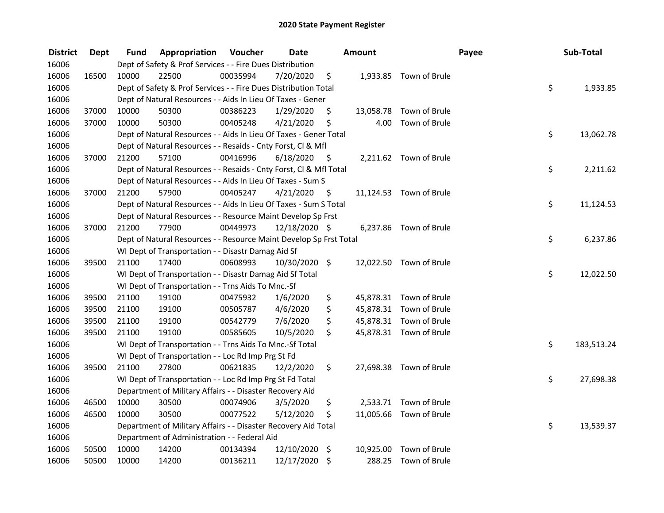| <b>District</b> | <b>Dept</b> | Fund  | Appropriation                                                      | Voucher  | <b>Date</b>   |      | Amount    |                         | Payee | Sub-Total        |
|-----------------|-------------|-------|--------------------------------------------------------------------|----------|---------------|------|-----------|-------------------------|-------|------------------|
| 16006           |             |       | Dept of Safety & Prof Services - - Fire Dues Distribution          |          |               |      |           |                         |       |                  |
| 16006           | 16500       | 10000 | 22500                                                              | 00035994 | 7/20/2020     | \$   |           | 1,933.85 Town of Brule  |       |                  |
| 16006           |             |       | Dept of Safety & Prof Services - - Fire Dues Distribution Total    |          |               |      |           |                         |       | \$<br>1,933.85   |
| 16006           |             |       | Dept of Natural Resources - - Aids In Lieu Of Taxes - Gener        |          |               |      |           |                         |       |                  |
| 16006           | 37000       | 10000 | 50300                                                              | 00386223 | 1/29/2020     | \$   | 13,058.78 | Town of Brule           |       |                  |
| 16006           | 37000       | 10000 | 50300                                                              | 00405248 | 4/21/2020     | \$   | 4.00      | Town of Brule           |       |                  |
| 16006           |             |       | Dept of Natural Resources - - Aids In Lieu Of Taxes - Gener Total  |          |               |      |           |                         |       | \$<br>13,062.78  |
| 16006           |             |       | Dept of Natural Resources - - Resaids - Cnty Forst, Cl & Mfl       |          |               |      |           |                         |       |                  |
| 16006           | 37000       | 21200 | 57100                                                              | 00416996 | 6/18/2020     | - \$ |           | 2,211.62 Town of Brule  |       |                  |
| 16006           |             |       | Dept of Natural Resources - - Resaids - Cnty Forst, CI & Mfl Total |          |               |      |           |                         |       | \$<br>2,211.62   |
| 16006           |             |       | Dept of Natural Resources - - Aids In Lieu Of Taxes - Sum S        |          |               |      |           |                         |       |                  |
| 16006           | 37000       | 21200 | 57900                                                              | 00405247 | 4/21/2020     | \$.  |           | 11,124.53 Town of Brule |       |                  |
| 16006           |             |       | Dept of Natural Resources - - Aids In Lieu Of Taxes - Sum S Total  |          |               |      |           |                         |       | \$<br>11,124.53  |
| 16006           |             |       | Dept of Natural Resources - - Resource Maint Develop Sp Frst       |          |               |      |           |                         |       |                  |
| 16006           | 37000       | 21200 | 77900                                                              | 00449973 | 12/18/2020 \$ |      |           | 6,237.86 Town of Brule  |       |                  |
| 16006           |             |       | Dept of Natural Resources - - Resource Maint Develop Sp Frst Total |          |               |      |           |                         |       | \$<br>6,237.86   |
| 16006           |             |       | WI Dept of Transportation - - Disastr Damag Aid Sf                 |          |               |      |           |                         |       |                  |
| 16006           | 39500       | 21100 | 17400                                                              | 00608993 | 10/30/2020 \$ |      |           | 12,022.50 Town of Brule |       |                  |
| 16006           |             |       | WI Dept of Transportation - - Disastr Damag Aid Sf Total           |          |               |      |           |                         |       | \$<br>12,022.50  |
| 16006           |             |       | WI Dept of Transportation - - Trns Aids To Mnc.-Sf                 |          |               |      |           |                         |       |                  |
| 16006           | 39500       | 21100 | 19100                                                              | 00475932 | 1/6/2020      | \$   |           | 45,878.31 Town of Brule |       |                  |
| 16006           | 39500       | 21100 | 19100                                                              | 00505787 | 4/6/2020      | \$   |           | 45,878.31 Town of Brule |       |                  |
| 16006           | 39500       | 21100 | 19100                                                              | 00542779 | 7/6/2020      | \$   |           | 45,878.31 Town of Brule |       |                  |
| 16006           | 39500       | 21100 | 19100                                                              | 00585605 | 10/5/2020     | \$   |           | 45,878.31 Town of Brule |       |                  |
| 16006           |             |       | WI Dept of Transportation - - Trns Aids To Mnc.-Sf Total           |          |               |      |           |                         |       | \$<br>183,513.24 |
| 16006           |             |       | WI Dept of Transportation - - Loc Rd Imp Prg St Fd                 |          |               |      |           |                         |       |                  |
| 16006           | 39500       | 21100 | 27800                                                              | 00621835 | 12/2/2020     | \$   |           | 27,698.38 Town of Brule |       |                  |
| 16006           |             |       | WI Dept of Transportation - - Loc Rd Imp Prg St Fd Total           |          |               |      |           |                         |       | \$<br>27,698.38  |
| 16006           |             |       | Department of Military Affairs - - Disaster Recovery Aid           |          |               |      |           |                         |       |                  |
| 16006           | 46500       | 10000 | 30500                                                              | 00074906 | 3/5/2020      | \$   |           | 2,533.71 Town of Brule  |       |                  |
| 16006           | 46500       | 10000 | 30500                                                              | 00077522 | 5/12/2020     | \$   |           | 11,005.66 Town of Brule |       |                  |
| 16006           |             |       | Department of Military Affairs - - Disaster Recovery Aid Total     |          |               |      |           |                         |       | \$<br>13,539.37  |
| 16006           |             |       | Department of Administration - - Federal Aid                       |          |               |      |           |                         |       |                  |
| 16006           | 50500       | 10000 | 14200                                                              | 00134394 | 12/10/2020    | \$   | 10,925.00 | Town of Brule           |       |                  |
| 16006           | 50500       | 10000 | 14200                                                              | 00136211 | 12/17/2020    | \$   | 288.25    | Town of Brule           |       |                  |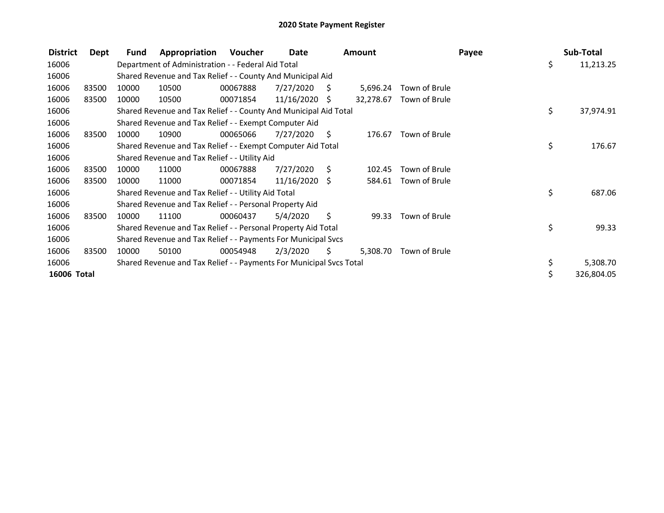| <b>District</b> | Dept  | Fund  | Appropriation                                                       | Voucher  | Date            |     | <b>Amount</b> |               | Payee |     | Sub-Total  |
|-----------------|-------|-------|---------------------------------------------------------------------|----------|-----------------|-----|---------------|---------------|-------|-----|------------|
| 16006           |       |       | Department of Administration - - Federal Aid Total                  |          |                 |     |               |               |       | \$  | 11,213.25  |
| 16006           |       |       | Shared Revenue and Tax Relief - - County And Municipal Aid          |          |                 |     |               |               |       |     |            |
| 16006           | 83500 | 10000 | 10500                                                               | 00067888 | 7/27/2020       | - S | 5,696.24      | Town of Brule |       |     |            |
| 16006           | 83500 | 10000 | 10500                                                               | 00071854 | $11/16/2020$ \$ |     | 32,278.67     | Town of Brule |       |     |            |
| 16006           |       |       | Shared Revenue and Tax Relief - - County And Municipal Aid Total    |          |                 |     |               |               |       | \$. | 37,974.91  |
| 16006           |       |       | Shared Revenue and Tax Relief - - Exempt Computer Aid               |          |                 |     |               |               |       |     |            |
| 16006           | 83500 | 10000 | 10900                                                               | 00065066 | 7/27/2020       | S.  | 176.67        | Town of Brule |       |     |            |
| 16006           |       |       | Shared Revenue and Tax Relief - - Exempt Computer Aid Total         |          |                 |     |               |               |       | \$  | 176.67     |
| 16006           |       |       | Shared Revenue and Tax Relief - - Utility Aid                       |          |                 |     |               |               |       |     |            |
| 16006           | 83500 | 10000 | 11000                                                               | 00067888 | 7/27/2020       | - S | 102.45        | Town of Brule |       |     |            |
| 16006           | 83500 | 10000 | 11000                                                               | 00071854 | $11/16/2020$ \$ |     | 584.61        | Town of Brule |       |     |            |
| 16006           |       |       | Shared Revenue and Tax Relief - - Utility Aid Total                 |          |                 |     |               |               |       | \$  | 687.06     |
| 16006           |       |       | Shared Revenue and Tax Relief - - Personal Property Aid             |          |                 |     |               |               |       |     |            |
| 16006           | 83500 | 10000 | 11100                                                               | 00060437 | 5/4/2020        | \$  | 99.33         | Town of Brule |       |     |            |
| 16006           |       |       | Shared Revenue and Tax Relief - - Personal Property Aid Total       |          |                 |     |               |               |       | \$  | 99.33      |
| 16006           |       |       | Shared Revenue and Tax Relief - - Payments For Municipal Svcs       |          |                 |     |               |               |       |     |            |
| 16006           | 83500 | 10000 | 50100                                                               | 00054948 | 2/3/2020        | S   | 5,308.70      | Town of Brule |       |     |            |
| 16006           |       |       | Shared Revenue and Tax Relief - - Payments For Municipal Svcs Total |          |                 |     |               |               |       | \$  | 5,308.70   |
| 16006 Total     |       |       |                                                                     |          |                 |     |               |               |       | \$  | 326,804.05 |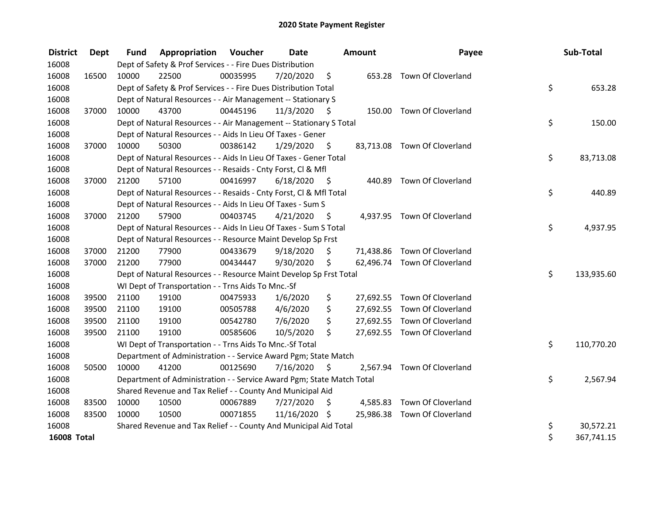| <b>District</b>    | Dept  | <b>Fund</b> | <b>Appropriation Voucher</b>                                          |          | <b>Date</b>   |      | <b>Amount</b> | Payee                        | Sub-Total        |
|--------------------|-------|-------------|-----------------------------------------------------------------------|----------|---------------|------|---------------|------------------------------|------------------|
| 16008              |       |             | Dept of Safety & Prof Services - - Fire Dues Distribution             |          |               |      |               |                              |                  |
| 16008              | 16500 | 10000       | 22500                                                                 | 00035995 | 7/20/2020     | \$   |               | 653.28 Town Of Cloverland    |                  |
| 16008              |       |             | Dept of Safety & Prof Services - - Fire Dues Distribution Total       |          |               |      |               |                              | \$<br>653.28     |
| 16008              |       |             | Dept of Natural Resources - - Air Management -- Stationary S          |          |               |      |               |                              |                  |
| 16008              | 37000 | 10000       | 43700                                                                 | 00445196 | 11/3/2020     | S    |               | 150.00 Town Of Cloverland    |                  |
| 16008              |       |             | Dept of Natural Resources - - Air Management -- Stationary S Total    |          |               |      |               |                              | \$<br>150.00     |
| 16008              |       |             | Dept of Natural Resources - - Aids In Lieu Of Taxes - Gener           |          |               |      |               |                              |                  |
| 16008              | 37000 | 10000       | 50300                                                                 | 00386142 | 1/29/2020     | - \$ |               | 83,713.08 Town Of Cloverland |                  |
| 16008              |       |             | Dept of Natural Resources - - Aids In Lieu Of Taxes - Gener Total     |          |               |      |               |                              | \$<br>83,713.08  |
| 16008              |       |             | Dept of Natural Resources - - Resaids - Cnty Forst, Cl & Mfl          |          |               |      |               |                              |                  |
| 16008              | 37000 | 21200       | 57100                                                                 | 00416997 | 6/18/2020     | - \$ | 440.89        | Town Of Cloverland           |                  |
| 16008              |       |             | Dept of Natural Resources - - Resaids - Cnty Forst, Cl & Mfl Total    |          |               |      |               |                              | \$<br>440.89     |
| 16008              |       |             | Dept of Natural Resources - - Aids In Lieu Of Taxes - Sum S           |          |               |      |               |                              |                  |
| 16008              | 37000 | 21200       | 57900                                                                 | 00403745 | 4/21/2020     | - \$ |               | 4,937.95 Town Of Cloverland  |                  |
| 16008              |       |             | Dept of Natural Resources - - Aids In Lieu Of Taxes - Sum S Total     |          |               |      |               |                              | \$<br>4,937.95   |
| 16008              |       |             | Dept of Natural Resources - - Resource Maint Develop Sp Frst          |          |               |      |               |                              |                  |
| 16008              | 37000 | 21200       | 77900                                                                 | 00433679 | 9/18/2020     | \$   |               | 71,438.86 Town Of Cloverland |                  |
| 16008              | 37000 | 21200       | 77900                                                                 | 00434447 | 9/30/2020     | \$   |               | 62,496.74 Town Of Cloverland |                  |
| 16008              |       |             | Dept of Natural Resources - - Resource Maint Develop Sp Frst Total    |          |               |      |               |                              | \$<br>133,935.60 |
| 16008              |       |             | WI Dept of Transportation - - Trns Aids To Mnc.-Sf                    |          |               |      |               |                              |                  |
| 16008              | 39500 | 21100       | 19100                                                                 | 00475933 | 1/6/2020      | \$   |               | 27,692.55 Town Of Cloverland |                  |
| 16008              | 39500 | 21100       | 19100                                                                 | 00505788 | 4/6/2020      | \$   |               | 27,692.55 Town Of Cloverland |                  |
| 16008              | 39500 | 21100       | 19100                                                                 | 00542780 | 7/6/2020      | \$   |               | 27,692.55 Town Of Cloverland |                  |
| 16008              | 39500 | 21100       | 19100                                                                 | 00585606 | 10/5/2020     | \$   |               | 27,692.55 Town Of Cloverland |                  |
| 16008              |       |             | WI Dept of Transportation - - Trns Aids To Mnc.-Sf Total              |          |               |      |               |                              | \$<br>110,770.20 |
| 16008              |       |             | Department of Administration - - Service Award Pgm; State Match       |          |               |      |               |                              |                  |
| 16008              | 50500 | 10000       | 41200                                                                 | 00125690 | 7/16/2020     | - \$ |               | 2,567.94 Town Of Cloverland  |                  |
| 16008              |       |             | Department of Administration - - Service Award Pgm; State Match Total |          |               |      |               |                              | \$<br>2,567.94   |
| 16008              |       |             | Shared Revenue and Tax Relief - - County And Municipal Aid            |          |               |      |               |                              |                  |
| 16008              | 83500 | 10000       | 10500                                                                 | 00067889 | 7/27/2020     | \$   |               | 4,585.83 Town Of Cloverland  |                  |
| 16008              | 83500 | 10000       | 10500                                                                 | 00071855 | 11/16/2020 \$ |      |               | 25,986.38 Town Of Cloverland |                  |
| 16008              |       |             | Shared Revenue and Tax Relief - - County And Municipal Aid Total      |          |               |      |               |                              | \$<br>30,572.21  |
| <b>16008 Total</b> |       |             |                                                                       |          |               |      |               |                              | \$<br>367,741.15 |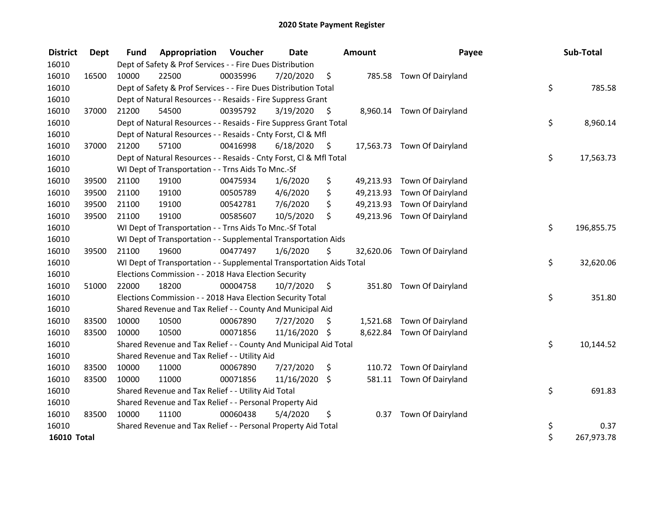| <b>District</b>    | <b>Dept</b> | <b>Fund</b> | Appropriation                                                        | Voucher  | <b>Date</b>   |      | <b>Amount</b> | Payee                       | Sub-Total        |
|--------------------|-------------|-------------|----------------------------------------------------------------------|----------|---------------|------|---------------|-----------------------------|------------------|
| 16010              |             |             | Dept of Safety & Prof Services - - Fire Dues Distribution            |          |               |      |               |                             |                  |
| 16010              | 16500       | 10000       | 22500                                                                | 00035996 | 7/20/2020     | \$   |               | 785.58 Town Of Dairyland    |                  |
| 16010              |             |             | Dept of Safety & Prof Services - - Fire Dues Distribution Total      |          |               |      |               |                             | \$<br>785.58     |
| 16010              |             |             | Dept of Natural Resources - - Resaids - Fire Suppress Grant          |          |               |      |               |                             |                  |
| 16010              | 37000       | 21200       | 54500                                                                | 00395792 | 3/19/2020     | \$   |               | 8,960.14 Town Of Dairyland  |                  |
| 16010              |             |             | Dept of Natural Resources - - Resaids - Fire Suppress Grant Total    |          |               |      |               |                             | \$<br>8,960.14   |
| 16010              |             |             | Dept of Natural Resources - - Resaids - Cnty Forst, Cl & Mfl         |          |               |      |               |                             |                  |
| 16010              | 37000       | 21200       | 57100                                                                | 00416998 | 6/18/2020     | - \$ |               | 17,563.73 Town Of Dairyland |                  |
| 16010              |             |             | Dept of Natural Resources - - Resaids - Cnty Forst, Cl & Mfl Total   |          |               |      |               |                             | \$<br>17,563.73  |
| 16010              |             |             | WI Dept of Transportation - - Trns Aids To Mnc.-Sf                   |          |               |      |               |                             |                  |
| 16010              | 39500       | 21100       | 19100                                                                | 00475934 | 1/6/2020      | \$   |               | 49,213.93 Town Of Dairyland |                  |
| 16010              | 39500       | 21100       | 19100                                                                | 00505789 | 4/6/2020      | \$   |               | 49,213.93 Town Of Dairyland |                  |
| 16010              | 39500       | 21100       | 19100                                                                | 00542781 | 7/6/2020      | \$   |               | 49,213.93 Town Of Dairyland |                  |
| 16010              | 39500       | 21100       | 19100                                                                | 00585607 | 10/5/2020     | \$   |               | 49,213.96 Town Of Dairyland |                  |
| 16010              |             |             | WI Dept of Transportation - - Trns Aids To Mnc.-Sf Total             |          |               |      |               |                             | \$<br>196,855.75 |
| 16010              |             |             | WI Dept of Transportation - - Supplemental Transportation Aids       |          |               |      |               |                             |                  |
| 16010              | 39500       | 21100       | 19600                                                                | 00477497 | 1/6/2020      | \$   |               | 32,620.06 Town Of Dairyland |                  |
| 16010              |             |             | WI Dept of Transportation - - Supplemental Transportation Aids Total |          |               |      |               |                             | \$<br>32,620.06  |
| 16010              |             |             | Elections Commission - - 2018 Hava Election Security                 |          |               |      |               |                             |                  |
| 16010              | 51000       | 22000       | 18200                                                                | 00004758 | 10/7/2020     | \$   | 351.80        | Town Of Dairyland           |                  |
| 16010              |             |             | Elections Commission - - 2018 Hava Election Security Total           |          |               |      |               |                             | \$<br>351.80     |
| 16010              |             |             | Shared Revenue and Tax Relief - - County And Municipal Aid           |          |               |      |               |                             |                  |
| 16010              | 83500       | 10000       | 10500                                                                | 00067890 | 7/27/2020     | \$   |               | 1,521.68 Town Of Dairyland  |                  |
| 16010              | 83500       | 10000       | 10500                                                                | 00071856 | 11/16/2020 \$ |      |               | 8,622.84 Town Of Dairyland  |                  |
| 16010              |             |             | Shared Revenue and Tax Relief - - County And Municipal Aid Total     |          |               |      |               |                             | \$<br>10,144.52  |
| 16010              |             |             | Shared Revenue and Tax Relief - - Utility Aid                        |          |               |      |               |                             |                  |
| 16010              | 83500       | 10000       | 11000                                                                | 00067890 | 7/27/2020     | \$   | 110.72        | Town Of Dairyland           |                  |
| 16010              | 83500       | 10000       | 11000                                                                | 00071856 | 11/16/2020    | \$   |               | 581.11 Town Of Dairyland    |                  |
| 16010              |             |             | Shared Revenue and Tax Relief - - Utility Aid Total                  |          |               |      |               |                             | \$<br>691.83     |
| 16010              |             |             | Shared Revenue and Tax Relief - - Personal Property Aid              |          |               |      |               |                             |                  |
| 16010              | 83500       | 10000       | 11100                                                                | 00060438 | 5/4/2020      | \$   | 0.37          | Town Of Dairyland           |                  |
| 16010              |             |             | Shared Revenue and Tax Relief - - Personal Property Aid Total        |          |               |      |               |                             | \$<br>0.37       |
| <b>16010 Total</b> |             |             |                                                                      |          |               |      |               |                             | \$<br>267,973.78 |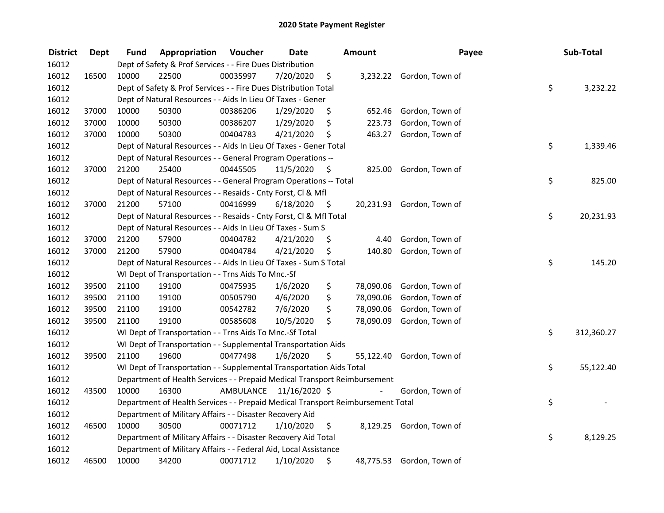| <b>District</b> | <b>Dept</b> | Fund  | Appropriation                                                                   | Voucher  | <b>Date</b>             |      | Amount    | Payee                     | Sub-Total        |
|-----------------|-------------|-------|---------------------------------------------------------------------------------|----------|-------------------------|------|-----------|---------------------------|------------------|
| 16012           |             |       | Dept of Safety & Prof Services - - Fire Dues Distribution                       |          |                         |      |           |                           |                  |
| 16012           | 16500       | 10000 | 22500                                                                           | 00035997 | 7/20/2020               | \$   |           | 3,232.22 Gordon, Town of  |                  |
| 16012           |             |       | Dept of Safety & Prof Services - - Fire Dues Distribution Total                 |          |                         |      |           |                           | \$<br>3,232.22   |
| 16012           |             |       | Dept of Natural Resources - - Aids In Lieu Of Taxes - Gener                     |          |                         |      |           |                           |                  |
| 16012           | 37000       | 10000 | 50300                                                                           | 00386206 | 1/29/2020               | \$   | 652.46    | Gordon, Town of           |                  |
| 16012           | 37000       | 10000 | 50300                                                                           | 00386207 | 1/29/2020               | \$   | 223.73    | Gordon, Town of           |                  |
| 16012           | 37000       | 10000 | 50300                                                                           | 00404783 | 4/21/2020               | \$   | 463.27    | Gordon, Town of           |                  |
| 16012           |             |       | Dept of Natural Resources - - Aids In Lieu Of Taxes - Gener Total               |          |                         |      |           |                           | \$<br>1,339.46   |
| 16012           |             |       | Dept of Natural Resources - - General Program Operations --                     |          |                         |      |           |                           |                  |
| 16012           | 37000       | 21200 | 25400                                                                           | 00445505 | 11/5/2020               | -\$  |           | 825.00 Gordon, Town of    |                  |
| 16012           |             |       | Dept of Natural Resources - - General Program Operations -- Total               |          |                         |      |           |                           | \$<br>825.00     |
| 16012           |             |       | Dept of Natural Resources - - Resaids - Cnty Forst, Cl & Mfl                    |          |                         |      |           |                           |                  |
| 16012           | 37000       | 21200 | 57100                                                                           | 00416999 | 6/18/2020               | - \$ |           | 20,231.93 Gordon, Town of |                  |
| 16012           |             |       | Dept of Natural Resources - - Resaids - Cnty Forst, Cl & Mfl Total              |          |                         |      |           |                           | \$<br>20,231.93  |
| 16012           |             |       | Dept of Natural Resources - - Aids In Lieu Of Taxes - Sum S                     |          |                         |      |           |                           |                  |
| 16012           | 37000       | 21200 | 57900                                                                           | 00404782 | 4/21/2020               | \$   | 4.40      | Gordon, Town of           |                  |
| 16012           | 37000       | 21200 | 57900                                                                           | 00404784 | 4/21/2020               | \$   | 140.80    | Gordon, Town of           |                  |
| 16012           |             |       | Dept of Natural Resources - - Aids In Lieu Of Taxes - Sum S Total               |          |                         |      |           |                           | \$<br>145.20     |
| 16012           |             |       | WI Dept of Transportation - - Trns Aids To Mnc.-Sf                              |          |                         |      |           |                           |                  |
| 16012           | 39500       | 21100 | 19100                                                                           | 00475935 | 1/6/2020                | \$   | 78,090.06 | Gordon, Town of           |                  |
| 16012           | 39500       | 21100 | 19100                                                                           | 00505790 | 4/6/2020                | \$   | 78,090.06 | Gordon, Town of           |                  |
| 16012           | 39500       | 21100 | 19100                                                                           | 00542782 | 7/6/2020                | \$   | 78,090.06 | Gordon, Town of           |                  |
| 16012           | 39500       | 21100 | 19100                                                                           | 00585608 | 10/5/2020               | \$   | 78,090.09 | Gordon, Town of           |                  |
| 16012           |             |       | WI Dept of Transportation - - Trns Aids To Mnc.-Sf Total                        |          |                         |      |           |                           | \$<br>312,360.27 |
| 16012           |             |       | WI Dept of Transportation - - Supplemental Transportation Aids                  |          |                         |      |           |                           |                  |
| 16012           | 39500       | 21100 | 19600                                                                           | 00477498 | 1/6/2020                | \$   | 55,122.40 | Gordon, Town of           |                  |
| 16012           |             |       | WI Dept of Transportation - - Supplemental Transportation Aids Total            |          |                         |      |           |                           | \$<br>55,122.40  |
| 16012           |             |       | Department of Health Services - - Prepaid Medical Transport Reimbursement       |          |                         |      |           |                           |                  |
| 16012           | 43500       | 10000 | 16300                                                                           |          | AMBULANCE 11/16/2020 \$ |      |           | Gordon, Town of           |                  |
| 16012           |             |       | Department of Health Services - - Prepaid Medical Transport Reimbursement Total |          |                         |      |           |                           | \$               |
| 16012           |             |       | Department of Military Affairs - - Disaster Recovery Aid                        |          |                         |      |           |                           |                  |
| 16012           | 46500       | 10000 | 30500                                                                           | 00071712 | 1/10/2020               | \$   |           | 8,129.25 Gordon, Town of  |                  |
| 16012           |             |       | Department of Military Affairs - - Disaster Recovery Aid Total                  |          |                         |      |           |                           | \$<br>8,129.25   |
| 16012           |             |       | Department of Military Affairs - - Federal Aid, Local Assistance                |          |                         |      |           |                           |                  |
| 16012           | 46500       | 10000 | 34200                                                                           | 00071712 | 1/10/2020               | \$   |           | 48,775.53 Gordon, Town of |                  |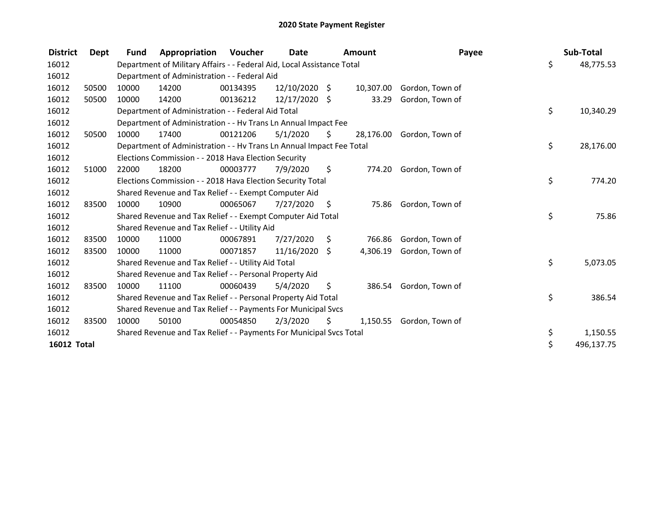| <b>District</b>    | Dept  | <b>Fund</b> | Appropriation                                                          | Voucher  | <b>Date</b>     |     | Amount    | Payee           | Sub-Total        |
|--------------------|-------|-------------|------------------------------------------------------------------------|----------|-----------------|-----|-----------|-----------------|------------------|
| 16012              |       |             | Department of Military Affairs - - Federal Aid, Local Assistance Total |          |                 |     |           |                 | \$<br>48,775.53  |
| 16012              |       |             | Department of Administration - - Federal Aid                           |          |                 |     |           |                 |                  |
| 16012              | 50500 | 10000       | 14200                                                                  | 00134395 | $12/10/2020$ \$ |     | 10,307.00 | Gordon, Town of |                  |
| 16012              | 50500 | 10000       | 14200                                                                  | 00136212 | $12/17/2020$ \$ |     | 33.29     | Gordon, Town of |                  |
| 16012              |       |             | Department of Administration - - Federal Aid Total                     |          |                 |     |           |                 | \$<br>10,340.29  |
| 16012              |       |             | Department of Administration - - Hv Trans Ln Annual Impact Fee         |          |                 |     |           |                 |                  |
| 16012              | 50500 | 10000       | 17400                                                                  | 00121206 | 5/1/2020        | S.  | 28,176.00 | Gordon, Town of |                  |
| 16012              |       |             | Department of Administration - - Hv Trans Ln Annual Impact Fee Total   |          |                 |     |           |                 | \$<br>28,176.00  |
| 16012              |       |             | Elections Commission - - 2018 Hava Election Security                   |          |                 |     |           |                 |                  |
| 16012              | 51000 | 22000       | 18200                                                                  | 00003777 | 7/9/2020        | \$. | 774.20    | Gordon, Town of |                  |
| 16012              |       |             | Elections Commission - - 2018 Hava Election Security Total             |          |                 |     |           |                 | \$<br>774.20     |
| 16012              |       |             | Shared Revenue and Tax Relief - - Exempt Computer Aid                  |          |                 |     |           |                 |                  |
| 16012              | 83500 | 10000       | 10900                                                                  | 00065067 | 7/27/2020       | -\$ | 75.86     | Gordon, Town of |                  |
| 16012              |       |             | Shared Revenue and Tax Relief - - Exempt Computer Aid Total            |          |                 |     |           |                 | \$<br>75.86      |
| 16012              |       |             | Shared Revenue and Tax Relief - - Utility Aid                          |          |                 |     |           |                 |                  |
| 16012              | 83500 | 10000       | 11000                                                                  | 00067891 | 7/27/2020       | S.  | 766.86    | Gordon, Town of |                  |
| 16012              | 83500 | 10000       | 11000                                                                  | 00071857 | 11/16/2020      | \$  | 4,306.19  | Gordon, Town of |                  |
| 16012              |       |             | Shared Revenue and Tax Relief - - Utility Aid Total                    |          |                 |     |           |                 | \$<br>5,073.05   |
| 16012              |       |             | Shared Revenue and Tax Relief - - Personal Property Aid                |          |                 |     |           |                 |                  |
| 16012              | 83500 | 10000       | 11100                                                                  | 00060439 | 5/4/2020        | \$  | 386.54    | Gordon, Town of |                  |
| 16012              |       |             | Shared Revenue and Tax Relief - - Personal Property Aid Total          |          |                 |     |           |                 | \$<br>386.54     |
| 16012              |       |             | Shared Revenue and Tax Relief - - Payments For Municipal Svcs          |          |                 |     |           |                 |                  |
| 16012              | 83500 | 10000       | 50100                                                                  | 00054850 | 2/3/2020        | S.  | 1,150.55  | Gordon, Town of |                  |
| 16012              |       |             | Shared Revenue and Tax Relief - - Payments For Municipal Svcs Total    |          |                 |     |           |                 | \$<br>1,150.55   |
| <b>16012 Total</b> |       |             |                                                                        |          |                 |     |           |                 | \$<br>496,137.75 |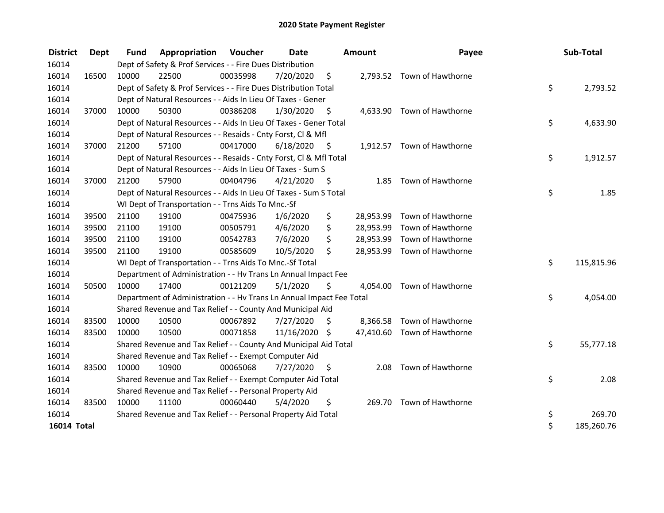| <b>District</b>    | <b>Dept</b> | <b>Fund</b> | <b>Appropriation Voucher</b>                                         |          | <b>Date</b>   |      | <b>Amount</b> | Payee                       | Sub-Total        |
|--------------------|-------------|-------------|----------------------------------------------------------------------|----------|---------------|------|---------------|-----------------------------|------------------|
| 16014              |             |             | Dept of Safety & Prof Services - - Fire Dues Distribution            |          |               |      |               |                             |                  |
| 16014              | 16500       | 10000       | 22500                                                                | 00035998 | 7/20/2020     | \$   |               | 2,793.52 Town of Hawthorne  |                  |
| 16014              |             |             | Dept of Safety & Prof Services - - Fire Dues Distribution Total      |          |               |      |               |                             | \$<br>2,793.52   |
| 16014              |             |             | Dept of Natural Resources - - Aids In Lieu Of Taxes - Gener          |          |               |      |               |                             |                  |
| 16014              | 37000       | 10000       | 50300                                                                | 00386208 | 1/30/2020     | \$   |               | 4,633.90 Town of Hawthorne  |                  |
| 16014              |             |             | Dept of Natural Resources - - Aids In Lieu Of Taxes - Gener Total    |          |               |      |               |                             | \$<br>4,633.90   |
| 16014              |             |             | Dept of Natural Resources - - Resaids - Cnty Forst, CI & Mfl         |          |               |      |               |                             |                  |
| 16014              | 37000       | 21200       | 57100                                                                | 00417000 | 6/18/2020     | - \$ |               | 1,912.57 Town of Hawthorne  |                  |
| 16014              |             |             | Dept of Natural Resources - - Resaids - Cnty Forst, CI & Mfl Total   |          |               |      |               |                             | \$<br>1,912.57   |
| 16014              |             |             | Dept of Natural Resources - - Aids In Lieu Of Taxes - Sum S          |          |               |      |               |                             |                  |
| 16014              | 37000       | 21200       | 57900                                                                | 00404796 | 4/21/2020     | - \$ | 1.85          | Town of Hawthorne           |                  |
| 16014              |             |             | Dept of Natural Resources - - Aids In Lieu Of Taxes - Sum S Total    |          |               |      |               |                             | \$<br>1.85       |
| 16014              |             |             | WI Dept of Transportation - - Trns Aids To Mnc.-Sf                   |          |               |      |               |                             |                  |
| 16014              | 39500       | 21100       | 19100                                                                | 00475936 | 1/6/2020      | \$   | 28,953.99     | Town of Hawthorne           |                  |
| 16014              | 39500       | 21100       | 19100                                                                | 00505791 | 4/6/2020      | \$   | 28,953.99     | Town of Hawthorne           |                  |
| 16014              | 39500       | 21100       | 19100                                                                | 00542783 | 7/6/2020      | \$   |               | 28,953.99 Town of Hawthorne |                  |
| 16014              | 39500       | 21100       | 19100                                                                | 00585609 | 10/5/2020     | \$   |               | 28,953.99 Town of Hawthorne |                  |
| 16014              |             |             | WI Dept of Transportation - - Trns Aids To Mnc.-Sf Total             |          |               |      |               |                             | \$<br>115,815.96 |
| 16014              |             |             | Department of Administration - - Hv Trans Ln Annual Impact Fee       |          |               |      |               |                             |                  |
| 16014              | 50500       | 10000       | 17400                                                                | 00121209 | 5/1/2020      | \$   |               | 4,054.00 Town of Hawthorne  |                  |
| 16014              |             |             | Department of Administration - - Hv Trans Ln Annual Impact Fee Total |          |               |      |               |                             | \$<br>4,054.00   |
| 16014              |             |             | Shared Revenue and Tax Relief - - County And Municipal Aid           |          |               |      |               |                             |                  |
| 16014              | 83500       | 10000       | 10500                                                                | 00067892 | 7/27/2020     | \$   |               | 8,366.58 Town of Hawthorne  |                  |
| 16014              | 83500       | 10000       | 10500                                                                | 00071858 | 11/16/2020 \$ |      |               | 47,410.60 Town of Hawthorne |                  |
| 16014              |             |             | Shared Revenue and Tax Relief - - County And Municipal Aid Total     |          |               |      |               |                             | \$<br>55,777.18  |
| 16014              |             |             | Shared Revenue and Tax Relief - - Exempt Computer Aid                |          |               |      |               |                             |                  |
| 16014              | 83500       | 10000       | 10900                                                                | 00065068 | 7/27/2020     | \$   | 2.08          | Town of Hawthorne           |                  |
| 16014              |             |             | Shared Revenue and Tax Relief - - Exempt Computer Aid Total          |          |               |      |               |                             | \$<br>2.08       |
| 16014              |             |             | Shared Revenue and Tax Relief - - Personal Property Aid              |          |               |      |               |                             |                  |
| 16014              | 83500       | 10000       | 11100                                                                | 00060440 | 5/4/2020      | \$   |               | 269.70 Town of Hawthorne    |                  |
| 16014              |             |             | Shared Revenue and Tax Relief - - Personal Property Aid Total        |          |               |      |               |                             | \$<br>269.70     |
| <b>16014 Total</b> |             |             |                                                                      |          |               |      |               |                             | \$<br>185,260.76 |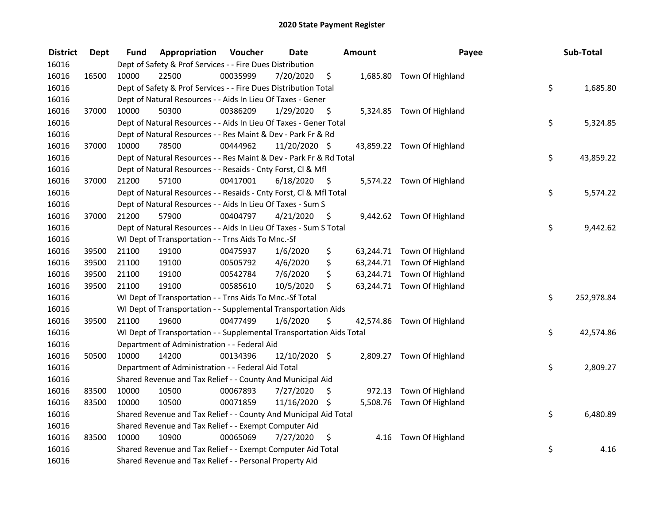| <b>District</b> | <b>Dept</b> | Fund  | Appropriation                                                        | Voucher  | <b>Date</b>   |      | <b>Amount</b> | Payee                      | Sub-Total        |
|-----------------|-------------|-------|----------------------------------------------------------------------|----------|---------------|------|---------------|----------------------------|------------------|
| 16016           |             |       | Dept of Safety & Prof Services - - Fire Dues Distribution            |          |               |      |               |                            |                  |
| 16016           | 16500       | 10000 | 22500                                                                | 00035999 | 7/20/2020     | \$   |               | 1,685.80 Town Of Highland  |                  |
| 16016           |             |       | Dept of Safety & Prof Services - - Fire Dues Distribution Total      |          |               |      |               |                            | \$<br>1,685.80   |
| 16016           |             |       | Dept of Natural Resources - - Aids In Lieu Of Taxes - Gener          |          |               |      |               |                            |                  |
| 16016           | 37000       | 10000 | 50300                                                                | 00386209 | 1/29/2020     | \$   |               | 5,324.85 Town Of Highland  |                  |
| 16016           |             |       | Dept of Natural Resources - - Aids In Lieu Of Taxes - Gener Total    |          |               |      |               |                            | \$<br>5,324.85   |
| 16016           |             |       | Dept of Natural Resources - - Res Maint & Dev - Park Fr & Rd         |          |               |      |               |                            |                  |
| 16016           | 37000       | 10000 | 78500                                                                | 00444962 | 11/20/2020 \$ |      |               | 43,859.22 Town Of Highland |                  |
| 16016           |             |       | Dept of Natural Resources - - Res Maint & Dev - Park Fr & Rd Total   |          |               |      |               |                            | \$<br>43,859.22  |
| 16016           |             |       | Dept of Natural Resources - - Resaids - Cnty Forst, Cl & Mfl         |          |               |      |               |                            |                  |
| 16016           | 37000       | 21200 | 57100                                                                | 00417001 | 6/18/2020     | - \$ |               | 5,574.22 Town Of Highland  |                  |
| 16016           |             |       | Dept of Natural Resources - - Resaids - Cnty Forst, Cl & Mfl Total   |          |               |      |               |                            | \$<br>5,574.22   |
| 16016           |             |       | Dept of Natural Resources - - Aids In Lieu Of Taxes - Sum S          |          |               |      |               |                            |                  |
| 16016           | 37000       | 21200 | 57900                                                                | 00404797 | 4/21/2020     | \$.  |               | 9,442.62 Town Of Highland  |                  |
| 16016           |             |       | Dept of Natural Resources - - Aids In Lieu Of Taxes - Sum S Total    |          |               |      |               |                            | \$<br>9,442.62   |
| 16016           |             |       | WI Dept of Transportation - - Trns Aids To Mnc.-Sf                   |          |               |      |               |                            |                  |
| 16016           | 39500       | 21100 | 19100                                                                | 00475937 | 1/6/2020      | \$   |               | 63,244.71 Town Of Highland |                  |
| 16016           | 39500       | 21100 | 19100                                                                | 00505792 | 4/6/2020      | \$   |               | 63,244.71 Town Of Highland |                  |
| 16016           | 39500       | 21100 | 19100                                                                | 00542784 | 7/6/2020      | \$   |               | 63,244.71 Town Of Highland |                  |
| 16016           | 39500       | 21100 | 19100                                                                | 00585610 | 10/5/2020     | \$   |               | 63,244.71 Town Of Highland |                  |
| 16016           |             |       | WI Dept of Transportation - - Trns Aids To Mnc.-Sf Total             |          |               |      |               |                            | \$<br>252,978.84 |
| 16016           |             |       | WI Dept of Transportation - - Supplemental Transportation Aids       |          |               |      |               |                            |                  |
| 16016           | 39500       | 21100 | 19600                                                                | 00477499 | 1/6/2020      | \$   |               | 42,574.86 Town Of Highland |                  |
| 16016           |             |       | WI Dept of Transportation - - Supplemental Transportation Aids Total |          |               |      |               |                            | \$<br>42,574.86  |
| 16016           |             |       | Department of Administration - - Federal Aid                         |          |               |      |               |                            |                  |
| 16016           | 50500       | 10000 | 14200                                                                | 00134396 | 12/10/2020 \$ |      |               | 2,809.27 Town Of Highland  |                  |
| 16016           |             |       | Department of Administration - - Federal Aid Total                   |          |               |      |               |                            | \$<br>2,809.27   |
| 16016           |             |       | Shared Revenue and Tax Relief - - County And Municipal Aid           |          |               |      |               |                            |                  |
| 16016           | 83500       | 10000 | 10500                                                                | 00067893 | 7/27/2020     | \$   | 972.13        | Town Of Highland           |                  |
| 16016           | 83500       | 10000 | 10500                                                                | 00071859 | 11/16/2020 \$ |      |               | 5,508.76 Town Of Highland  |                  |
| 16016           |             |       | Shared Revenue and Tax Relief - - County And Municipal Aid Total     |          |               |      |               |                            | \$<br>6,480.89   |
| 16016           |             |       | Shared Revenue and Tax Relief - - Exempt Computer Aid                |          |               |      |               |                            |                  |
| 16016           | 83500       | 10000 | 10900                                                                | 00065069 | 7/27/2020     | \$   |               | 4.16 Town Of Highland      |                  |
| 16016           |             |       | Shared Revenue and Tax Relief - - Exempt Computer Aid Total          |          |               |      |               |                            | \$<br>4.16       |
| 16016           |             |       | Shared Revenue and Tax Relief - - Personal Property Aid              |          |               |      |               |                            |                  |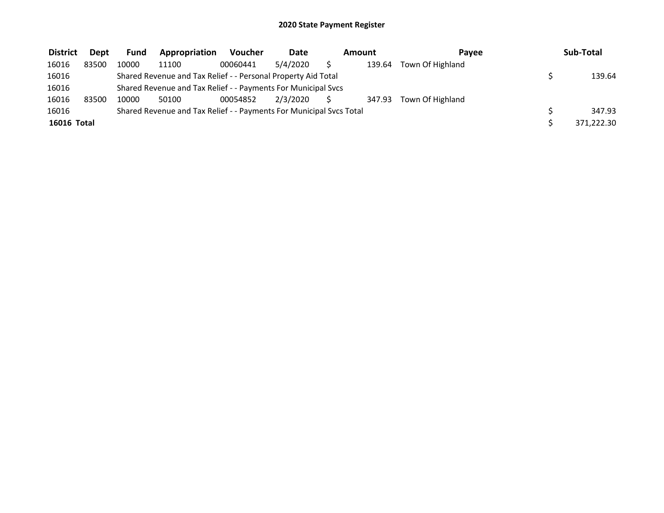| <b>District</b>    | <b>Dept</b> | <b>Fund</b> | Appropriation                                                       | <b>Voucher</b> | <b>Date</b> | Amount<br>Pavee |        |                  | Sub-Total  |
|--------------------|-------------|-------------|---------------------------------------------------------------------|----------------|-------------|-----------------|--------|------------------|------------|
| 16016              | 83500       | 10000       | 11100                                                               | 00060441       | 5/4/2020    |                 | 139.64 | Town Of Highland |            |
| 16016              |             |             | Shared Revenue and Tax Relief - - Personal Property Aid Total       |                |             |                 |        |                  | 139.64     |
| 16016              |             |             | Shared Revenue and Tax Relief - - Payments For Municipal Svcs       |                |             |                 |        |                  |            |
| 16016              | 83500       | 10000       | 50100                                                               | 00054852       | 2/3/2020    |                 | 347.93 | Town Of Highland |            |
| 16016              |             |             | Shared Revenue and Tax Relief - - Payments For Municipal Svcs Total |                |             |                 |        |                  | 347.93     |
| <b>16016 Total</b> |             |             |                                                                     |                |             |                 |        |                  | 371,222.30 |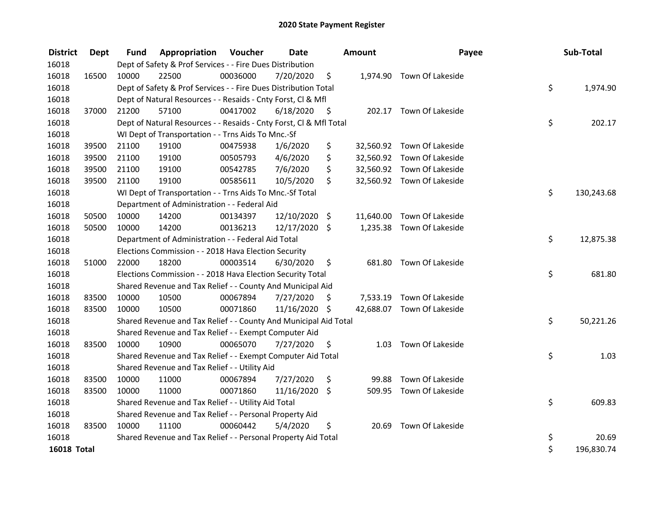| <b>District</b>    | Dept  | <b>Fund</b> | <b>Appropriation Voucher</b>                                       |          | <b>Date</b>   |      | <b>Amount</b> | Payee                      | Sub-Total        |
|--------------------|-------|-------------|--------------------------------------------------------------------|----------|---------------|------|---------------|----------------------------|------------------|
| 16018              |       |             | Dept of Safety & Prof Services - - Fire Dues Distribution          |          |               |      |               |                            |                  |
| 16018              | 16500 | 10000       | 22500                                                              | 00036000 | 7/20/2020     | \$   |               | 1,974.90 Town Of Lakeside  |                  |
| 16018              |       |             | Dept of Safety & Prof Services - - Fire Dues Distribution Total    |          |               |      |               |                            | \$<br>1,974.90   |
| 16018              |       |             | Dept of Natural Resources - - Resaids - Cnty Forst, Cl & Mfl       |          |               |      |               |                            |                  |
| 16018              | 37000 | 21200       | 57100                                                              | 00417002 | 6/18/2020     | - \$ |               | 202.17 Town Of Lakeside    |                  |
| 16018              |       |             | Dept of Natural Resources - - Resaids - Cnty Forst, Cl & Mfl Total |          |               |      |               |                            | \$<br>202.17     |
| 16018              |       |             | WI Dept of Transportation - - Trns Aids To Mnc.-Sf                 |          |               |      |               |                            |                  |
| 16018              | 39500 | 21100       | 19100                                                              | 00475938 | 1/6/2020      | \$   |               | 32,560.92 Town Of Lakeside |                  |
| 16018              | 39500 | 21100       | 19100                                                              | 00505793 | 4/6/2020      | \$   |               | 32,560.92 Town Of Lakeside |                  |
| 16018              | 39500 | 21100       | 19100                                                              | 00542785 | 7/6/2020      | \$   |               | 32,560.92 Town Of Lakeside |                  |
| 16018              | 39500 | 21100       | 19100                                                              | 00585611 | 10/5/2020     | \$   |               | 32,560.92 Town Of Lakeside |                  |
| 16018              |       |             | WI Dept of Transportation - - Trns Aids To Mnc.-Sf Total           |          |               |      |               |                            | \$<br>130,243.68 |
| 16018              |       |             | Department of Administration - - Federal Aid                       |          |               |      |               |                            |                  |
| 16018              | 50500 | 10000       | 14200                                                              | 00134397 | 12/10/2020    | \$   |               | 11,640.00 Town Of Lakeside |                  |
| 16018              | 50500 | 10000       | 14200                                                              | 00136213 | 12/17/2020 \$ |      |               | 1,235.38 Town Of Lakeside  |                  |
| 16018              |       |             | Department of Administration - - Federal Aid Total                 |          |               |      |               |                            | \$<br>12,875.38  |
| 16018              |       |             | Elections Commission - - 2018 Hava Election Security               |          |               |      |               |                            |                  |
| 16018              | 51000 | 22000       | 18200                                                              | 00003514 | 6/30/2020     | \$   |               | 681.80 Town Of Lakeside    |                  |
| 16018              |       |             | Elections Commission - - 2018 Hava Election Security Total         |          |               |      |               |                            | \$<br>681.80     |
| 16018              |       |             | Shared Revenue and Tax Relief - - County And Municipal Aid         |          |               |      |               |                            |                  |
| 16018              | 83500 | 10000       | 10500                                                              | 00067894 | 7/27/2020     | \$   |               | 7,533.19 Town Of Lakeside  |                  |
| 16018              | 83500 | 10000       | 10500                                                              | 00071860 | 11/16/2020 \$ |      |               | 42,688.07 Town Of Lakeside |                  |
| 16018              |       |             | Shared Revenue and Tax Relief - - County And Municipal Aid Total   |          |               |      |               |                            | \$<br>50,221.26  |
| 16018              |       |             | Shared Revenue and Tax Relief - - Exempt Computer Aid              |          |               |      |               |                            |                  |
| 16018              | 83500 | 10000       | 10900                                                              | 00065070 | 7/27/2020     | \$   | 1.03          | Town Of Lakeside           |                  |
| 16018              |       |             | Shared Revenue and Tax Relief - - Exempt Computer Aid Total        |          |               |      |               |                            | \$<br>1.03       |
| 16018              |       |             | Shared Revenue and Tax Relief - - Utility Aid                      |          |               |      |               |                            |                  |
| 16018              | 83500 | 10000       | 11000                                                              | 00067894 | 7/27/2020     | \$   | 99.88         | Town Of Lakeside           |                  |
| 16018              | 83500 | 10000       | 11000                                                              | 00071860 | 11/16/2020    | \$   |               | 509.95 Town Of Lakeside    |                  |
| 16018              |       |             | Shared Revenue and Tax Relief - - Utility Aid Total                |          |               |      |               |                            | \$<br>609.83     |
| 16018              |       |             | Shared Revenue and Tax Relief - - Personal Property Aid            |          |               |      |               |                            |                  |
| 16018              | 83500 | 10000       | 11100                                                              | 00060442 | 5/4/2020      | \$   | 20.69         | Town Of Lakeside           |                  |
| 16018              |       |             | Shared Revenue and Tax Relief - - Personal Property Aid Total      |          |               |      |               |                            | \$<br>20.69      |
| <b>16018 Total</b> |       |             |                                                                    |          |               |      |               |                            | \$<br>196,830.74 |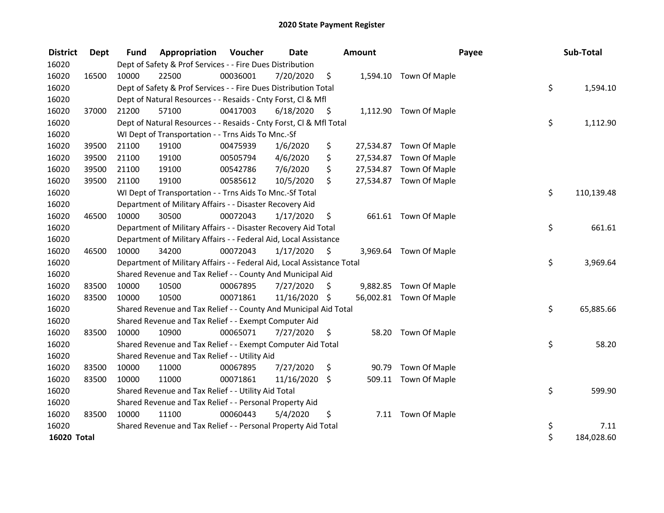| <b>District</b>    | <b>Dept</b> | <b>Fund</b> | Appropriation                                                          | Voucher  | <b>Date</b>   |      | <b>Amount</b> |                         | Payee | Sub-Total  |
|--------------------|-------------|-------------|------------------------------------------------------------------------|----------|---------------|------|---------------|-------------------------|-------|------------|
| 16020              |             |             | Dept of Safety & Prof Services - - Fire Dues Distribution              |          |               |      |               |                         |       |            |
| 16020              | 16500       | 10000       | 22500                                                                  | 00036001 | 7/20/2020     | \$   |               | 1,594.10 Town Of Maple  |       |            |
| 16020              |             |             | Dept of Safety & Prof Services - - Fire Dues Distribution Total        |          |               |      |               |                         | \$    | 1,594.10   |
| 16020              |             |             | Dept of Natural Resources - - Resaids - Cnty Forst, Cl & Mfl           |          |               |      |               |                         |       |            |
| 16020              | 37000       | 21200       | 57100                                                                  | 00417003 | 6/18/2020     | \$   |               | 1,112.90 Town Of Maple  |       |            |
| 16020              |             |             | Dept of Natural Resources - - Resaids - Cnty Forst, Cl & Mfl Total     |          |               |      |               |                         | \$    | 1,112.90   |
| 16020              |             |             | WI Dept of Transportation - - Trns Aids To Mnc.-Sf                     |          |               |      |               |                         |       |            |
| 16020              | 39500       | 21100       | 19100                                                                  | 00475939 | 1/6/2020      | \$   |               | 27,534.87 Town Of Maple |       |            |
| 16020              | 39500       | 21100       | 19100                                                                  | 00505794 | 4/6/2020      | \$   |               | 27,534.87 Town Of Maple |       |            |
| 16020              | 39500       | 21100       | 19100                                                                  | 00542786 | 7/6/2020      | \$   |               | 27,534.87 Town Of Maple |       |            |
| 16020              | 39500       | 21100       | 19100                                                                  | 00585612 | 10/5/2020     | \$   |               | 27,534.87 Town Of Maple |       |            |
| 16020              |             |             | WI Dept of Transportation - - Trns Aids To Mnc.-Sf Total               |          |               |      |               |                         | \$    | 110,139.48 |
| 16020              |             |             | Department of Military Affairs - - Disaster Recovery Aid               |          |               |      |               |                         |       |            |
| 16020              | 46500       | 10000       | 30500                                                                  | 00072043 | 1/17/2020     | \$   |               | 661.61 Town Of Maple    |       |            |
| 16020              |             |             | Department of Military Affairs - - Disaster Recovery Aid Total         |          |               |      |               |                         | \$    | 661.61     |
| 16020              |             |             | Department of Military Affairs - - Federal Aid, Local Assistance       |          |               |      |               |                         |       |            |
| 16020              | 46500       | 10000       | 34200                                                                  | 00072043 | 1/17/2020     | - \$ |               | 3,969.64 Town Of Maple  |       |            |
| 16020              |             |             | Department of Military Affairs - - Federal Aid, Local Assistance Total |          |               |      |               |                         | \$    | 3,969.64   |
| 16020              |             |             | Shared Revenue and Tax Relief - - County And Municipal Aid             |          |               |      |               |                         |       |            |
| 16020              | 83500       | 10000       | 10500                                                                  | 00067895 | 7/27/2020     | S    |               | 9,882.85 Town Of Maple  |       |            |
| 16020              | 83500       | 10000       | 10500                                                                  | 00071861 | 11/16/2020 \$ |      |               | 56,002.81 Town Of Maple |       |            |
| 16020              |             |             | Shared Revenue and Tax Relief - - County And Municipal Aid Total       |          |               |      |               |                         | \$    | 65,885.66  |
| 16020              |             |             | Shared Revenue and Tax Relief - - Exempt Computer Aid                  |          |               |      |               |                         |       |            |
| 16020              | 83500       | 10000       | 10900                                                                  | 00065071 | 7/27/2020     | \$   |               | 58.20 Town Of Maple     |       |            |
| 16020              |             |             | Shared Revenue and Tax Relief - - Exempt Computer Aid Total            |          |               |      |               |                         | \$    | 58.20      |
| 16020              |             |             | Shared Revenue and Tax Relief - - Utility Aid                          |          |               |      |               |                         |       |            |
| 16020              | 83500       | 10000       | 11000                                                                  | 00067895 | 7/27/2020     | \$   | 90.79         | Town Of Maple           |       |            |
| 16020              | 83500       | 10000       | 11000                                                                  | 00071861 | 11/16/2020    | \$   |               | 509.11 Town Of Maple    |       |            |
| 16020              |             |             | Shared Revenue and Tax Relief - - Utility Aid Total                    |          |               |      |               |                         | \$    | 599.90     |
| 16020              |             |             | Shared Revenue and Tax Relief - - Personal Property Aid                |          |               |      |               |                         |       |            |
| 16020              | 83500       | 10000       | 11100                                                                  | 00060443 | 5/4/2020      | \$   |               | 7.11 Town Of Maple      |       |            |
| 16020              |             |             | Shared Revenue and Tax Relief - - Personal Property Aid Total          |          |               |      |               |                         | \$    | 7.11       |
| <b>16020 Total</b> |             |             |                                                                        |          |               |      |               |                         | \$    | 184,028.60 |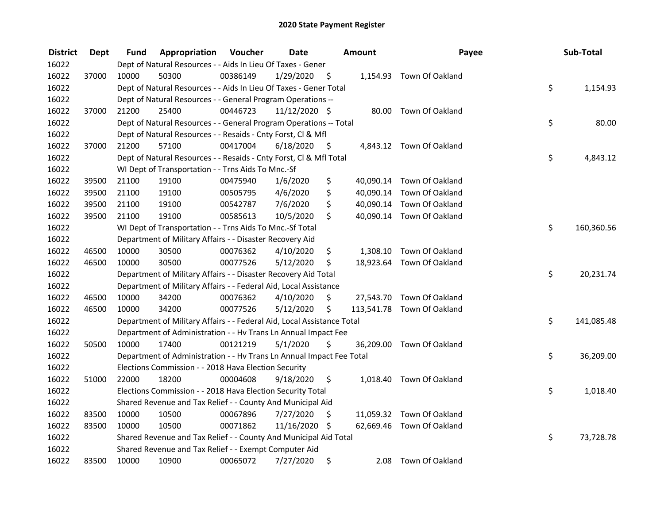| <b>District</b> | <b>Dept</b> | Fund  | Appropriation                                                          | Voucher  | <b>Date</b>     |      | Amount    | Payee                      | Sub-Total        |
|-----------------|-------------|-------|------------------------------------------------------------------------|----------|-----------------|------|-----------|----------------------------|------------------|
| 16022           |             |       | Dept of Natural Resources - - Aids In Lieu Of Taxes - Gener            |          |                 |      |           |                            |                  |
| 16022           | 37000       | 10000 | 50300                                                                  | 00386149 | 1/29/2020       | \$   |           | 1,154.93 Town Of Oakland   |                  |
| 16022           |             |       | Dept of Natural Resources - - Aids In Lieu Of Taxes - Gener Total      |          |                 |      |           |                            | \$<br>1,154.93   |
| 16022           |             |       | Dept of Natural Resources - - General Program Operations --            |          |                 |      |           |                            |                  |
| 16022           | 37000       | 21200 | 25400                                                                  | 00446723 | $11/12/2020$ \$ |      |           | 80.00 Town Of Oakland      |                  |
| 16022           |             |       | Dept of Natural Resources - - General Program Operations -- Total      |          |                 |      |           |                            | \$<br>80.00      |
| 16022           |             |       | Dept of Natural Resources - - Resaids - Cnty Forst, Cl & Mfl           |          |                 |      |           |                            |                  |
| 16022           | 37000       | 21200 | 57100                                                                  | 00417004 | 6/18/2020       | - \$ |           | 4,843.12 Town Of Oakland   |                  |
| 16022           |             |       | Dept of Natural Resources - - Resaids - Cnty Forst, Cl & Mfl Total     |          |                 |      |           |                            | \$<br>4,843.12   |
| 16022           |             |       | WI Dept of Transportation - - Trns Aids To Mnc.-Sf                     |          |                 |      |           |                            |                  |
| 16022           | 39500       | 21100 | 19100                                                                  | 00475940 | 1/6/2020        | \$   | 40,090.14 | Town Of Oakland            |                  |
| 16022           | 39500       | 21100 | 19100                                                                  | 00505795 | 4/6/2020        | \$   | 40,090.14 | Town Of Oakland            |                  |
| 16022           | 39500       | 21100 | 19100                                                                  | 00542787 | 7/6/2020        | \$   | 40,090.14 | Town Of Oakland            |                  |
| 16022           | 39500       | 21100 | 19100                                                                  | 00585613 | 10/5/2020       | \$   | 40,090.14 | Town Of Oakland            |                  |
| 16022           |             |       | WI Dept of Transportation - - Trns Aids To Mnc.-Sf Total               |          |                 |      |           |                            | \$<br>160,360.56 |
| 16022           |             |       | Department of Military Affairs - - Disaster Recovery Aid               |          |                 |      |           |                            |                  |
| 16022           | 46500       | 10000 | 30500                                                                  | 00076362 | 4/10/2020       | \$   | 1,308.10  | Town Of Oakland            |                  |
| 16022           | 46500       | 10000 | 30500                                                                  | 00077526 | 5/12/2020       | \$   |           | 18,923.64 Town Of Oakland  |                  |
| 16022           |             |       | Department of Military Affairs - - Disaster Recovery Aid Total         |          |                 |      |           |                            | \$<br>20,231.74  |
| 16022           |             |       | Department of Military Affairs - - Federal Aid, Local Assistance       |          |                 |      |           |                            |                  |
| 16022           | 46500       | 10000 | 34200                                                                  | 00076362 | 4/10/2020       | \$   |           | 27,543.70 Town Of Oakland  |                  |
| 16022           | 46500       | 10000 | 34200                                                                  | 00077526 | 5/12/2020       | \$   |           | 113,541.78 Town Of Oakland |                  |
| 16022           |             |       | Department of Military Affairs - - Federal Aid, Local Assistance Total |          |                 |      |           |                            | \$<br>141,085.48 |
| 16022           |             |       | Department of Administration - - Hv Trans Ln Annual Impact Fee         |          |                 |      |           |                            |                  |
| 16022           | 50500       | 10000 | 17400                                                                  | 00121219 | 5/1/2020        | S    | 36,209.00 | Town Of Oakland            |                  |
| 16022           |             |       | Department of Administration - - Hv Trans Ln Annual Impact Fee Total   |          |                 |      |           |                            | \$<br>36,209.00  |
| 16022           |             |       | Elections Commission - - 2018 Hava Election Security                   |          |                 |      |           |                            |                  |
| 16022           | 51000       | 22000 | 18200                                                                  | 00004608 | 9/18/2020       | \$   |           | 1,018.40 Town Of Oakland   |                  |
| 16022           |             |       | Elections Commission - - 2018 Hava Election Security Total             |          |                 |      |           |                            | \$<br>1,018.40   |
| 16022           |             |       | Shared Revenue and Tax Relief - - County And Municipal Aid             |          |                 |      |           |                            |                  |
| 16022           | 83500       | 10000 | 10500                                                                  | 00067896 | 7/27/2020       | \$   |           | 11,059.32 Town Of Oakland  |                  |
| 16022           | 83500       | 10000 | 10500                                                                  | 00071862 | 11/16/2020 \$   |      |           | 62,669.46 Town Of Oakland  |                  |
| 16022           |             |       | Shared Revenue and Tax Relief - - County And Municipal Aid Total       |          |                 |      |           |                            | \$<br>73,728.78  |
| 16022           |             |       | Shared Revenue and Tax Relief - - Exempt Computer Aid                  |          |                 |      |           |                            |                  |
| 16022           | 83500       | 10000 | 10900                                                                  | 00065072 | 7/27/2020       | \$   | 2.08      | Town Of Oakland            |                  |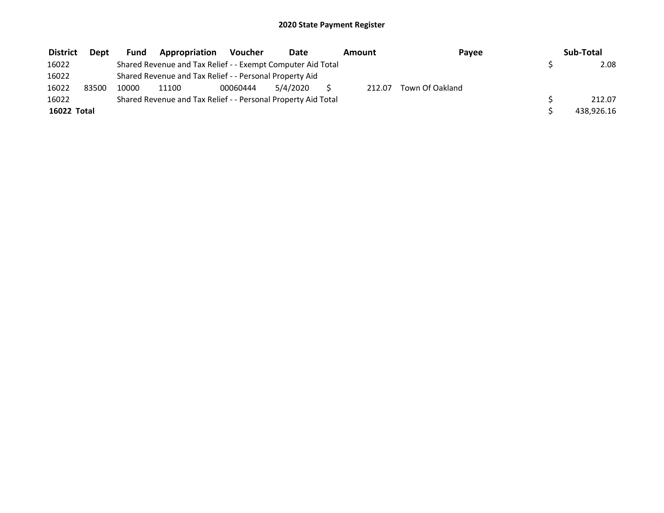| <b>District</b> | <b>Dept</b> | Fund  | Appropriation                                                 | Voucher  | Date     | Amount | Payee           | Sub-Total  |
|-----------------|-------------|-------|---------------------------------------------------------------|----------|----------|--------|-----------------|------------|
| 16022           |             |       | Shared Revenue and Tax Relief - - Exempt Computer Aid Total   |          |          |        |                 | 2.08       |
| 16022           |             |       | Shared Revenue and Tax Relief - - Personal Property Aid       |          |          |        |                 |            |
| 16022           | 83500       | 10000 | 11100                                                         | 00060444 | 5/4/2020 | 212.07 | Town Of Oakland |            |
| 16022           |             |       | Shared Revenue and Tax Relief - - Personal Property Aid Total |          |          |        |                 | 212.07     |
| 16022 Total     |             |       |                                                               |          |          |        |                 | 438,926.16 |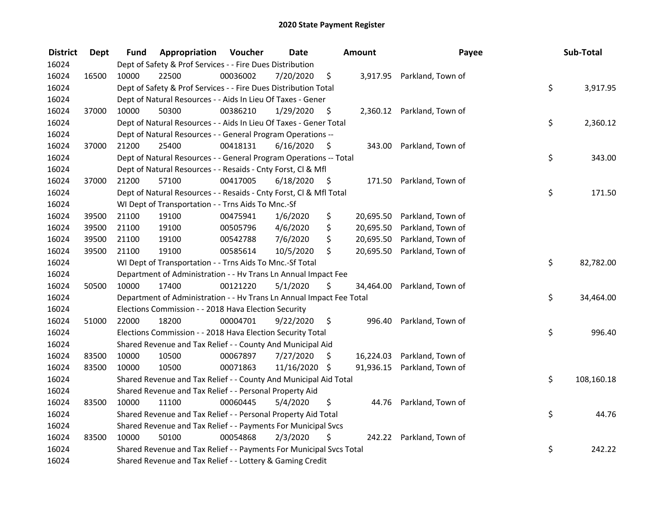| <b>District</b> | <b>Dept</b> | Fund  | Appropriation                                                        | Voucher  | <b>Date</b>   |      | Amount    | Payee                       | Sub-Total        |
|-----------------|-------------|-------|----------------------------------------------------------------------|----------|---------------|------|-----------|-----------------------------|------------------|
| 16024           |             |       | Dept of Safety & Prof Services - - Fire Dues Distribution            |          |               |      |           |                             |                  |
| 16024           | 16500       | 10000 | 22500                                                                | 00036002 | 7/20/2020     | \$   |           | 3,917.95 Parkland, Town of  |                  |
| 16024           |             |       | Dept of Safety & Prof Services - - Fire Dues Distribution Total      |          |               |      |           |                             | \$<br>3,917.95   |
| 16024           |             |       | Dept of Natural Resources - - Aids In Lieu Of Taxes - Gener          |          |               |      |           |                             |                  |
| 16024           | 37000       | 10000 | 50300                                                                | 00386210 | 1/29/2020     | \$   |           | 2,360.12 Parkland, Town of  |                  |
| 16024           |             |       | Dept of Natural Resources - - Aids In Lieu Of Taxes - Gener Total    |          |               |      |           |                             | \$<br>2,360.12   |
| 16024           |             |       | Dept of Natural Resources - - General Program Operations --          |          |               |      |           |                             |                  |
| 16024           | 37000       | 21200 | 25400                                                                | 00418131 | 6/16/2020     | - \$ |           | 343.00 Parkland, Town of    |                  |
| 16024           |             |       | Dept of Natural Resources - - General Program Operations -- Total    |          |               |      |           |                             | \$<br>343.00     |
| 16024           |             |       | Dept of Natural Resources - - Resaids - Cnty Forst, Cl & Mfl         |          |               |      |           |                             |                  |
| 16024           | 37000       | 21200 | 57100                                                                | 00417005 | 6/18/2020     | - \$ |           | 171.50 Parkland, Town of    |                  |
| 16024           |             |       | Dept of Natural Resources - - Resaids - Cnty Forst, Cl & Mfl Total   |          |               |      |           |                             | \$<br>171.50     |
| 16024           |             |       | WI Dept of Transportation - - Trns Aids To Mnc.-Sf                   |          |               |      |           |                             |                  |
| 16024           | 39500       | 21100 | 19100                                                                | 00475941 | 1/6/2020      | \$   | 20,695.50 | Parkland, Town of           |                  |
| 16024           | 39500       | 21100 | 19100                                                                | 00505796 | 4/6/2020      | \$   | 20,695.50 | Parkland, Town of           |                  |
| 16024           | 39500       | 21100 | 19100                                                                | 00542788 | 7/6/2020      | \$   | 20,695.50 | Parkland, Town of           |                  |
| 16024           | 39500       | 21100 | 19100                                                                | 00585614 | 10/5/2020     | \$   | 20,695.50 | Parkland, Town of           |                  |
| 16024           |             |       | WI Dept of Transportation - - Trns Aids To Mnc.-Sf Total             |          |               |      |           |                             | \$<br>82,782.00  |
| 16024           |             |       | Department of Administration - - Hv Trans Ln Annual Impact Fee       |          |               |      |           |                             |                  |
| 16024           | 50500       | 10000 | 17400                                                                | 00121220 | 5/1/2020      | \$   | 34,464.00 | Parkland, Town of           |                  |
| 16024           |             |       | Department of Administration - - Hv Trans Ln Annual Impact Fee Total |          |               |      |           |                             | \$<br>34,464.00  |
| 16024           |             |       | Elections Commission - - 2018 Hava Election Security                 |          |               |      |           |                             |                  |
| 16024           | 51000       | 22000 | 18200                                                                | 00004701 | 9/22/2020     | \$   | 996.40    | Parkland, Town of           |                  |
| 16024           |             |       | Elections Commission - - 2018 Hava Election Security Total           |          |               |      |           |                             | \$<br>996.40     |
| 16024           |             |       | Shared Revenue and Tax Relief - - County And Municipal Aid           |          |               |      |           |                             |                  |
| 16024           | 83500       | 10000 | 10500                                                                | 00067897 | 7/27/2020     | \$   |           | 16,224.03 Parkland, Town of |                  |
| 16024           | 83500       | 10000 | 10500                                                                | 00071863 | 11/16/2020 \$ |      |           | 91,936.15 Parkland, Town of |                  |
| 16024           |             |       | Shared Revenue and Tax Relief - - County And Municipal Aid Total     |          |               |      |           |                             | \$<br>108,160.18 |
| 16024           |             |       | Shared Revenue and Tax Relief - - Personal Property Aid              |          |               |      |           |                             |                  |
| 16024           | 83500       | 10000 | 11100                                                                | 00060445 | 5/4/2020      | \$   |           | 44.76 Parkland, Town of     |                  |
| 16024           |             |       | Shared Revenue and Tax Relief - - Personal Property Aid Total        |          |               |      |           |                             | \$<br>44.76      |
| 16024           |             |       | Shared Revenue and Tax Relief - - Payments For Municipal Svcs        |          |               |      |           |                             |                  |
| 16024           | 83500       | 10000 | 50100                                                                | 00054868 | 2/3/2020      | \$   |           | 242.22 Parkland, Town of    |                  |
| 16024           |             |       | Shared Revenue and Tax Relief - - Payments For Municipal Svcs Total  |          |               |      |           |                             | \$<br>242.22     |
| 16024           |             |       | Shared Revenue and Tax Relief - - Lottery & Gaming Credit            |          |               |      |           |                             |                  |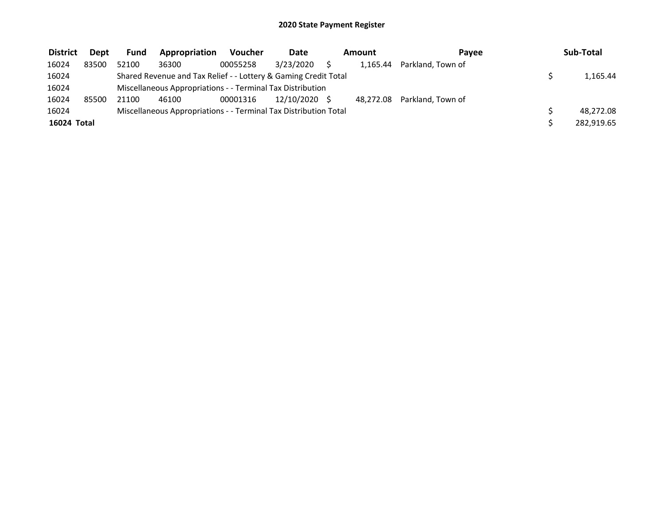| <b>District</b> | <b>Dept</b> | <b>Fund</b> | Appropriation                                                    | <b>Voucher</b> | Date          | Amount |          | Pavee                       | Sub-Total  |
|-----------------|-------------|-------------|------------------------------------------------------------------|----------------|---------------|--------|----------|-----------------------------|------------|
| 16024           | 83500       | 52100       | 36300                                                            | 00055258       | 3/23/2020     |        | 1.165.44 | Parkland, Town of           |            |
| 16024           |             |             | Shared Revenue and Tax Relief - - Lottery & Gaming Credit Total  |                |               |        |          |                             | 1,165.44   |
| 16024           |             |             | Miscellaneous Appropriations - - Terminal Tax Distribution       |                |               |        |          |                             |            |
| 16024           | 85500       | 21100       | 46100                                                            | 00001316       | 12/10/2020 \$ |        |          | 48,272.08 Parkland, Town of |            |
| 16024           |             |             | Miscellaneous Appropriations - - Terminal Tax Distribution Total |                |               |        |          |                             | 48,272.08  |
| 16024 Total     |             |             |                                                                  |                |               |        |          |                             | 282,919.65 |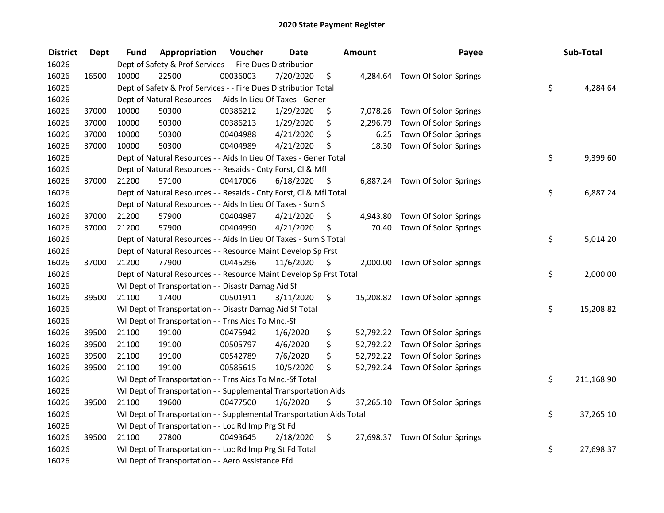| <b>District</b> | <b>Dept</b> | Fund  | Appropriation                                                        | Voucher  | <b>Date</b> |      | <b>Amount</b> | Payee                           | Sub-Total        |
|-----------------|-------------|-------|----------------------------------------------------------------------|----------|-------------|------|---------------|---------------------------------|------------------|
| 16026           |             |       | Dept of Safety & Prof Services - - Fire Dues Distribution            |          |             |      |               |                                 |                  |
| 16026           | 16500       | 10000 | 22500                                                                | 00036003 | 7/20/2020   | \$   |               | 4,284.64 Town Of Solon Springs  |                  |
| 16026           |             |       | Dept of Safety & Prof Services - - Fire Dues Distribution Total      |          |             |      |               |                                 | \$<br>4,284.64   |
| 16026           |             |       | Dept of Natural Resources - - Aids In Lieu Of Taxes - Gener          |          |             |      |               |                                 |                  |
| 16026           | 37000       | 10000 | 50300                                                                | 00386212 | 1/29/2020   | \$   |               | 7,078.26 Town Of Solon Springs  |                  |
| 16026           | 37000       | 10000 | 50300                                                                | 00386213 | 1/29/2020   | \$   | 2,296.79      | Town Of Solon Springs           |                  |
| 16026           | 37000       | 10000 | 50300                                                                | 00404988 | 4/21/2020   | \$   | 6.25          | Town Of Solon Springs           |                  |
| 16026           | 37000       | 10000 | 50300                                                                | 00404989 | 4/21/2020   | \$   | 18.30         | Town Of Solon Springs           |                  |
| 16026           |             |       | Dept of Natural Resources - - Aids In Lieu Of Taxes - Gener Total    |          |             |      |               |                                 | \$<br>9,399.60   |
| 16026           |             |       | Dept of Natural Resources - - Resaids - Cnty Forst, Cl & Mfl         |          |             |      |               |                                 |                  |
| 16026           | 37000       | 21200 | 57100                                                                | 00417006 | 6/18/2020   | - \$ |               | 6,887.24 Town Of Solon Springs  |                  |
| 16026           |             |       | Dept of Natural Resources - - Resaids - Cnty Forst, CI & Mfl Total   |          |             |      |               |                                 | \$<br>6,887.24   |
| 16026           |             |       | Dept of Natural Resources - - Aids In Lieu Of Taxes - Sum S          |          |             |      |               |                                 |                  |
| 16026           | 37000       | 21200 | 57900                                                                | 00404987 | 4/21/2020   | \$   | 4,943.80      | Town Of Solon Springs           |                  |
| 16026           | 37000       | 21200 | 57900                                                                | 00404990 | 4/21/2020   | \$   | 70.40         | Town Of Solon Springs           |                  |
| 16026           |             |       | Dept of Natural Resources - - Aids In Lieu Of Taxes - Sum S Total    |          |             |      |               |                                 | \$<br>5,014.20   |
| 16026           |             |       | Dept of Natural Resources - - Resource Maint Develop Sp Frst         |          |             |      |               |                                 |                  |
| 16026           | 37000       | 21200 | 77900                                                                | 00445296 | 11/6/2020   | - \$ |               | 2,000.00 Town Of Solon Springs  |                  |
| 16026           |             |       | Dept of Natural Resources - - Resource Maint Develop Sp Frst Total   |          |             |      |               |                                 | \$<br>2,000.00   |
| 16026           |             |       | WI Dept of Transportation - - Disastr Damag Aid Sf                   |          |             |      |               |                                 |                  |
| 16026           | 39500       | 21100 | 17400                                                                | 00501911 | 3/11/2020   | \$   |               | 15,208.82 Town Of Solon Springs |                  |
| 16026           |             |       | WI Dept of Transportation - - Disastr Damag Aid Sf Total             |          |             |      |               |                                 | \$<br>15,208.82  |
| 16026           |             |       | WI Dept of Transportation - - Trns Aids To Mnc.-Sf                   |          |             |      |               |                                 |                  |
| 16026           | 39500       | 21100 | 19100                                                                | 00475942 | 1/6/2020    | \$   |               | 52,792.22 Town Of Solon Springs |                  |
| 16026           | 39500       | 21100 | 19100                                                                | 00505797 | 4/6/2020    | \$   |               | 52,792.22 Town Of Solon Springs |                  |
| 16026           | 39500       | 21100 | 19100                                                                | 00542789 | 7/6/2020    | \$   |               | 52,792.22 Town Of Solon Springs |                  |
| 16026           | 39500       | 21100 | 19100                                                                | 00585615 | 10/5/2020   | \$   |               | 52,792.24 Town Of Solon Springs |                  |
| 16026           |             |       | WI Dept of Transportation - - Trns Aids To Mnc.-Sf Total             |          |             |      |               |                                 | \$<br>211,168.90 |
| 16026           |             |       | WI Dept of Transportation - - Supplemental Transportation Aids       |          |             |      |               |                                 |                  |
| 16026           | 39500       | 21100 | 19600                                                                | 00477500 | 1/6/2020    | \$   |               | 37,265.10 Town Of Solon Springs |                  |
| 16026           |             |       | WI Dept of Transportation - - Supplemental Transportation Aids Total |          |             |      |               |                                 | \$<br>37,265.10  |
| 16026           |             |       | WI Dept of Transportation - - Loc Rd Imp Prg St Fd                   |          |             |      |               |                                 |                  |
| 16026           | 39500       | 21100 | 27800                                                                | 00493645 | 2/18/2020   | \$   |               | 27,698.37 Town Of Solon Springs |                  |
| 16026           |             |       | WI Dept of Transportation - - Loc Rd Imp Prg St Fd Total             |          |             |      |               |                                 | \$<br>27,698.37  |
| 16026           |             |       | WI Dept of Transportation - - Aero Assistance Ffd                    |          |             |      |               |                                 |                  |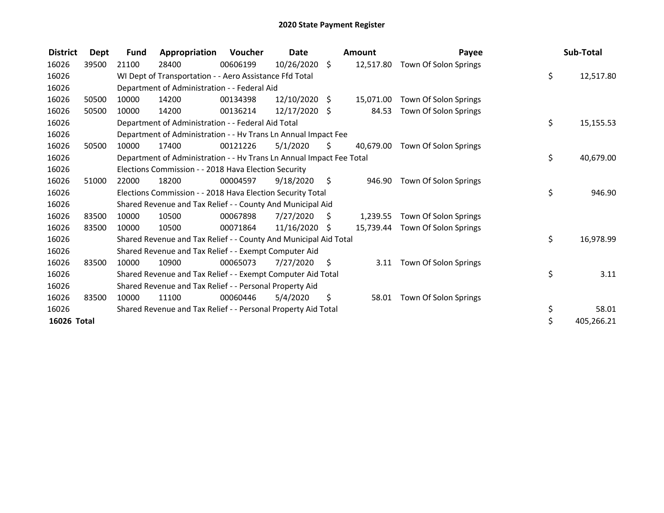| <b>District</b> | <b>Dept</b> | Fund  | Appropriation                                                        | Voucher  | <b>Date</b>     |                | <b>Amount</b> | Payee                 | Sub-Total        |
|-----------------|-------------|-------|----------------------------------------------------------------------|----------|-----------------|----------------|---------------|-----------------------|------------------|
| 16026           | 39500       | 21100 | 28400                                                                | 00606199 | $10/26/2020$ \$ |                | 12,517.80     | Town Of Solon Springs |                  |
| 16026           |             |       | WI Dept of Transportation - - Aero Assistance Ffd Total              |          |                 |                |               |                       | \$<br>12,517.80  |
| 16026           |             |       | Department of Administration - - Federal Aid                         |          |                 |                |               |                       |                  |
| 16026           | 50500       | 10000 | 14200                                                                | 00134398 | 12/10/2020 \$   |                | 15,071.00     | Town Of Solon Springs |                  |
| 16026           | 50500       | 10000 | 14200                                                                | 00136214 | 12/17/2020 \$   |                | 84.53         | Town Of Solon Springs |                  |
| 16026           |             |       | Department of Administration - - Federal Aid Total                   |          |                 |                |               |                       | \$<br>15,155.53  |
| 16026           |             |       | Department of Administration - - Hv Trans Ln Annual Impact Fee       |          |                 |                |               |                       |                  |
| 16026           | 50500       | 10000 | 17400                                                                | 00121226 | 5/1/2020        | S.             | 40,679.00     | Town Of Solon Springs |                  |
| 16026           |             |       | Department of Administration - - Hv Trans Ln Annual Impact Fee Total |          |                 |                |               |                       | \$<br>40,679.00  |
| 16026           |             |       | Elections Commission - - 2018 Hava Election Security                 |          |                 |                |               |                       |                  |
| 16026           | 51000       | 22000 | 18200                                                                | 00004597 | 9/18/2020       | $\ddot{\zeta}$ | 946.90        | Town Of Solon Springs |                  |
| 16026           |             |       | Elections Commission - - 2018 Hava Election Security Total           |          |                 |                |               |                       | \$<br>946.90     |
| 16026           |             |       | Shared Revenue and Tax Relief - - County And Municipal Aid           |          |                 |                |               |                       |                  |
| 16026           | 83500       | 10000 | 10500                                                                | 00067898 | 7/27/2020       | S.             | 1,239.55      | Town Of Solon Springs |                  |
| 16026           | 83500       | 10000 | 10500                                                                | 00071864 | $11/16/2020$ \$ |                | 15.739.44     | Town Of Solon Springs |                  |
| 16026           |             |       | Shared Revenue and Tax Relief - - County And Municipal Aid Total     |          |                 |                |               |                       | \$<br>16,978.99  |
| 16026           |             |       | Shared Revenue and Tax Relief - - Exempt Computer Aid                |          |                 |                |               |                       |                  |
| 16026           | 83500       | 10000 | 10900                                                                | 00065073 | 7/27/2020       | $\ddot{\zeta}$ | 3.11          | Town Of Solon Springs |                  |
| 16026           |             |       | Shared Revenue and Tax Relief - - Exempt Computer Aid Total          |          |                 |                |               |                       | \$<br>3.11       |
| 16026           |             |       | Shared Revenue and Tax Relief - - Personal Property Aid              |          |                 |                |               |                       |                  |
| 16026           | 83500       | 10000 | 11100                                                                | 00060446 | 5/4/2020        | \$             | 58.01         | Town Of Solon Springs |                  |
| 16026           |             |       | Shared Revenue and Tax Relief - - Personal Property Aid Total        |          |                 |                |               |                       | \$<br>58.01      |
| 16026 Total     |             |       |                                                                      |          |                 |                |               |                       | \$<br>405,266.21 |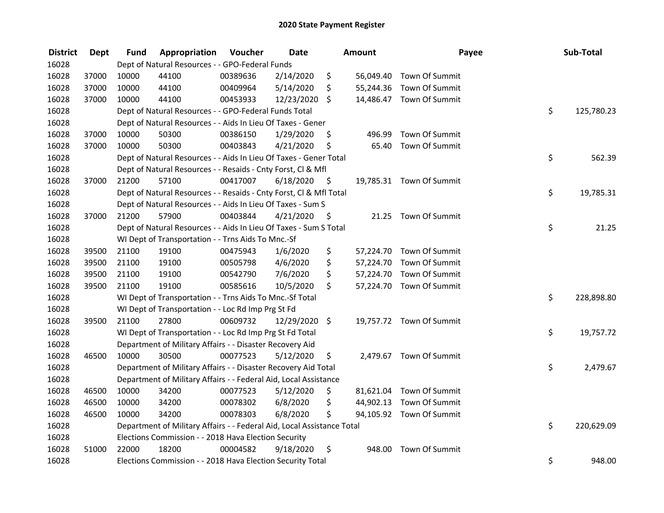| <b>District</b> | <b>Dept</b> | Fund  | Appropriation                                                          | Voucher  | <b>Date</b>   |         | Amount | Payee                    | Sub-Total        |
|-----------------|-------------|-------|------------------------------------------------------------------------|----------|---------------|---------|--------|--------------------------|------------------|
| 16028           |             |       | Dept of Natural Resources - - GPO-Federal Funds                        |          |               |         |        |                          |                  |
| 16028           | 37000       | 10000 | 44100                                                                  | 00389636 | 2/14/2020     | \$      |        | 56,049.40 Town Of Summit |                  |
| 16028           | 37000       | 10000 | 44100                                                                  | 00409964 | 5/14/2020     | \$      |        | 55,244.36 Town Of Summit |                  |
| 16028           | 37000       | 10000 | 44100                                                                  | 00453933 | 12/23/2020    | $\zeta$ |        | 14,486.47 Town Of Summit |                  |
| 16028           |             |       | Dept of Natural Resources - - GPO-Federal Funds Total                  |          |               |         |        |                          | \$<br>125,780.23 |
| 16028           |             |       | Dept of Natural Resources - - Aids In Lieu Of Taxes - Gener            |          |               |         |        |                          |                  |
| 16028           | 37000       | 10000 | 50300                                                                  | 00386150 | 1/29/2020     | \$      | 496.99 | Town Of Summit           |                  |
| 16028           | 37000       | 10000 | 50300                                                                  | 00403843 | 4/21/2020     | \$      | 65.40  | Town Of Summit           |                  |
| 16028           |             |       | Dept of Natural Resources - - Aids In Lieu Of Taxes - Gener Total      |          |               |         |        |                          | \$<br>562.39     |
| 16028           |             |       | Dept of Natural Resources - - Resaids - Cnty Forst, Cl & Mfl           |          |               |         |        |                          |                  |
| 16028           | 37000       | 21200 | 57100                                                                  | 00417007 | 6/18/2020     | \$      |        | 19,785.31 Town Of Summit |                  |
| 16028           |             |       | Dept of Natural Resources - - Resaids - Cnty Forst, Cl & Mfl Total     |          |               |         |        |                          | \$<br>19,785.31  |
| 16028           |             |       | Dept of Natural Resources - - Aids In Lieu Of Taxes - Sum S            |          |               |         |        |                          |                  |
| 16028           | 37000       | 21200 | 57900                                                                  | 00403844 | 4/21/2020     | \$.     | 21.25  | Town Of Summit           |                  |
| 16028           |             |       | Dept of Natural Resources - - Aids In Lieu Of Taxes - Sum S Total      |          |               |         |        |                          | \$<br>21.25      |
| 16028           |             |       | WI Dept of Transportation - - Trns Aids To Mnc.-Sf                     |          |               |         |        |                          |                  |
| 16028           | 39500       | 21100 | 19100                                                                  | 00475943 | 1/6/2020      | \$      |        | 57,224.70 Town Of Summit |                  |
| 16028           | 39500       | 21100 | 19100                                                                  | 00505798 | 4/6/2020      | \$      |        | 57,224.70 Town Of Summit |                  |
| 16028           | 39500       | 21100 | 19100                                                                  | 00542790 | 7/6/2020      | \$      |        | 57,224.70 Town Of Summit |                  |
| 16028           | 39500       | 21100 | 19100                                                                  | 00585616 | 10/5/2020     | \$      |        | 57,224.70 Town Of Summit |                  |
| 16028           |             |       | WI Dept of Transportation - - Trns Aids To Mnc.-Sf Total               |          |               |         |        |                          | \$<br>228,898.80 |
| 16028           |             |       | WI Dept of Transportation - - Loc Rd Imp Prg St Fd                     |          |               |         |        |                          |                  |
| 16028           | 39500       | 21100 | 27800                                                                  | 00609732 | 12/29/2020 \$ |         |        | 19,757.72 Town Of Summit |                  |
| 16028           |             |       | WI Dept of Transportation - - Loc Rd Imp Prg St Fd Total               |          |               |         |        |                          | \$<br>19,757.72  |
| 16028           |             |       | Department of Military Affairs - - Disaster Recovery Aid               |          |               |         |        |                          |                  |
| 16028           | 46500       | 10000 | 30500                                                                  | 00077523 | 5/12/2020     | \$      |        | 2,479.67 Town Of Summit  |                  |
| 16028           |             |       | Department of Military Affairs - - Disaster Recovery Aid Total         |          |               |         |        |                          | \$<br>2,479.67   |
| 16028           |             |       | Department of Military Affairs - - Federal Aid, Local Assistance       |          |               |         |        |                          |                  |
| 16028           | 46500       | 10000 | 34200                                                                  | 00077523 | 5/12/2020     | \$      |        | 81,621.04 Town Of Summit |                  |
| 16028           | 46500       | 10000 | 34200                                                                  | 00078302 | 6/8/2020      | \$      |        | 44,902.13 Town Of Summit |                  |
| 16028           | 46500       | 10000 | 34200                                                                  | 00078303 | 6/8/2020      | \$      |        | 94,105.92 Town Of Summit |                  |
| 16028           |             |       | Department of Military Affairs - - Federal Aid, Local Assistance Total |          |               |         |        |                          | \$<br>220,629.09 |
| 16028           |             |       | Elections Commission - - 2018 Hava Election Security                   |          |               |         |        |                          |                  |
| 16028           | 51000       | 22000 | 18200                                                                  | 00004582 | 9/18/2020     | \$      | 948.00 | Town Of Summit           |                  |
| 16028           |             |       | Elections Commission - - 2018 Hava Election Security Total             |          |               |         |        |                          | \$<br>948.00     |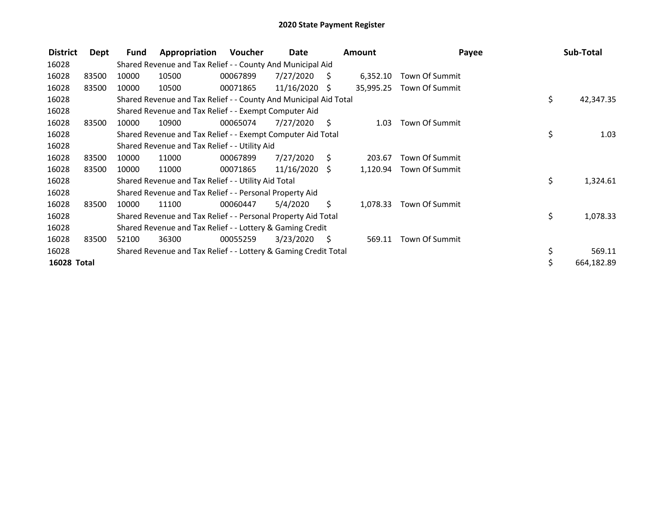| <b>District</b> | Dept  | Fund  | Appropriation                                                    | Voucher  | Date            |      | Amount    | Payee          | Sub-Total        |
|-----------------|-------|-------|------------------------------------------------------------------|----------|-----------------|------|-----------|----------------|------------------|
| 16028           |       |       | Shared Revenue and Tax Relief - - County And Municipal Aid       |          |                 |      |           |                |                  |
| 16028           | 83500 | 10000 | 10500                                                            | 00067899 | 7/27/2020       | - \$ | 6,352.10  | Town Of Summit |                  |
| 16028           | 83500 | 10000 | 10500                                                            | 00071865 | $11/16/2020$ \$ |      | 35,995.25 | Town Of Summit |                  |
| 16028           |       |       | Shared Revenue and Tax Relief - - County And Municipal Aid Total |          |                 |      |           |                | \$<br>42,347.35  |
| 16028           |       |       | Shared Revenue and Tax Relief - - Exempt Computer Aid            |          |                 |      |           |                |                  |
| 16028           | 83500 | 10000 | 10900                                                            | 00065074 | 7/27/2020       | S    | 1.03      | Town Of Summit |                  |
| 16028           |       |       | Shared Revenue and Tax Relief - - Exempt Computer Aid Total      |          |                 |      |           |                | \$<br>1.03       |
| 16028           |       |       | Shared Revenue and Tax Relief - - Utility Aid                    |          |                 |      |           |                |                  |
| 16028           | 83500 | 10000 | 11000                                                            | 00067899 | 7/27/2020       | - \$ | 203.67    | Town Of Summit |                  |
| 16028           | 83500 | 10000 | 11000                                                            | 00071865 | $11/16/2020$ \$ |      | 1,120.94  | Town Of Summit |                  |
| 16028           |       |       | Shared Revenue and Tax Relief - - Utility Aid Total              |          |                 |      |           |                | \$<br>1,324.61   |
| 16028           |       |       | Shared Revenue and Tax Relief - - Personal Property Aid          |          |                 |      |           |                |                  |
| 16028           | 83500 | 10000 | 11100                                                            | 00060447 | 5/4/2020        | S.   | 1,078.33  | Town Of Summit |                  |
| 16028           |       |       | Shared Revenue and Tax Relief - - Personal Property Aid Total    |          |                 |      |           |                | \$<br>1,078.33   |
| 16028           |       |       | Shared Revenue and Tax Relief - - Lottery & Gaming Credit        |          |                 |      |           |                |                  |
| 16028           | 83500 | 52100 | 36300                                                            | 00055259 | 3/23/2020       | - S  | 569.11    | Town Of Summit |                  |
| 16028           |       |       | Shared Revenue and Tax Relief - - Lottery & Gaming Credit Total  |          |                 |      |           |                | \$<br>569.11     |
| 16028 Total     |       |       |                                                                  |          |                 |      |           |                | \$<br>664,182.89 |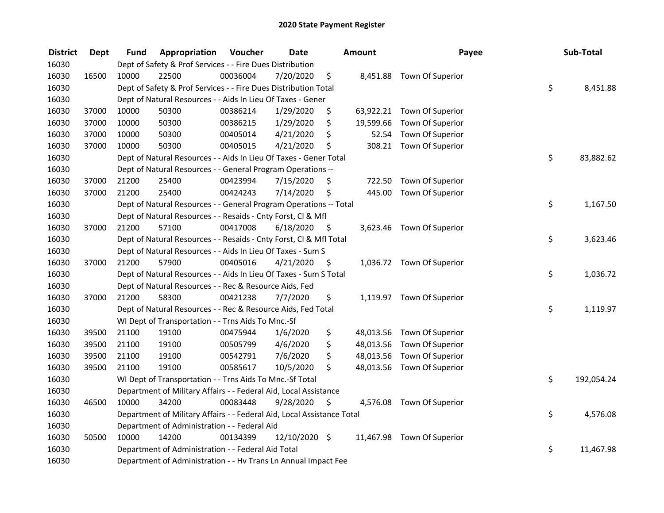| <b>District</b> | <b>Dept</b> | Fund  | Appropriation                                                          | Voucher  | <b>Date</b>   |      | <b>Amount</b> | Payee                      | Sub-Total        |
|-----------------|-------------|-------|------------------------------------------------------------------------|----------|---------------|------|---------------|----------------------------|------------------|
| 16030           |             |       | Dept of Safety & Prof Services - - Fire Dues Distribution              |          |               |      |               |                            |                  |
| 16030           | 16500       | 10000 | 22500                                                                  | 00036004 | 7/20/2020     | \$   |               | 8,451.88 Town Of Superior  |                  |
| 16030           |             |       | Dept of Safety & Prof Services - - Fire Dues Distribution Total        |          |               |      |               |                            | \$<br>8,451.88   |
| 16030           |             |       | Dept of Natural Resources - - Aids In Lieu Of Taxes - Gener            |          |               |      |               |                            |                  |
| 16030           | 37000       | 10000 | 50300                                                                  | 00386214 | 1/29/2020     | \$   |               | 63,922.21 Town Of Superior |                  |
| 16030           | 37000       | 10000 | 50300                                                                  | 00386215 | 1/29/2020     | \$   | 19,599.66     | Town Of Superior           |                  |
| 16030           | 37000       | 10000 | 50300                                                                  | 00405014 | 4/21/2020     | \$   | 52.54         | Town Of Superior           |                  |
| 16030           | 37000       | 10000 | 50300                                                                  | 00405015 | 4/21/2020     | \$   |               | 308.21 Town Of Superior    |                  |
| 16030           |             |       | Dept of Natural Resources - - Aids In Lieu Of Taxes - Gener Total      |          |               |      |               |                            | \$<br>83,882.62  |
| 16030           |             |       | Dept of Natural Resources - - General Program Operations --            |          |               |      |               |                            |                  |
| 16030           | 37000       | 21200 | 25400                                                                  | 00423994 | 7/15/2020     | \$   | 722.50        | Town Of Superior           |                  |
| 16030           | 37000       | 21200 | 25400                                                                  | 00424243 | 7/14/2020     | \$   | 445.00        | Town Of Superior           |                  |
| 16030           |             |       | Dept of Natural Resources - - General Program Operations -- Total      |          |               |      |               |                            | \$<br>1,167.50   |
| 16030           |             |       | Dept of Natural Resources - - Resaids - Cnty Forst, Cl & Mfl           |          |               |      |               |                            |                  |
| 16030           | 37000       | 21200 | 57100                                                                  | 00417008 | 6/18/2020     | - \$ |               | 3,623.46 Town Of Superior  |                  |
| 16030           |             |       | Dept of Natural Resources - - Resaids - Cnty Forst, CI & Mfl Total     |          |               |      |               |                            | \$<br>3,623.46   |
| 16030           |             |       | Dept of Natural Resources - - Aids In Lieu Of Taxes - Sum S            |          |               |      |               |                            |                  |
| 16030           | 37000       | 21200 | 57900                                                                  | 00405016 | 4/21/2020     | \$   |               | 1,036.72 Town Of Superior  |                  |
| 16030           |             |       | Dept of Natural Resources - - Aids In Lieu Of Taxes - Sum S Total      |          |               |      |               |                            | \$<br>1,036.72   |
| 16030           |             |       | Dept of Natural Resources - - Rec & Resource Aids, Fed                 |          |               |      |               |                            |                  |
| 16030           | 37000       | 21200 | 58300                                                                  | 00421238 | 7/7/2020      | \$   |               | 1,119.97 Town Of Superior  |                  |
| 16030           |             |       | Dept of Natural Resources - - Rec & Resource Aids, Fed Total           |          |               |      |               |                            | \$<br>1,119.97   |
| 16030           |             |       | WI Dept of Transportation - - Trns Aids To Mnc.-Sf                     |          |               |      |               |                            |                  |
| 16030           | 39500       | 21100 | 19100                                                                  | 00475944 | 1/6/2020      | \$   |               | 48,013.56 Town Of Superior |                  |
| 16030           | 39500       | 21100 | 19100                                                                  | 00505799 | 4/6/2020      | \$   |               | 48,013.56 Town Of Superior |                  |
| 16030           | 39500       | 21100 | 19100                                                                  | 00542791 | 7/6/2020      | \$   |               | 48,013.56 Town Of Superior |                  |
| 16030           | 39500       | 21100 | 19100                                                                  | 00585617 | 10/5/2020     | \$   |               | 48,013.56 Town Of Superior |                  |
| 16030           |             |       | WI Dept of Transportation - - Trns Aids To Mnc.-Sf Total               |          |               |      |               |                            | \$<br>192,054.24 |
| 16030           |             |       | Department of Military Affairs - - Federal Aid, Local Assistance       |          |               |      |               |                            |                  |
| 16030           | 46500       | 10000 | 34200                                                                  | 00083448 | 9/28/2020     | \$   |               | 4,576.08 Town Of Superior  |                  |
| 16030           |             |       | Department of Military Affairs - - Federal Aid, Local Assistance Total |          |               |      |               |                            | \$<br>4,576.08   |
| 16030           |             |       | Department of Administration - - Federal Aid                           |          |               |      |               |                            |                  |
| 16030           | 50500       | 10000 | 14200                                                                  | 00134399 | 12/10/2020 \$ |      |               | 11,467.98 Town Of Superior |                  |
| 16030           |             |       | Department of Administration - - Federal Aid Total                     |          |               |      |               |                            | \$<br>11,467.98  |
| 16030           |             |       | Department of Administration - - Hv Trans Ln Annual Impact Fee         |          |               |      |               |                            |                  |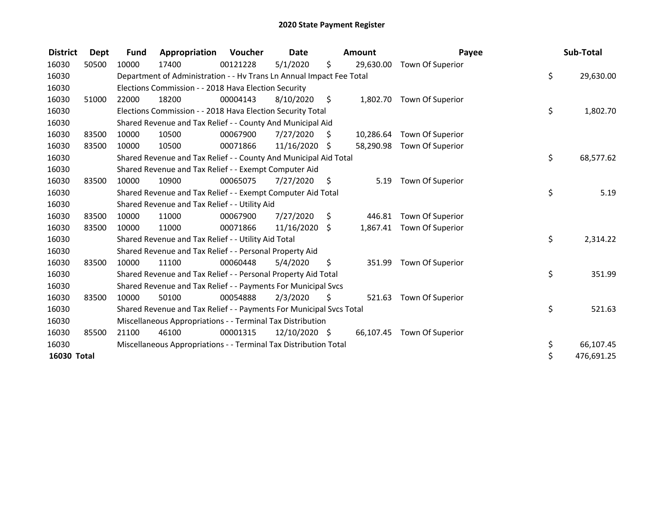| <b>District</b> | Dept  | Fund  | Appropriation                                                        | <b>Voucher</b> | <b>Date</b>     |      | <b>Amount</b> | Payee                   | Sub-Total        |
|-----------------|-------|-------|----------------------------------------------------------------------|----------------|-----------------|------|---------------|-------------------------|------------------|
| 16030           | 50500 | 10000 | 17400                                                                | 00121228       | 5/1/2020        | \$   | 29,630.00     | Town Of Superior        |                  |
| 16030           |       |       | Department of Administration - - Hv Trans Ln Annual Impact Fee Total |                |                 |      |               |                         | \$<br>29,630.00  |
| 16030           |       |       | Elections Commission - - 2018 Hava Election Security                 |                |                 |      |               |                         |                  |
| 16030           | 51000 | 22000 | 18200                                                                | 00004143       | 8/10/2020       | - \$ | 1,802.70      | Town Of Superior        |                  |
| 16030           |       |       | Elections Commission - - 2018 Hava Election Security Total           |                |                 |      |               |                         | \$<br>1,802.70   |
| 16030           |       |       | Shared Revenue and Tax Relief - - County And Municipal Aid           |                |                 |      |               |                         |                  |
| 16030           | 83500 | 10000 | 10500                                                                | 00067900       | 7/27/2020       | S    | 10,286.64     | Town Of Superior        |                  |
| 16030           | 83500 | 10000 | 10500                                                                | 00071866       | 11/16/2020 \$   |      | 58,290.98     | Town Of Superior        |                  |
| 16030           |       |       | Shared Revenue and Tax Relief - - County And Municipal Aid Total     |                |                 |      |               |                         | \$<br>68,577.62  |
| 16030           |       |       | Shared Revenue and Tax Relief - - Exempt Computer Aid                |                |                 |      |               |                         |                  |
| 16030           | 83500 | 10000 | 10900                                                                | 00065075       | 7/27/2020       | \$   | 5.19          | Town Of Superior        |                  |
| 16030           |       |       | Shared Revenue and Tax Relief - - Exempt Computer Aid Total          |                |                 |      |               |                         | \$<br>5.19       |
| 16030           |       |       | Shared Revenue and Tax Relief - - Utility Aid                        |                |                 |      |               |                         |                  |
| 16030           | 83500 | 10000 | 11000                                                                | 00067900       | 7/27/2020       | \$   | 446.81        | Town Of Superior        |                  |
| 16030           | 83500 | 10000 | 11000                                                                | 00071866       | $11/16/2020$ \$ |      | 1,867.41      | Town Of Superior        |                  |
| 16030           |       |       | Shared Revenue and Tax Relief - - Utility Aid Total                  |                |                 |      |               |                         | \$<br>2,314.22   |
| 16030           |       |       | Shared Revenue and Tax Relief - - Personal Property Aid              |                |                 |      |               |                         |                  |
| 16030           | 83500 | 10000 | 11100                                                                | 00060448       | 5/4/2020        | \$   | 351.99        | Town Of Superior        |                  |
| 16030           |       |       | Shared Revenue and Tax Relief - - Personal Property Aid Total        |                |                 |      |               |                         | \$<br>351.99     |
| 16030           |       |       | Shared Revenue and Tax Relief - - Payments For Municipal Svcs        |                |                 |      |               |                         |                  |
| 16030           | 83500 | 10000 | 50100                                                                | 00054888       | 2/3/2020        | \$.  | 521.63        | Town Of Superior        |                  |
| 16030           |       |       | Shared Revenue and Tax Relief - - Payments For Municipal Svcs Total  |                |                 |      |               |                         | \$<br>521.63     |
| 16030           |       |       | Miscellaneous Appropriations - - Terminal Tax Distribution           |                |                 |      |               |                         |                  |
| 16030           | 85500 | 21100 | 46100                                                                | 00001315       | 12/10/2020 \$   |      | 66,107.45     | <b>Town Of Superior</b> |                  |
| 16030           |       |       | Miscellaneous Appropriations - - Terminal Tax Distribution Total     |                |                 |      |               |                         | \$<br>66,107.45  |
| 16030 Total     |       |       |                                                                      |                |                 |      |               |                         | \$<br>476,691.25 |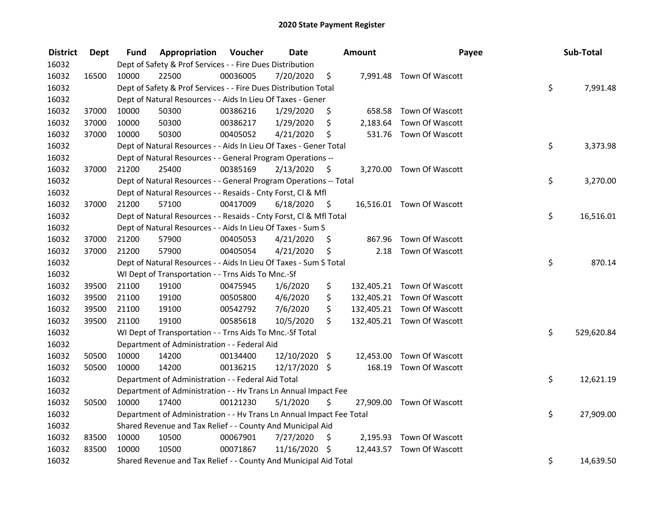| <b>District</b> | <b>Dept</b> | Fund  | Appropriation                                                        | Voucher  | <b>Date</b>   |         | Amount   | Payee                      | Sub-Total        |
|-----------------|-------------|-------|----------------------------------------------------------------------|----------|---------------|---------|----------|----------------------------|------------------|
| 16032           |             |       | Dept of Safety & Prof Services - - Fire Dues Distribution            |          |               |         |          |                            |                  |
| 16032           | 16500       | 10000 | 22500                                                                | 00036005 | 7/20/2020     | \$      |          | 7,991.48 Town Of Wascott   |                  |
| 16032           |             |       | Dept of Safety & Prof Services - - Fire Dues Distribution Total      |          |               |         |          |                            | \$<br>7,991.48   |
| 16032           |             |       | Dept of Natural Resources - - Aids In Lieu Of Taxes - Gener          |          |               |         |          |                            |                  |
| 16032           | 37000       | 10000 | 50300                                                                | 00386216 | 1/29/2020     | \$      |          | 658.58 Town Of Wascott     |                  |
| 16032           | 37000       | 10000 | 50300                                                                | 00386217 | 1/29/2020     | \$      | 2,183.64 | Town Of Wascott            |                  |
| 16032           | 37000       | 10000 | 50300                                                                | 00405052 | 4/21/2020     | \$      |          | 531.76 Town Of Wascott     |                  |
| 16032           |             |       | Dept of Natural Resources - - Aids In Lieu Of Taxes - Gener Total    |          |               |         |          |                            | \$<br>3,373.98   |
| 16032           |             |       | Dept of Natural Resources - - General Program Operations --          |          |               |         |          |                            |                  |
| 16032           | 37000       | 21200 | 25400                                                                | 00385169 | 2/13/2020     | $\zeta$ |          | 3,270.00 Town Of Wascott   |                  |
| 16032           |             |       | Dept of Natural Resources - - General Program Operations -- Total    |          |               |         |          |                            | \$<br>3,270.00   |
| 16032           |             |       | Dept of Natural Resources - - Resaids - Cnty Forst, CI & Mfl         |          |               |         |          |                            |                  |
| 16032           | 37000       | 21200 | 57100                                                                | 00417009 | 6/18/2020     | - \$    |          | 16,516.01 Town Of Wascott  |                  |
| 16032           |             |       | Dept of Natural Resources - - Resaids - Cnty Forst, Cl & Mfl Total   |          |               |         |          |                            | \$<br>16,516.01  |
| 16032           |             |       | Dept of Natural Resources - - Aids In Lieu Of Taxes - Sum S          |          |               |         |          |                            |                  |
| 16032           | 37000       | 21200 | 57900                                                                | 00405053 | 4/21/2020     | \$.     | 867.96   | Town Of Wascott            |                  |
| 16032           | 37000       | 21200 | 57900                                                                | 00405054 | 4/21/2020     | \$      | 2.18     | Town Of Wascott            |                  |
| 16032           |             |       | Dept of Natural Resources - - Aids In Lieu Of Taxes - Sum S Total    |          |               |         |          |                            | \$<br>870.14     |
| 16032           |             |       | WI Dept of Transportation - - Trns Aids To Mnc.-Sf                   |          |               |         |          |                            |                  |
| 16032           | 39500       | 21100 | 19100                                                                | 00475945 | 1/6/2020      | \$      |          | 132,405.21 Town Of Wascott |                  |
| 16032           | 39500       | 21100 | 19100                                                                | 00505800 | 4/6/2020      | \$      |          | 132,405.21 Town Of Wascott |                  |
| 16032           | 39500       | 21100 | 19100                                                                | 00542792 | 7/6/2020      | \$      |          | 132,405.21 Town Of Wascott |                  |
| 16032           | 39500       | 21100 | 19100                                                                | 00585618 | 10/5/2020     | Ś.      |          | 132,405.21 Town Of Wascott |                  |
| 16032           |             |       | WI Dept of Transportation - - Trns Aids To Mnc.-Sf Total             |          |               |         |          |                            | \$<br>529,620.84 |
| 16032           |             |       | Department of Administration - - Federal Aid                         |          |               |         |          |                            |                  |
| 16032           | 50500       | 10000 | 14200                                                                | 00134400 | 12/10/2020    | $\zeta$ |          | 12,453.00 Town Of Wascott  |                  |
| 16032           | 50500       | 10000 | 14200                                                                | 00136215 | 12/17/2020 \$ |         | 168.19   | Town Of Wascott            |                  |
| 16032           |             |       | Department of Administration - - Federal Aid Total                   |          |               |         |          |                            | \$<br>12,621.19  |
| 16032           |             |       | Department of Administration - - Hv Trans Ln Annual Impact Fee       |          |               |         |          |                            |                  |
| 16032           | 50500       | 10000 | 17400                                                                | 00121230 | 5/1/2020      | \$      |          | 27,909.00 Town Of Wascott  |                  |
| 16032           |             |       | Department of Administration - - Hv Trans Ln Annual Impact Fee Total |          |               |         |          |                            | \$<br>27,909.00  |
| 16032           |             |       | Shared Revenue and Tax Relief - - County And Municipal Aid           |          |               |         |          |                            |                  |
| 16032           | 83500       | 10000 | 10500                                                                | 00067901 | 7/27/2020     | \$      |          | 2,195.93 Town Of Wascott   |                  |
| 16032           | 83500       | 10000 | 10500                                                                | 00071867 | 11/16/2020 \$ |         |          | 12,443.57 Town Of Wascott  |                  |
| 16032           |             |       | Shared Revenue and Tax Relief - - County And Municipal Aid Total     |          |               |         |          |                            | \$<br>14,639.50  |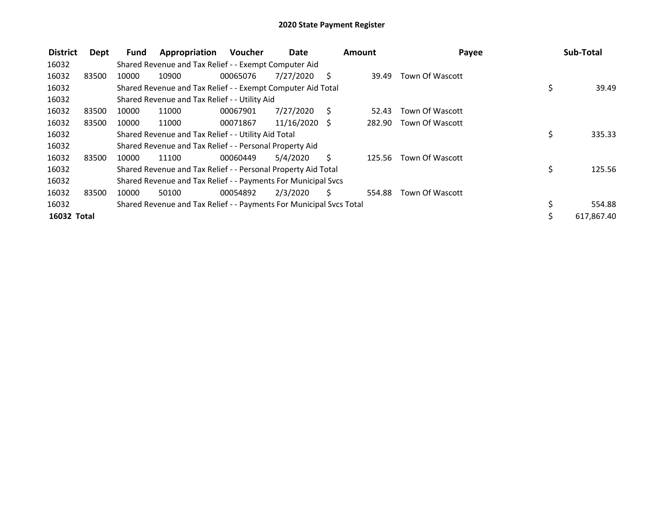| <b>District</b> | Dept  | Fund  | Appropriation                                                       | <b>Voucher</b> | Date            | Amount |        | Payee           | Sub-Total        |
|-----------------|-------|-------|---------------------------------------------------------------------|----------------|-----------------|--------|--------|-----------------|------------------|
| 16032           |       |       | Shared Revenue and Tax Relief - - Exempt Computer Aid               |                |                 |        |        |                 |                  |
| 16032           | 83500 | 10000 | 10900                                                               | 00065076       | 7/27/2020       | S      | 39.49  | Town Of Wascott |                  |
| 16032           |       |       | Shared Revenue and Tax Relief - - Exempt Computer Aid Total         |                |                 |        |        |                 | \$<br>39.49      |
| 16032           |       |       | Shared Revenue and Tax Relief - - Utility Aid                       |                |                 |        |        |                 |                  |
| 16032           | 83500 | 10000 | 11000                                                               | 00067901       | 7/27/2020       | - S    | 52.43  | Town Of Wascott |                  |
| 16032           | 83500 | 10000 | 11000                                                               | 00071867       | $11/16/2020$ \$ |        | 282.90 | Town Of Wascott |                  |
| 16032           |       |       | Shared Revenue and Tax Relief - - Utility Aid Total                 |                |                 |        |        |                 | \$<br>335.33     |
| 16032           |       |       | Shared Revenue and Tax Relief - - Personal Property Aid             |                |                 |        |        |                 |                  |
| 16032           | 83500 | 10000 | 11100                                                               | 00060449       | 5/4/2020        | Ś      | 125.56 | Town Of Wascott |                  |
| 16032           |       |       | Shared Revenue and Tax Relief - - Personal Property Aid Total       |                |                 |        |        |                 | \$<br>125.56     |
| 16032           |       |       | Shared Revenue and Tax Relief - - Payments For Municipal Svcs       |                |                 |        |        |                 |                  |
| 16032           | 83500 | 10000 | 50100                                                               | 00054892       | 2/3/2020        | S.     | 554.88 | Town Of Wascott |                  |
| 16032           |       |       | Shared Revenue and Tax Relief - - Payments For Municipal Svcs Total |                |                 |        |        |                 | \$<br>554.88     |
| 16032 Total     |       |       |                                                                     |                |                 |        |        |                 | \$<br>617,867.40 |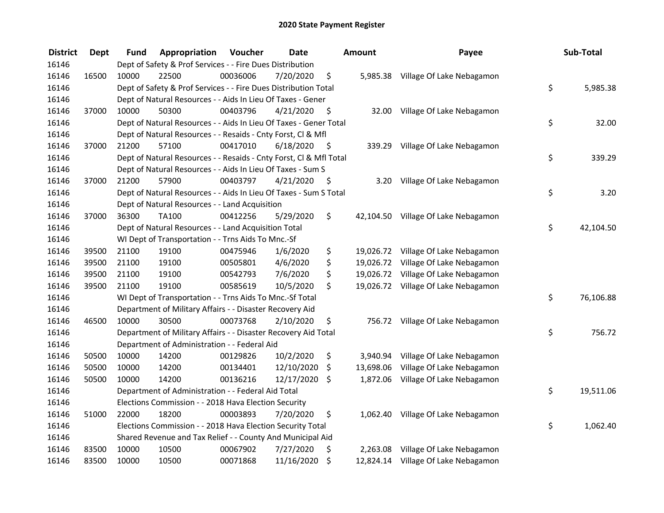| <b>District</b> | <b>Dept</b> | Fund  | Appropriation                                                      | Voucher  | <b>Date</b> |      | <b>Amount</b> | Payee                               | Sub-Total       |
|-----------------|-------------|-------|--------------------------------------------------------------------|----------|-------------|------|---------------|-------------------------------------|-----------------|
| 16146           |             |       | Dept of Safety & Prof Services - - Fire Dues Distribution          |          |             |      |               |                                     |                 |
| 16146           | 16500       | 10000 | 22500                                                              | 00036006 | 7/20/2020   | \$   |               | 5,985.38 Village Of Lake Nebagamon  |                 |
| 16146           |             |       | Dept of Safety & Prof Services - - Fire Dues Distribution Total    |          |             |      |               |                                     | \$<br>5,985.38  |
| 16146           |             |       | Dept of Natural Resources - - Aids In Lieu Of Taxes - Gener        |          |             |      |               |                                     |                 |
| 16146           | 37000       | 10000 | 50300                                                              | 00403796 | 4/21/2020   | \$   |               | 32.00 Village Of Lake Nebagamon     |                 |
| 16146           |             |       | Dept of Natural Resources - - Aids In Lieu Of Taxes - Gener Total  |          |             |      |               |                                     | \$<br>32.00     |
| 16146           |             |       | Dept of Natural Resources - - Resaids - Cnty Forst, Cl & Mfl       |          |             |      |               |                                     |                 |
| 16146           | 37000       | 21200 | 57100                                                              | 00417010 | 6/18/2020   | - \$ |               | 339.29 Village Of Lake Nebagamon    |                 |
| 16146           |             |       | Dept of Natural Resources - - Resaids - Cnty Forst, Cl & Mfl Total |          |             |      |               |                                     | \$<br>339.29    |
| 16146           |             |       | Dept of Natural Resources - - Aids In Lieu Of Taxes - Sum S        |          |             |      |               |                                     |                 |
| 16146           | 37000       | 21200 | 57900                                                              | 00403797 | 4/21/2020   | - \$ |               | 3.20 Village Of Lake Nebagamon      |                 |
| 16146           |             |       | Dept of Natural Resources - - Aids In Lieu Of Taxes - Sum S Total  |          |             |      |               |                                     | \$<br>3.20      |
| 16146           |             |       | Dept of Natural Resources - - Land Acquisition                     |          |             |      |               |                                     |                 |
| 16146           | 37000       | 36300 | TA100                                                              | 00412256 | 5/29/2020   | \$   |               | 42,104.50 Village Of Lake Nebagamon |                 |
| 16146           |             |       | Dept of Natural Resources - - Land Acquisition Total               |          |             |      |               |                                     | \$<br>42,104.50 |
| 16146           |             |       | WI Dept of Transportation - - Trns Aids To Mnc.-Sf                 |          |             |      |               |                                     |                 |
| 16146           | 39500       | 21100 | 19100                                                              | 00475946 | 1/6/2020    | \$   | 19,026.72     | Village Of Lake Nebagamon           |                 |
| 16146           | 39500       | 21100 | 19100                                                              | 00505801 | 4/6/2020    | \$   | 19,026.72     | Village Of Lake Nebagamon           |                 |
| 16146           | 39500       | 21100 | 19100                                                              | 00542793 | 7/6/2020    | \$   | 19,026.72     | Village Of Lake Nebagamon           |                 |
| 16146           | 39500       | 21100 | 19100                                                              | 00585619 | 10/5/2020   | \$   | 19,026.72     | Village Of Lake Nebagamon           |                 |
| 16146           |             |       | WI Dept of Transportation - - Trns Aids To Mnc.-Sf Total           |          |             |      |               |                                     | \$<br>76,106.88 |
| 16146           |             |       | Department of Military Affairs - - Disaster Recovery Aid           |          |             |      |               |                                     |                 |
| 16146           | 46500       | 10000 | 30500                                                              | 00073768 | 2/10/2020   | \$   |               | 756.72 Village Of Lake Nebagamon    |                 |
| 16146           |             |       | Department of Military Affairs - - Disaster Recovery Aid Total     |          |             |      |               |                                     | \$<br>756.72    |
| 16146           |             |       | Department of Administration - - Federal Aid                       |          |             |      |               |                                     |                 |
| 16146           | 50500       | 10000 | 14200                                                              | 00129826 | 10/2/2020   | \$   | 3,940.94      | Village Of Lake Nebagamon           |                 |
| 16146           | 50500       | 10000 | 14200                                                              | 00134401 | 12/10/2020  | \$   | 13,698.06     | Village Of Lake Nebagamon           |                 |
| 16146           | 50500       | 10000 | 14200                                                              | 00136216 | 12/17/2020  | \$   | 1,872.06      | Village Of Lake Nebagamon           |                 |
| 16146           |             |       | Department of Administration - - Federal Aid Total                 |          |             |      |               |                                     | \$<br>19,511.06 |
| 16146           |             |       | Elections Commission - - 2018 Hava Election Security               |          |             |      |               |                                     |                 |
| 16146           | 51000       | 22000 | 18200                                                              | 00003893 | 7/20/2020   | \$   |               | 1,062.40 Village Of Lake Nebagamon  |                 |
| 16146           |             |       | Elections Commission - - 2018 Hava Election Security Total         |          |             |      |               |                                     | \$<br>1,062.40  |
| 16146           |             |       | Shared Revenue and Tax Relief - - County And Municipal Aid         |          |             |      |               |                                     |                 |
| 16146           | 83500       | 10000 | 10500                                                              | 00067902 | 7/27/2020   | \$   | 2,263.08      | Village Of Lake Nebagamon           |                 |
| 16146           | 83500       | 10000 | 10500                                                              | 00071868 | 11/16/2020  | \$   |               | 12,824.14 Village Of Lake Nebagamon |                 |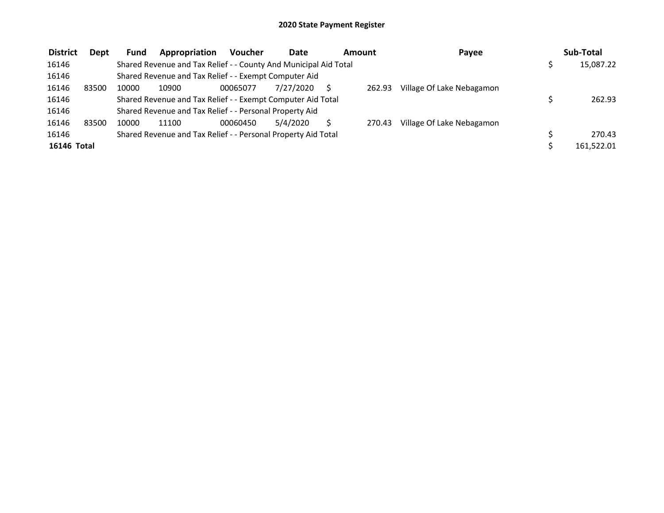| <b>District</b>    | Dept  | <b>Fund</b> | Appropriation                                                    | <b>Voucher</b> | <b>Date</b> | Amount |        | Payee                     | Sub-Total  |
|--------------------|-------|-------------|------------------------------------------------------------------|----------------|-------------|--------|--------|---------------------------|------------|
| 16146              |       |             | Shared Revenue and Tax Relief - - County And Municipal Aid Total |                |             |        |        |                           | 15,087.22  |
| 16146              |       |             | Shared Revenue and Tax Relief - - Exempt Computer Aid            |                |             |        |        |                           |            |
| 16146              | 83500 | 10000       | 10900                                                            | 00065077       | 7/27/2020   |        | 262.93 | Village Of Lake Nebagamon |            |
| 16146              |       |             | Shared Revenue and Tax Relief - - Exempt Computer Aid Total      |                |             |        |        |                           | 262.93     |
| 16146              |       |             | Shared Revenue and Tax Relief - - Personal Property Aid          |                |             |        |        |                           |            |
| 16146              | 83500 | 10000       | 11100                                                            | 00060450       | 5/4/2020    |        | 270.43 | Village Of Lake Nebagamon |            |
| 16146              |       |             | Shared Revenue and Tax Relief - - Personal Property Aid Total    |                |             |        |        |                           | 270.43     |
| <b>16146 Total</b> |       |             |                                                                  |                |             |        |        |                           | 161,522.01 |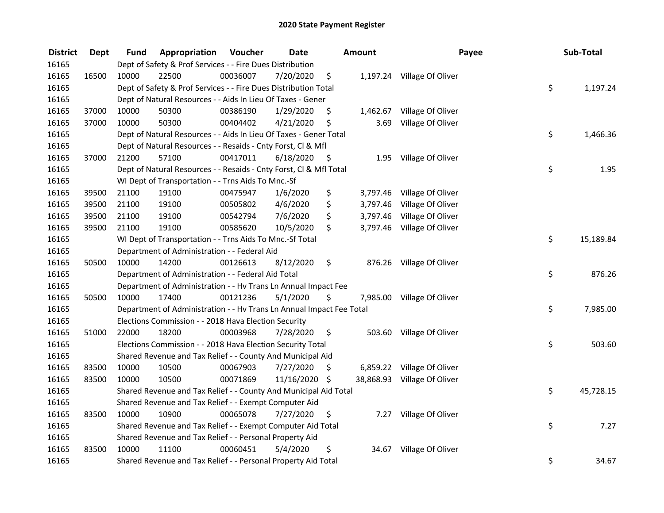| <b>District</b> | <b>Dept</b> | Fund  | Appropriation                                                        | Voucher  | <b>Date</b>   |      | <b>Amount</b> | Payee                       | Sub-Total       |
|-----------------|-------------|-------|----------------------------------------------------------------------|----------|---------------|------|---------------|-----------------------------|-----------------|
| 16165           |             |       | Dept of Safety & Prof Services - - Fire Dues Distribution            |          |               |      |               |                             |                 |
| 16165           | 16500       | 10000 | 22500                                                                | 00036007 | 7/20/2020     | \$   |               | 1,197.24 Village Of Oliver  |                 |
| 16165           |             |       | Dept of Safety & Prof Services - - Fire Dues Distribution Total      |          |               |      |               |                             | \$<br>1,197.24  |
| 16165           |             |       | Dept of Natural Resources - - Aids In Lieu Of Taxes - Gener          |          |               |      |               |                             |                 |
| 16165           | 37000       | 10000 | 50300                                                                | 00386190 | 1/29/2020     | \$   | 1,462.67      | Village Of Oliver           |                 |
| 16165           | 37000       | 10000 | 50300                                                                | 00404402 | 4/21/2020     | \$   | 3.69          | Village Of Oliver           |                 |
| 16165           |             |       | Dept of Natural Resources - - Aids In Lieu Of Taxes - Gener Total    |          |               |      |               |                             | \$<br>1,466.36  |
| 16165           |             |       | Dept of Natural Resources - - Resaids - Cnty Forst, Cl & Mfl         |          |               |      |               |                             |                 |
| 16165           | 37000       | 21200 | 57100                                                                | 00417011 | 6/18/2020     | - \$ |               | 1.95 Village Of Oliver      |                 |
| 16165           |             |       | Dept of Natural Resources - - Resaids - Cnty Forst, Cl & Mfl Total   |          |               |      |               |                             | \$<br>1.95      |
| 16165           |             |       | WI Dept of Transportation - - Trns Aids To Mnc.-Sf                   |          |               |      |               |                             |                 |
| 16165           | 39500       | 21100 | 19100                                                                | 00475947 | 1/6/2020      | \$   | 3,797.46      | Village Of Oliver           |                 |
| 16165           | 39500       | 21100 | 19100                                                                | 00505802 | 4/6/2020      | \$   | 3,797.46      | Village Of Oliver           |                 |
| 16165           | 39500       | 21100 | 19100                                                                | 00542794 | 7/6/2020      | \$   | 3,797.46      | Village Of Oliver           |                 |
| 16165           | 39500       | 21100 | 19100                                                                | 00585620 | 10/5/2020     | \$   |               | 3,797.46 Village Of Oliver  |                 |
| 16165           |             |       | WI Dept of Transportation - - Trns Aids To Mnc.-Sf Total             |          |               |      |               |                             | \$<br>15,189.84 |
| 16165           |             |       | Department of Administration - - Federal Aid                         |          |               |      |               |                             |                 |
| 16165           | 50500       | 10000 | 14200                                                                | 00126613 | 8/12/2020     | \$   | 876.26        | Village Of Oliver           |                 |
| 16165           |             |       | Department of Administration - - Federal Aid Total                   |          |               |      |               |                             | \$<br>876.26    |
| 16165           |             |       | Department of Administration - - Hv Trans Ln Annual Impact Fee       |          |               |      |               |                             |                 |
| 16165           | 50500       | 10000 | 17400                                                                | 00121236 | 5/1/2020      | \$   |               | 7,985.00 Village Of Oliver  |                 |
| 16165           |             |       | Department of Administration - - Hv Trans Ln Annual Impact Fee Total |          |               |      |               |                             | \$<br>7,985.00  |
| 16165           |             |       | Elections Commission - - 2018 Hava Election Security                 |          |               |      |               |                             |                 |
| 16165           | 51000       | 22000 | 18200                                                                | 00003968 | 7/28/2020     | -\$  |               | 503.60 Village Of Oliver    |                 |
| 16165           |             |       | Elections Commission - - 2018 Hava Election Security Total           |          |               |      |               |                             | \$<br>503.60    |
| 16165           |             |       | Shared Revenue and Tax Relief - - County And Municipal Aid           |          |               |      |               |                             |                 |
| 16165           | 83500       | 10000 | 10500                                                                | 00067903 | 7/27/2020     | \$   |               | 6,859.22 Village Of Oliver  |                 |
| 16165           | 83500       | 10000 | 10500                                                                | 00071869 | 11/16/2020 \$ |      |               | 38,868.93 Village Of Oliver |                 |
| 16165           |             |       | Shared Revenue and Tax Relief - - County And Municipal Aid Total     |          |               |      |               |                             | \$<br>45,728.15 |
| 16165           |             |       | Shared Revenue and Tax Relief - - Exempt Computer Aid                |          |               |      |               |                             |                 |
| 16165           | 83500       | 10000 | 10900                                                                | 00065078 | 7/27/2020     | \$   |               | 7.27 Village Of Oliver      |                 |
| 16165           |             |       | Shared Revenue and Tax Relief - - Exempt Computer Aid Total          |          |               |      |               |                             | \$<br>7.27      |
| 16165           |             |       | Shared Revenue and Tax Relief - - Personal Property Aid              |          |               |      |               |                             |                 |
| 16165           | 83500       | 10000 | 11100                                                                | 00060451 | 5/4/2020      | \$   |               | 34.67 Village Of Oliver     |                 |
| 16165           |             |       | Shared Revenue and Tax Relief - - Personal Property Aid Total        |          |               |      |               |                             | \$<br>34.67     |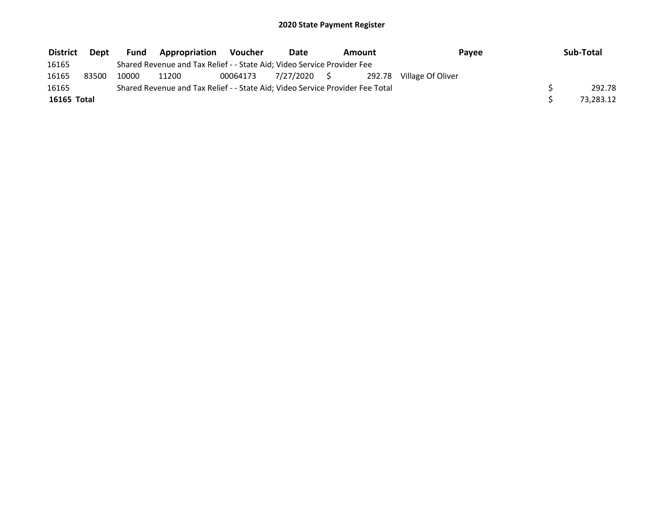| <b>District</b> | Dept  | <b>Fund</b> | <b>Appropriation</b>                                                          | Voucher  | Date         | Amount | Payee                    | Sub-Total |
|-----------------|-------|-------------|-------------------------------------------------------------------------------|----------|--------------|--------|--------------------------|-----------|
| 16165           |       |             | Shared Revenue and Tax Relief - - State Aid; Video Service Provider Fee       |          |              |        |                          |           |
| 16165           | 83500 | 10000       | 11200                                                                         | 00064173 | 7/27/2020 \$ |        | 292.78 Village Of Oliver |           |
| 16165           |       |             | Shared Revenue and Tax Relief - - State Aid; Video Service Provider Fee Total |          |              |        |                          | 292.78    |
| 16165 Total     |       |             |                                                                               |          |              |        |                          | 73,283.12 |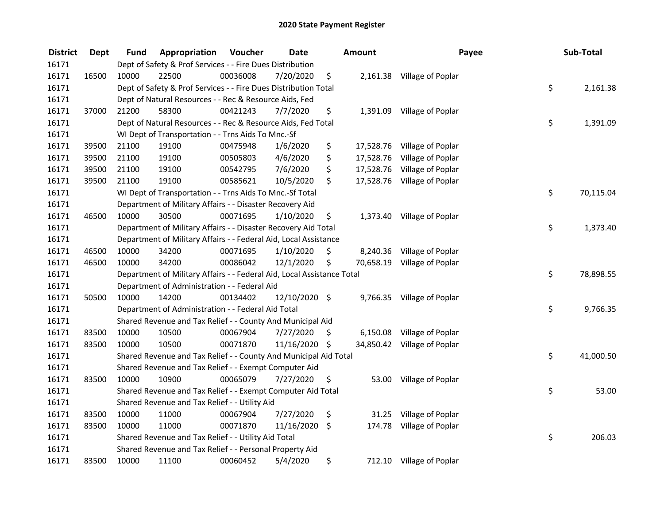| <b>District</b> | <b>Dept</b> | Fund  | Appropriation                                                          | Voucher  | <b>Date</b>   |                    | <b>Amount</b> | Payee                       |    | Sub-Total |  |  |
|-----------------|-------------|-------|------------------------------------------------------------------------|----------|---------------|--------------------|---------------|-----------------------------|----|-----------|--|--|
| 16171           |             |       | Dept of Safety & Prof Services - - Fire Dues Distribution              |          |               |                    |               |                             |    |           |  |  |
| 16171           | 16500       | 10000 | 22500                                                                  | 00036008 | 7/20/2020     | \$                 |               | 2,161.38 Village of Poplar  |    |           |  |  |
| 16171           |             |       | Dept of Safety & Prof Services - - Fire Dues Distribution Total        |          |               |                    |               |                             | \$ | 2,161.38  |  |  |
| 16171           |             |       | Dept of Natural Resources - - Rec & Resource Aids, Fed                 |          |               |                    |               |                             |    |           |  |  |
| 16171           | 37000       | 21200 | 58300                                                                  | 00421243 | 7/7/2020      | \$                 |               | 1,391.09 Village of Poplar  |    |           |  |  |
| 16171           |             |       | Dept of Natural Resources - - Rec & Resource Aids, Fed Total           |          |               |                    |               |                             | \$ | 1,391.09  |  |  |
| 16171           |             |       | WI Dept of Transportation - - Trns Aids To Mnc.-Sf                     |          |               |                    |               |                             |    |           |  |  |
| 16171           | 39500       | 21100 | 19100                                                                  | 00475948 | 1/6/2020      | \$                 |               | 17,528.76 Village of Poplar |    |           |  |  |
| 16171           | 39500       | 21100 | 19100                                                                  | 00505803 | 4/6/2020      | \$                 |               | 17,528.76 Village of Poplar |    |           |  |  |
| 16171           | 39500       | 21100 | 19100                                                                  | 00542795 | 7/6/2020      | \$                 |               | 17,528.76 Village of Poplar |    |           |  |  |
| 16171           | 39500       | 21100 | 19100                                                                  | 00585621 | 10/5/2020     | \$                 |               | 17,528.76 Village of Poplar |    |           |  |  |
| 16171           |             |       | WI Dept of Transportation - - Trns Aids To Mnc.-Sf Total               |          |               |                    |               |                             | \$ | 70,115.04 |  |  |
| 16171           |             |       | Department of Military Affairs - - Disaster Recovery Aid               |          |               |                    |               |                             |    |           |  |  |
| 16171           | 46500       | 10000 | 30500                                                                  | 00071695 | 1/10/2020     | \$                 | 1,373.40      | Village of Poplar           |    |           |  |  |
| 16171           |             |       | Department of Military Affairs - - Disaster Recovery Aid Total         |          |               |                    |               |                             | \$ | 1,373.40  |  |  |
| 16171           |             |       | Department of Military Affairs - - Federal Aid, Local Assistance       |          |               |                    |               |                             |    |           |  |  |
| 16171           | 46500       | 10000 | 34200                                                                  | 00071695 | 1/10/2020     | \$                 | 8,240.36      | Village of Poplar           |    |           |  |  |
| 16171           | 46500       | 10000 | 34200                                                                  | 00086042 | 12/1/2020     | \$                 | 70,658.19     | Village of Poplar           |    |           |  |  |
| 16171           |             |       | Department of Military Affairs - - Federal Aid, Local Assistance Total |          |               |                    |               |                             | \$ | 78,898.55 |  |  |
| 16171           |             |       | Department of Administration - - Federal Aid                           |          |               |                    |               |                             |    |           |  |  |
| 16171           | 50500       | 10000 | 14200                                                                  | 00134402 | 12/10/2020 \$ |                    |               | 9,766.35 Village of Poplar  |    |           |  |  |
| 16171           |             |       | Department of Administration - - Federal Aid Total                     |          |               |                    |               |                             | \$ | 9,766.35  |  |  |
| 16171           |             |       | Shared Revenue and Tax Relief - - County And Municipal Aid             |          |               |                    |               |                             |    |           |  |  |
| 16171           | 83500       | 10000 | 10500                                                                  | 00067904 | 7/27/2020     | -\$                | 6,150.08      | Village of Poplar           |    |           |  |  |
| 16171           | 83500       | 10000 | 10500                                                                  | 00071870 | 11/16/2020    | - \$               | 34,850.42     | Village of Poplar           |    |           |  |  |
| 16171           |             |       | Shared Revenue and Tax Relief - - County And Municipal Aid Total       |          |               |                    |               |                             | \$ | 41,000.50 |  |  |
| 16171           |             |       | Shared Revenue and Tax Relief - - Exempt Computer Aid                  |          |               |                    |               |                             |    |           |  |  |
| 16171           | 83500       | 10000 | 10900                                                                  | 00065079 | 7/27/2020     | \$                 | 53.00         | Village of Poplar           |    |           |  |  |
| 16171           |             |       | Shared Revenue and Tax Relief - - Exempt Computer Aid Total            |          |               |                    |               |                             | \$ | 53.00     |  |  |
| 16171           |             |       | Shared Revenue and Tax Relief - - Utility Aid                          |          |               |                    |               |                             |    |           |  |  |
| 16171           | 83500       | 10000 | 11000                                                                  | 00067904 | 7/27/2020     | \$                 | 31.25         | Village of Poplar           |    |           |  |  |
| 16171           | 83500       | 10000 | 11000                                                                  | 00071870 | 11/16/2020    | $\ddot{\varsigma}$ | 174.78        | Village of Poplar           |    |           |  |  |
| 16171           |             |       | Shared Revenue and Tax Relief - - Utility Aid Total                    |          |               |                    |               |                             | \$ | 206.03    |  |  |
| 16171           |             |       | Shared Revenue and Tax Relief - - Personal Property Aid                |          |               |                    |               |                             |    |           |  |  |
| 16171           | 83500       | 10000 | 11100                                                                  | 00060452 | 5/4/2020      | \$                 |               | 712.10 Village of Poplar    |    |           |  |  |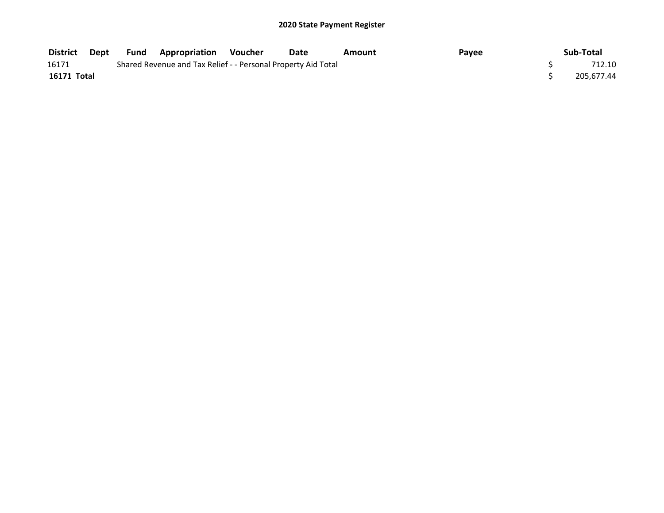| <b>District</b> | Dept | <b>Fund Appropriation Voucher</b>                             | <b>Date</b> | Amount | Payee | Sub-Total  |
|-----------------|------|---------------------------------------------------------------|-------------|--------|-------|------------|
| 16171           |      | Shared Revenue and Tax Relief - - Personal Property Aid Total |             |        |       | 712.10     |
| 16171 Total     |      |                                                               |             |        |       | 205.677.44 |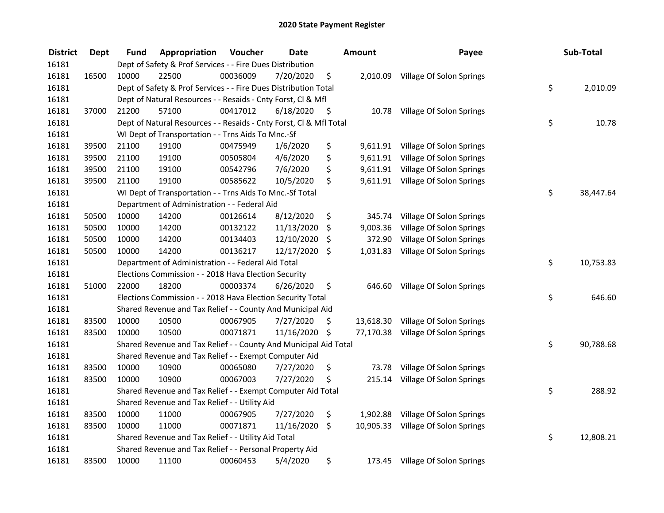| <b>District</b> | <b>Dept</b> | Fund  | Appropriation                                                      | Voucher  | <b>Date</b>   |      | <b>Amount</b> | Payee                              |    | Sub-Total |  |  |
|-----------------|-------------|-------|--------------------------------------------------------------------|----------|---------------|------|---------------|------------------------------------|----|-----------|--|--|
| 16181           |             |       | Dept of Safety & Prof Services - - Fire Dues Distribution          |          |               |      |               |                                    |    |           |  |  |
| 16181           | 16500       | 10000 | 22500                                                              | 00036009 | 7/20/2020     | \$   |               | 2,010.09 Village Of Solon Springs  |    |           |  |  |
| 16181           |             |       | Dept of Safety & Prof Services - - Fire Dues Distribution Total    |          |               |      |               |                                    | \$ | 2,010.09  |  |  |
| 16181           |             |       | Dept of Natural Resources - - Resaids - Cnty Forst, Cl & Mfl       |          |               |      |               |                                    |    |           |  |  |
| 16181           | 37000       | 21200 | 57100                                                              | 00417012 | 6/18/2020     | - \$ | 10.78         | Village Of Solon Springs           |    |           |  |  |
| 16181           |             |       | Dept of Natural Resources - - Resaids - Cnty Forst, CI & Mfl Total |          |               |      |               |                                    | \$ | 10.78     |  |  |
| 16181           |             |       | WI Dept of Transportation - - Trns Aids To Mnc.-Sf                 |          |               |      |               |                                    |    |           |  |  |
| 16181           | 39500       | 21100 | 19100                                                              | 00475949 | 1/6/2020      | \$   |               | 9,611.91 Village Of Solon Springs  |    |           |  |  |
| 16181           | 39500       | 21100 | 19100                                                              | 00505804 | 4/6/2020      | \$   |               | 9,611.91 Village Of Solon Springs  |    |           |  |  |
| 16181           | 39500       | 21100 | 19100                                                              | 00542796 | 7/6/2020      | \$   |               | 9,611.91 Village Of Solon Springs  |    |           |  |  |
| 16181           | 39500       | 21100 | 19100                                                              | 00585622 | 10/5/2020     | \$   |               | 9,611.91 Village Of Solon Springs  |    |           |  |  |
| 16181           |             |       | WI Dept of Transportation - - Trns Aids To Mnc.-Sf Total           |          |               |      |               |                                    | \$ | 38,447.64 |  |  |
| 16181           |             |       | Department of Administration - - Federal Aid                       |          |               |      |               |                                    |    |           |  |  |
| 16181           | 50500       | 10000 | 14200                                                              | 00126614 | 8/12/2020     | \$   | 345.74        | Village Of Solon Springs           |    |           |  |  |
| 16181           | 50500       | 10000 | 14200                                                              | 00132122 | 11/13/2020    | \$   | 9,003.36      | Village Of Solon Springs           |    |           |  |  |
| 16181           | 50500       | 10000 | 14200                                                              | 00134403 | 12/10/2020    | -S   | 372.90        | Village Of Solon Springs           |    |           |  |  |
| 16181           | 50500       | 10000 | 14200                                                              | 00136217 | 12/17/2020 \$ |      | 1,031.83      | Village Of Solon Springs           |    |           |  |  |
| 16181           |             |       | Department of Administration - - Federal Aid Total                 |          |               |      |               |                                    | \$ | 10,753.83 |  |  |
| 16181           |             |       | Elections Commission - - 2018 Hava Election Security               |          |               |      |               |                                    |    |           |  |  |
| 16181           | 51000       | 22000 | 18200                                                              | 00003374 | 6/26/2020     | \$   | 646.60        | Village Of Solon Springs           |    |           |  |  |
| 16181           |             |       | Elections Commission - - 2018 Hava Election Security Total         |          |               |      |               |                                    | \$ | 646.60    |  |  |
| 16181           |             |       | Shared Revenue and Tax Relief - - County And Municipal Aid         |          |               |      |               |                                    |    |           |  |  |
| 16181           | 83500       | 10000 | 10500                                                              | 00067905 | 7/27/2020     | \$   | 13,618.30     | Village Of Solon Springs           |    |           |  |  |
| 16181           | 83500       | 10000 | 10500                                                              | 00071871 | 11/16/2020    | - \$ | 77,170.38     | Village Of Solon Springs           |    |           |  |  |
| 16181           |             |       | Shared Revenue and Tax Relief - - County And Municipal Aid Total   |          |               |      |               |                                    | \$ | 90,788.68 |  |  |
| 16181           |             |       | Shared Revenue and Tax Relief - - Exempt Computer Aid              |          |               |      |               |                                    |    |           |  |  |
| 16181           | 83500       | 10000 | 10900                                                              | 00065080 | 7/27/2020     | \$   | 73.78         | Village Of Solon Springs           |    |           |  |  |
| 16181           | 83500       | 10000 | 10900                                                              | 00067003 | 7/27/2020     | \$   | 215.14        | Village Of Solon Springs           |    |           |  |  |
| 16181           |             |       | Shared Revenue and Tax Relief - - Exempt Computer Aid Total        |          |               |      |               |                                    | \$ | 288.92    |  |  |
| 16181           |             |       | Shared Revenue and Tax Relief - - Utility Aid                      |          |               |      |               |                                    |    |           |  |  |
| 16181           | 83500       | 10000 | 11000                                                              | 00067905 | 7/27/2020     | \$   | 1,902.88      | Village Of Solon Springs           |    |           |  |  |
| 16181           | 83500       | 10000 | 11000                                                              | 00071871 | 11/16/2020    | \$   |               | 10,905.33 Village Of Solon Springs |    |           |  |  |
| 16181           |             |       | Shared Revenue and Tax Relief - - Utility Aid Total                |          |               |      |               |                                    | \$ | 12,808.21 |  |  |
| 16181           |             |       | Shared Revenue and Tax Relief - - Personal Property Aid            |          |               |      |               |                                    |    |           |  |  |
| 16181           | 83500       | 10000 | 11100                                                              | 00060453 | 5/4/2020      | \$   |               | 173.45 Village Of Solon Springs    |    |           |  |  |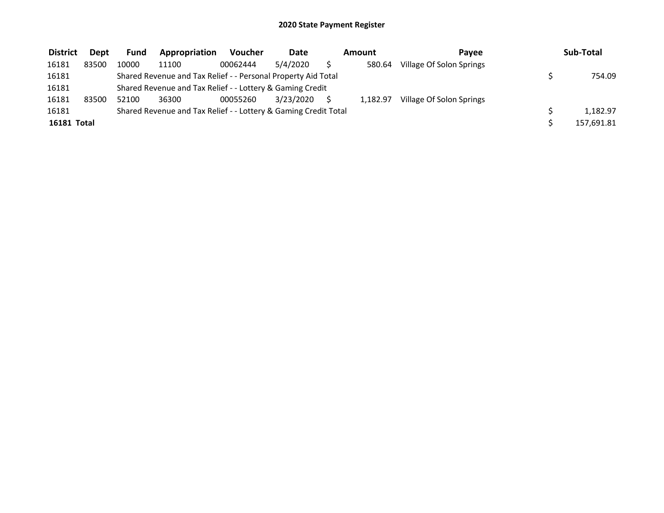| <b>District</b> | <b>Dept</b> | Fund  | Appropriation                                                   | <b>Voucher</b> | <b>Date</b> | Amount   | Pavee                    | Sub-Total  |
|-----------------|-------------|-------|-----------------------------------------------------------------|----------------|-------------|----------|--------------------------|------------|
| 16181           | 83500       | 10000 | 11100                                                           | 00062444       | 5/4/2020    | 580.64   | Village Of Solon Springs |            |
| 16181           |             |       | Shared Revenue and Tax Relief - - Personal Property Aid Total   |                |             |          |                          | 754.09     |
| 16181           |             |       | Shared Revenue and Tax Relief - - Lottery & Gaming Credit       |                |             |          |                          |            |
| 16181           | 83500       | 52100 | 36300                                                           | 00055260       | 3/23/2020   | 1.182.97 | Village Of Solon Springs |            |
| 16181           |             |       | Shared Revenue and Tax Relief - - Lottery & Gaming Credit Total |                |             |          |                          | 1.182.97   |
| 16181 Total     |             |       |                                                                 |                |             |          |                          | 157,691.81 |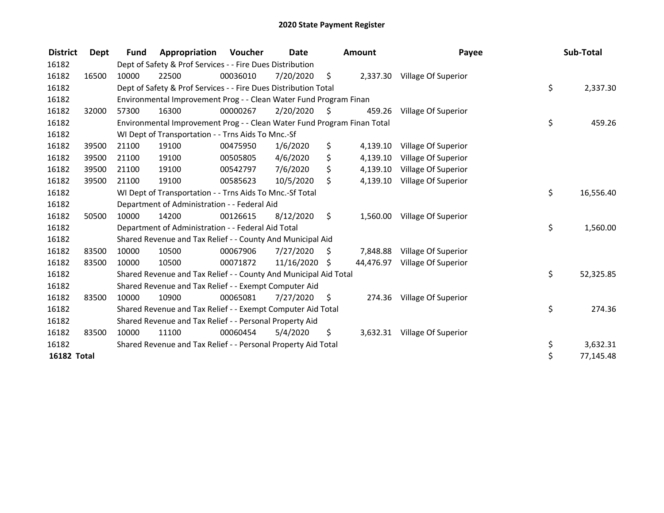| <b>District</b>    | Dept  | <b>Fund</b>                                                   | Appropriation                                                           | Voucher  | <b>Date</b><br>Amount |           |           | Payee                        |           | Sub-Total |
|--------------------|-------|---------------------------------------------------------------|-------------------------------------------------------------------------|----------|-----------------------|-----------|-----------|------------------------------|-----------|-----------|
| 16182              |       |                                                               | Dept of Safety & Prof Services - - Fire Dues Distribution               |          |                       |           |           |                              |           |           |
| 16182              | 16500 | 10000                                                         | 22500                                                                   | 00036010 | 7/20/2020             | \$        |           | 2,337.30 Village Of Superior |           |           |
| 16182              |       |                                                               | Dept of Safety & Prof Services - - Fire Dues Distribution Total         |          |                       |           |           |                              | \$        | 2,337.30  |
| 16182              |       |                                                               | Environmental Improvement Prog - - Clean Water Fund Program Finan       |          |                       |           |           |                              |           |           |
| 16182              | 32000 | 57300                                                         | 16300                                                                   | 00000267 | 2/20/2020             | - S       | 459.26    | Village Of Superior          |           |           |
| 16182              |       |                                                               | Environmental Improvement Prog - - Clean Water Fund Program Finan Total |          | \$                    | 459.26    |           |                              |           |           |
| 16182              |       |                                                               | WI Dept of Transportation - - Trns Aids To Mnc.-Sf                      |          |                       |           |           |                              |           |           |
| 16182              | 39500 | 21100                                                         | 19100                                                                   | 00475950 | 1/6/2020              | \$        | 4,139.10  | Village Of Superior          |           |           |
| 16182              | 39500 | 21100                                                         | 19100                                                                   | 00505805 | 4/6/2020              | \$        | 4,139.10  | Village Of Superior          |           |           |
| 16182              | 39500 | 21100                                                         | 19100                                                                   | 00542797 | 7/6/2020              | \$        | 4,139.10  | Village Of Superior          |           |           |
| 16182              | 39500 | 21100                                                         | 19100                                                                   | 00585623 | 10/5/2020             | \$        | 4,139.10  | Village Of Superior          |           |           |
| 16182              |       |                                                               | WI Dept of Transportation - - Trns Aids To Mnc.-Sf Total                |          | \$                    | 16,556.40 |           |                              |           |           |
| 16182              |       | Department of Administration - - Federal Aid                  |                                                                         |          |                       |           |           |                              |           |           |
| 16182              | 50500 | 10000                                                         | 14200                                                                   | 00126615 | 8/12/2020             | \$        | 1,560.00  | Village Of Superior          |           |           |
| 16182              |       |                                                               | Department of Administration - - Federal Aid Total                      |          |                       |           |           |                              | \$        | 1,560.00  |
| 16182              |       |                                                               | Shared Revenue and Tax Relief - - County And Municipal Aid              |          |                       |           |           |                              |           |           |
| 16182              | 83500 | 10000                                                         | 10500                                                                   | 00067906 | 7/27/2020             | \$        | 7.848.88  | Village Of Superior          |           |           |
| 16182              | 83500 | 10000                                                         | 10500                                                                   | 00071872 | 11/16/2020            | \$        | 44,476.97 | Village Of Superior          |           |           |
| 16182              |       |                                                               | Shared Revenue and Tax Relief - - County And Municipal Aid Total        |          |                       |           |           |                              | \$        | 52,325.85 |
| 16182              |       |                                                               | Shared Revenue and Tax Relief - - Exempt Computer Aid                   |          |                       |           |           |                              |           |           |
| 16182              | 83500 | 10000                                                         | 10900                                                                   | 00065081 | 7/27/2020             | \$        | 274.36    | Village Of Superior          |           |           |
| 16182              |       |                                                               | Shared Revenue and Tax Relief - - Exempt Computer Aid Total             |          |                       |           |           |                              | \$        | 274.36    |
| 16182              |       | Shared Revenue and Tax Relief - - Personal Property Aid       |                                                                         |          |                       |           |           |                              |           |           |
| 16182              | 83500 | 10000                                                         | 11100                                                                   | 00060454 | 5/4/2020              | \$        | 3,632.31  | Village Of Superior          |           |           |
| 16182              |       | Shared Revenue and Tax Relief - - Personal Property Aid Total |                                                                         |          |                       |           |           |                              | \$        | 3,632.31  |
| <b>16182 Total</b> |       |                                                               |                                                                         |          |                       |           |           | \$                           | 77,145.48 |           |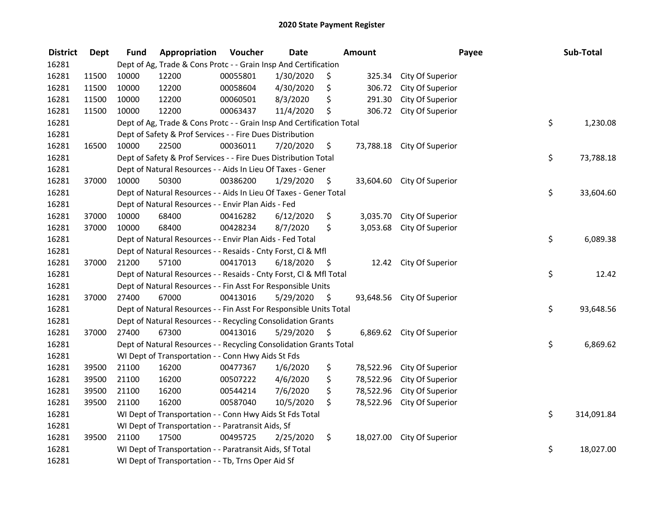| <b>District</b> | <b>Dept</b> | <b>Fund</b>                                              | Appropriation                                                         | Voucher  | <b>Date</b> |      | Amount    | Payee                      |    | Sub-Total  |
|-----------------|-------------|----------------------------------------------------------|-----------------------------------------------------------------------|----------|-------------|------|-----------|----------------------------|----|------------|
| 16281           |             |                                                          | Dept of Ag, Trade & Cons Protc - - Grain Insp And Certification       |          |             |      |           |                            |    |            |
| 16281           | 11500       | 10000                                                    | 12200                                                                 | 00055801 | 1/30/2020   | \$   | 325.34    | City Of Superior           |    |            |
| 16281           | 11500       | 10000                                                    | 12200                                                                 | 00058604 | 4/30/2020   | \$   | 306.72    | City Of Superior           |    |            |
| 16281           | 11500       | 10000                                                    | 12200                                                                 | 00060501 | 8/3/2020    | \$   | 291.30    | City Of Superior           |    |            |
| 16281           | 11500       | 10000                                                    | 12200                                                                 | 00063437 | 11/4/2020   | \$   | 306.72    | City Of Superior           |    |            |
| 16281           |             |                                                          | Dept of Ag, Trade & Cons Protc - - Grain Insp And Certification Total |          |             |      |           |                            | \$ | 1,230.08   |
| 16281           |             |                                                          | Dept of Safety & Prof Services - - Fire Dues Distribution             |          |             |      |           |                            |    |            |
| 16281           | 16500       | 10000                                                    | 22500                                                                 | 00036011 | 7/20/2020   | \$   |           | 73,788.18 City Of Superior |    |            |
| 16281           |             |                                                          | Dept of Safety & Prof Services - - Fire Dues Distribution Total       |          |             |      |           |                            | \$ | 73,788.18  |
| 16281           |             |                                                          | Dept of Natural Resources - - Aids In Lieu Of Taxes - Gener           |          |             |      |           |                            |    |            |
| 16281           | 37000       | 10000                                                    | 50300                                                                 | 00386200 | 1/29/2020   | \$   |           | 33,604.60 City Of Superior |    |            |
| 16281           |             |                                                          | Dept of Natural Resources - - Aids In Lieu Of Taxes - Gener Total     |          |             |      |           |                            | \$ | 33,604.60  |
| 16281           |             |                                                          | Dept of Natural Resources - - Envir Plan Aids - Fed                   |          |             |      |           |                            |    |            |
| 16281           | 37000       | 10000                                                    | 68400                                                                 | 00416282 | 6/12/2020   | \$   | 3,035.70  | City Of Superior           |    |            |
| 16281           | 37000       | 10000                                                    | 68400                                                                 | 00428234 | 8/7/2020    | \$   | 3,053.68  | City Of Superior           |    |            |
| 16281           |             |                                                          | Dept of Natural Resources - - Envir Plan Aids - Fed Total             |          |             |      |           |                            | \$ | 6,089.38   |
| 16281           |             |                                                          | Dept of Natural Resources - - Resaids - Cnty Forst, Cl & Mfl          |          |             |      |           |                            |    |            |
| 16281           | 37000       | 21200                                                    | 57100                                                                 | 00417013 | 6/18/2020   | - \$ | 12.42     | City Of Superior           |    |            |
| 16281           |             |                                                          | Dept of Natural Resources - - Resaids - Cnty Forst, Cl & Mfl Total    |          |             |      |           |                            | \$ | 12.42      |
| 16281           |             |                                                          | Dept of Natural Resources - - Fin Asst For Responsible Units          |          |             |      |           |                            |    |            |
| 16281           | 37000       | 27400                                                    | 67000                                                                 | 00413016 | 5/29/2020   | - \$ |           | 93,648.56 City Of Superior |    |            |
| 16281           |             |                                                          | Dept of Natural Resources - - Fin Asst For Responsible Units Total    |          |             |      |           |                            | \$ | 93,648.56  |
| 16281           |             |                                                          | Dept of Natural Resources - - Recycling Consolidation Grants          |          |             |      |           |                            |    |            |
| 16281           | 37000       | 27400                                                    | 67300                                                                 | 00413016 | 5/29/2020   | \$   |           | 6,869.62 City Of Superior  |    |            |
| 16281           |             |                                                          | Dept of Natural Resources - - Recycling Consolidation Grants Total    |          |             |      |           |                            | \$ | 6,869.62   |
| 16281           |             |                                                          | WI Dept of Transportation - - Conn Hwy Aids St Fds                    |          |             |      |           |                            |    |            |
| 16281           | 39500       | 21100                                                    | 16200                                                                 | 00477367 | 1/6/2020    | \$   | 78,522.96 | City Of Superior           |    |            |
| 16281           | 39500       | 21100                                                    | 16200                                                                 | 00507222 | 4/6/2020    | \$   | 78,522.96 | City Of Superior           |    |            |
| 16281           | 39500       | 21100                                                    | 16200                                                                 | 00544214 | 7/6/2020    | \$   | 78,522.96 | City Of Superior           |    |            |
| 16281           | 39500       | 21100                                                    | 16200                                                                 | 00587040 | 10/5/2020   | \$   | 78,522.96 | City Of Superior           |    |            |
| 16281           |             |                                                          | WI Dept of Transportation - - Conn Hwy Aids St Fds Total              |          |             |      |           |                            | \$ | 314,091.84 |
| 16281           |             |                                                          | WI Dept of Transportation - - Paratransit Aids, Sf                    |          |             |      |           |                            |    |            |
| 16281           | 39500       | 21100                                                    | 17500                                                                 | 00495725 | 2/25/2020   | \$   | 18,027.00 | City Of Superior           |    |            |
| 16281           |             | WI Dept of Transportation - - Paratransit Aids, Sf Total |                                                                       |          |             |      |           |                            |    | 18,027.00  |
| 16281           |             |                                                          | WI Dept of Transportation - - Tb, Trns Oper Aid Sf                    |          |             |      |           |                            |    |            |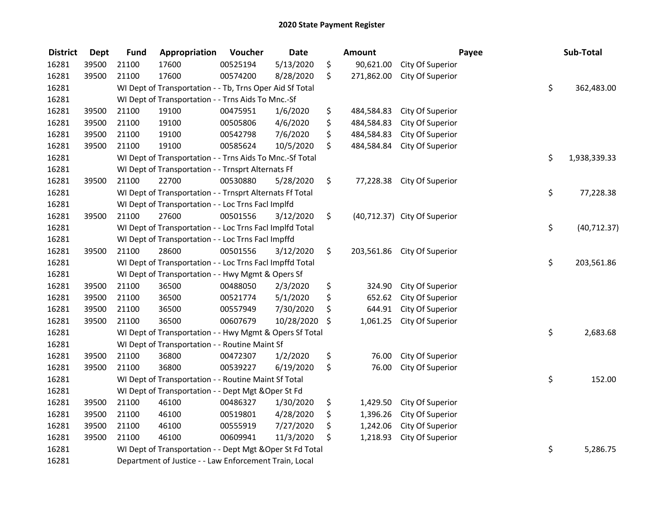| <b>District</b> | <b>Dept</b> | <b>Fund</b> | Appropriation                                             | Voucher  | <b>Date</b> | <b>Amount</b>    |                              | Payee | Sub-Total          |
|-----------------|-------------|-------------|-----------------------------------------------------------|----------|-------------|------------------|------------------------------|-------|--------------------|
| 16281           | 39500       | 21100       | 17600                                                     | 00525194 | 5/13/2020   | \$<br>90,621.00  | City Of Superior             |       |                    |
| 16281           | 39500       | 21100       | 17600                                                     | 00574200 | 8/28/2020   | \$<br>271,862.00 | City Of Superior             |       |                    |
| 16281           |             |             | WI Dept of Transportation - - Tb, Trns Oper Aid Sf Total  |          |             |                  |                              |       | \$<br>362,483.00   |
| 16281           |             |             | WI Dept of Transportation - - Trns Aids To Mnc.-Sf        |          |             |                  |                              |       |                    |
| 16281           | 39500       | 21100       | 19100                                                     | 00475951 | 1/6/2020    | \$<br>484,584.83 | City Of Superior             |       |                    |
| 16281           | 39500       | 21100       | 19100                                                     | 00505806 | 4/6/2020    | \$<br>484,584.83 | City Of Superior             |       |                    |
| 16281           | 39500       | 21100       | 19100                                                     | 00542798 | 7/6/2020    | \$<br>484,584.83 | City Of Superior             |       |                    |
| 16281           | 39500       | 21100       | 19100                                                     | 00585624 | 10/5/2020   | \$<br>484,584.84 | City Of Superior             |       |                    |
| 16281           |             |             | WI Dept of Transportation - - Trns Aids To Mnc.-Sf Total  |          |             |                  |                              | \$    | 1,938,339.33       |
| 16281           |             |             | WI Dept of Transportation - - Trnsprt Alternats Ff        |          |             |                  |                              |       |                    |
| 16281           | 39500       | 21100       | 22700                                                     | 00530880 | 5/28/2020   | \$<br>77,228.38  | City Of Superior             |       |                    |
| 16281           |             |             | WI Dept of Transportation - - Trnsprt Alternats Ff Total  |          |             |                  |                              |       | \$<br>77,228.38    |
| 16281           |             |             | WI Dept of Transportation - - Loc Trns Facl Implfd        |          |             |                  |                              |       |                    |
| 16281           | 39500       | 21100       | 27600                                                     | 00501556 | 3/12/2020   | \$               | (40,712.37) City Of Superior |       |                    |
| 16281           |             |             | WI Dept of Transportation - - Loc Trns Facl Implfd Total  |          |             |                  |                              |       | \$<br>(40, 712.37) |
| 16281           |             |             | WI Dept of Transportation - - Loc Trns Facl Impffd        |          |             |                  |                              |       |                    |
| 16281           | 39500       | 21100       | 28600                                                     | 00501556 | 3/12/2020   | \$<br>203,561.86 | City Of Superior             |       |                    |
| 16281           |             |             | WI Dept of Transportation - - Loc Trns Facl Impffd Total  |          |             |                  |                              |       | \$<br>203,561.86   |
| 16281           |             |             | WI Dept of Transportation - - Hwy Mgmt & Opers Sf         |          |             |                  |                              |       |                    |
| 16281           | 39500       | 21100       | 36500                                                     | 00488050 | 2/3/2020    | \$<br>324.90     | City Of Superior             |       |                    |
| 16281           | 39500       | 21100       | 36500                                                     | 00521774 | 5/1/2020    | \$<br>652.62     | City Of Superior             |       |                    |
| 16281           | 39500       | 21100       | 36500                                                     | 00557949 | 7/30/2020   | \$<br>644.91     | City Of Superior             |       |                    |
| 16281           | 39500       | 21100       | 36500                                                     | 00607679 | 10/28/2020  | \$<br>1,061.25   | City Of Superior             |       |                    |
| 16281           |             |             | WI Dept of Transportation - - Hwy Mgmt & Opers Sf Total   |          |             |                  |                              |       | \$<br>2,683.68     |
| 16281           |             |             | WI Dept of Transportation - - Routine Maint Sf            |          |             |                  |                              |       |                    |
| 16281           | 39500       | 21100       | 36800                                                     | 00472307 | 1/2/2020    | \$<br>76.00      | City Of Superior             |       |                    |
| 16281           | 39500       | 21100       | 36800                                                     | 00539227 | 6/19/2020   | \$<br>76.00      | City Of Superior             |       |                    |
| 16281           |             |             | WI Dept of Transportation - - Routine Maint Sf Total      |          |             |                  |                              | \$    | 152.00             |
| 16281           |             |             | WI Dept of Transportation - - Dept Mgt & Oper St Fd       |          |             |                  |                              |       |                    |
| 16281           | 39500       | 21100       | 46100                                                     | 00486327 | 1/30/2020   | \$<br>1,429.50   | City Of Superior             |       |                    |
| 16281           | 39500       | 21100       | 46100                                                     | 00519801 | 4/28/2020   | \$<br>1,396.26   | City Of Superior             |       |                    |
| 16281           | 39500       | 21100       | 46100                                                     | 00555919 | 7/27/2020   | \$<br>1,242.06   | City Of Superior             |       |                    |
| 16281           | 39500       | 21100       | 46100                                                     | 00609941 | 11/3/2020   | \$<br>1,218.93   | City Of Superior             |       |                    |
| 16281           |             |             | WI Dept of Transportation - - Dept Mgt & Oper St Fd Total |          |             |                  |                              | \$    | 5,286.75           |
| 16281           |             |             | Department of Justice - - Law Enforcement Train, Local    |          |             |                  |                              |       |                    |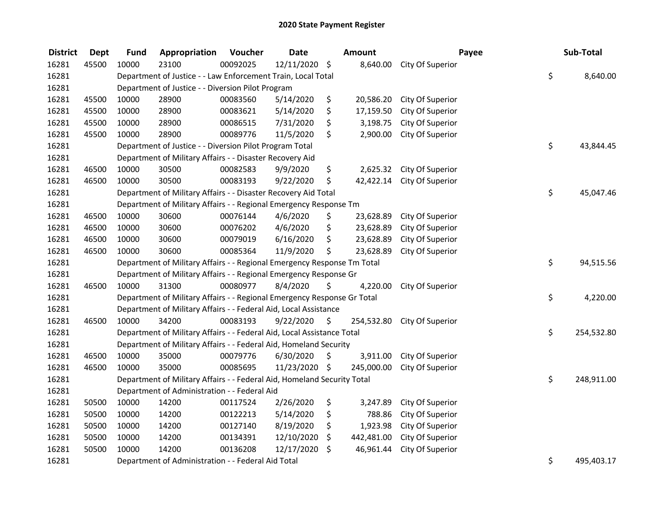| <b>District</b> | <b>Dept</b> | <b>Fund</b>                                                       | Appropriation                                                           | Voucher  | <b>Date</b>   |    | <b>Amount</b> | Payee            |    | Sub-Total  |
|-----------------|-------------|-------------------------------------------------------------------|-------------------------------------------------------------------------|----------|---------------|----|---------------|------------------|----|------------|
| 16281           | 45500       | 10000                                                             | 23100                                                                   | 00092025 | 12/11/2020 \$ |    | 8,640.00      | City Of Superior |    |            |
| 16281           |             |                                                                   | Department of Justice - - Law Enforcement Train, Local Total            |          |               |    |               |                  | \$ | 8,640.00   |
| 16281           |             |                                                                   | Department of Justice - - Diversion Pilot Program                       |          |               |    |               |                  |    |            |
| 16281           | 45500       | 10000                                                             | 28900                                                                   | 00083560 | 5/14/2020     | \$ | 20,586.20     | City Of Superior |    |            |
| 16281           | 45500       | 10000                                                             | 28900                                                                   | 00083621 | 5/14/2020     | \$ | 17,159.50     | City Of Superior |    |            |
| 16281           | 45500       | 10000                                                             | 28900                                                                   | 00086515 | 7/31/2020     | \$ | 3,198.75      | City Of Superior |    |            |
| 16281           | 45500       | 10000                                                             | 28900                                                                   | 00089776 | 11/5/2020     | \$ | 2,900.00      | City Of Superior |    |            |
| 16281           |             |                                                                   | Department of Justice - - Diversion Pilot Program Total                 |          |               |    |               |                  | \$ | 43,844.45  |
| 16281           |             |                                                                   | Department of Military Affairs - - Disaster Recovery Aid                |          |               |    |               |                  |    |            |
| 16281           | 46500       | 10000                                                             | 30500                                                                   | 00082583 | 9/9/2020      | \$ | 2,625.32      | City Of Superior |    |            |
| 16281           | 46500       | 10000                                                             | 30500                                                                   | 00083193 | 9/22/2020     | \$ | 42,422.14     | City Of Superior |    |            |
| 16281           |             |                                                                   | Department of Military Affairs - - Disaster Recovery Aid Total          |          |               |    |               |                  | \$ | 45,047.46  |
| 16281           |             |                                                                   | Department of Military Affairs - - Regional Emergency Response Tm       |          |               |    |               |                  |    |            |
| 16281           | 46500       | 10000                                                             | 30600                                                                   | 00076144 | 4/6/2020      | \$ | 23,628.89     | City Of Superior |    |            |
| 16281           | 46500       | 10000                                                             | 30600                                                                   | 00076202 | 4/6/2020      | \$ | 23,628.89     | City Of Superior |    |            |
| 16281           | 46500       | 10000                                                             | 30600                                                                   | 00079019 | 6/16/2020     | \$ | 23,628.89     | City Of Superior |    |            |
| 16281           | 46500       | 10000                                                             | 30600                                                                   | 00085364 | 11/9/2020     | \$ | 23,628.89     | City Of Superior |    |            |
| 16281           |             |                                                                   | Department of Military Affairs - - Regional Emergency Response Tm Total |          |               |    |               |                  | \$ | 94,515.56  |
| 16281           |             | Department of Military Affairs - - Regional Emergency Response Gr |                                                                         |          |               |    |               |                  |    |            |
| 16281           | 46500       | 10000                                                             | 31300                                                                   | 00080977 | 8/4/2020      | \$ | 4,220.00      | City Of Superior |    |            |
| 16281           |             |                                                                   | Department of Military Affairs - - Regional Emergency Response Gr Total |          |               |    |               |                  | \$ | 4,220.00   |
| 16281           |             |                                                                   | Department of Military Affairs - - Federal Aid, Local Assistance        |          |               |    |               |                  |    |            |
| 16281           | 46500       | 10000                                                             | 34200                                                                   | 00083193 | 9/22/2020     | \$ | 254,532.80    | City Of Superior |    |            |
| 16281           |             |                                                                   | Department of Military Affairs - - Federal Aid, Local Assistance Total  |          |               |    |               |                  | \$ | 254,532.80 |
| 16281           |             |                                                                   | Department of Military Affairs - - Federal Aid, Homeland Security       |          |               |    |               |                  |    |            |
| 16281           | 46500       | 10000                                                             | 35000                                                                   | 00079776 | 6/30/2020     | \$ | 3,911.00      | City Of Superior |    |            |
| 16281           | 46500       | 10000                                                             | 35000                                                                   | 00085695 | 11/23/2020 \$ |    | 245,000.00    | City Of Superior |    |            |
| 16281           |             |                                                                   | Department of Military Affairs - - Federal Aid, Homeland Security Total |          |               |    |               |                  | \$ | 248,911.00 |
| 16281           |             |                                                                   | Department of Administration - - Federal Aid                            |          |               |    |               |                  |    |            |
| 16281           | 50500       | 10000                                                             | 14200                                                                   | 00117524 | 2/26/2020     | \$ | 3,247.89      | City Of Superior |    |            |
| 16281           | 50500       | 10000                                                             | 14200                                                                   | 00122213 | 5/14/2020     | \$ | 788.86        | City Of Superior |    |            |
| 16281           | 50500       | 10000                                                             | 14200                                                                   | 00127140 | 8/19/2020     | \$ | 1,923.98      | City Of Superior |    |            |
| 16281           | 50500       | 10000                                                             | 14200                                                                   | 00134391 | 12/10/2020    | \$ | 442,481.00    | City Of Superior |    |            |
| 16281           | 50500       | 10000                                                             | 14200                                                                   | 00136208 | 12/17/2020    | \$ | 46,961.44     | City Of Superior |    |            |
| 16281           |             |                                                                   | Department of Administration - - Federal Aid Total                      |          |               |    |               |                  | \$ | 495,403.17 |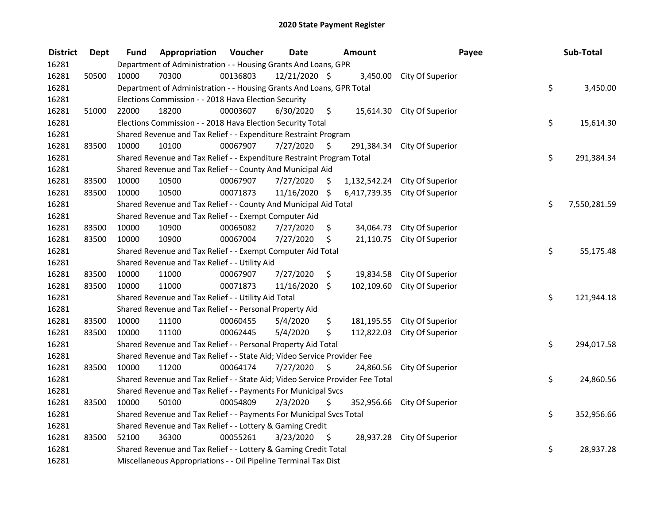| <b>District</b> | <b>Dept</b> | <b>Fund</b>                                                 | Appropriation                                                                 | Voucher  | <b>Date</b>   |         | Amount       | Payee                         |    | Sub-Total    |  |
|-----------------|-------------|-------------------------------------------------------------|-------------------------------------------------------------------------------|----------|---------------|---------|--------------|-------------------------------|----|--------------|--|
| 16281           |             |                                                             | Department of Administration - - Housing Grants And Loans, GPR                |          |               |         |              |                               |    |              |  |
| 16281           | 50500       | 10000                                                       | 70300                                                                         | 00136803 | 12/21/2020 \$ |         |              | 3,450.00 City Of Superior     |    |              |  |
| 16281           |             |                                                             | Department of Administration - - Housing Grants And Loans, GPR Total          |          |               |         |              |                               | \$ | 3,450.00     |  |
| 16281           |             |                                                             | Elections Commission - - 2018 Hava Election Security                          |          |               |         |              |                               |    |              |  |
| 16281           | 51000       | 22000                                                       | 18200                                                                         | 00003607 | 6/30/2020     | $\zeta$ |              | 15,614.30 City Of Superior    |    |              |  |
| 16281           |             |                                                             | Elections Commission - - 2018 Hava Election Security Total                    |          |               |         |              |                               | \$ | 15,614.30    |  |
| 16281           |             |                                                             | Shared Revenue and Tax Relief - - Expenditure Restraint Program               |          |               |         |              |                               |    |              |  |
| 16281           | 83500       | 10000                                                       | 10100                                                                         | 00067907 | 7/27/2020     | - \$    |              | 291,384.34 City Of Superior   |    |              |  |
| 16281           |             |                                                             | Shared Revenue and Tax Relief - - Expenditure Restraint Program Total         |          |               |         |              |                               | \$ | 291,384.34   |  |
| 16281           |             |                                                             | Shared Revenue and Tax Relief - - County And Municipal Aid                    |          |               |         |              |                               |    |              |  |
| 16281           | 83500       | 10000                                                       | 10500                                                                         | 00067907 | 7/27/2020     | \$      | 1,132,542.24 | City Of Superior              |    |              |  |
| 16281           | 83500       | 10000                                                       | 10500                                                                         | 00071873 | 11/16/2020 \$ |         |              | 6,417,739.35 City Of Superior |    |              |  |
| 16281           |             |                                                             | Shared Revenue and Tax Relief - - County And Municipal Aid Total              |          |               |         |              |                               | \$ | 7,550,281.59 |  |
| 16281           |             |                                                             | Shared Revenue and Tax Relief - - Exempt Computer Aid                         |          |               |         |              |                               |    |              |  |
| 16281           | 83500       | 10000                                                       | 10900                                                                         | 00065082 | 7/27/2020     | \$      | 34,064.73    | City Of Superior              |    |              |  |
| 16281           | 83500       | 10000                                                       | 10900                                                                         | 00067004 | 7/27/2020     | \$      |              | 21,110.75 City Of Superior    |    |              |  |
| 16281           |             | Shared Revenue and Tax Relief - - Exempt Computer Aid Total |                                                                               |          |               |         |              |                               |    | 55,175.48    |  |
| 16281           |             |                                                             | Shared Revenue and Tax Relief - - Utility Aid                                 |          |               |         |              |                               |    |              |  |
| 16281           | 83500       | 10000                                                       | 11000                                                                         | 00067907 | 7/27/2020     | \$      |              | 19,834.58 City Of Superior    |    |              |  |
| 16281           | 83500       | 10000                                                       | 11000                                                                         | 00071873 | 11/16/2020    | \$      |              | 102,109.60 City Of Superior   |    |              |  |
| 16281           |             |                                                             | Shared Revenue and Tax Relief - - Utility Aid Total                           |          |               |         |              |                               | \$ | 121,944.18   |  |
| 16281           |             |                                                             | Shared Revenue and Tax Relief - - Personal Property Aid                       |          |               |         |              |                               |    |              |  |
| 16281           | 83500       | 10000                                                       | 11100                                                                         | 00060455 | 5/4/2020      | \$      | 181,195.55   | City Of Superior              |    |              |  |
| 16281           | 83500       | 10000                                                       | 11100                                                                         | 00062445 | 5/4/2020      | \$      | 112,822.03   | City Of Superior              |    |              |  |
| 16281           |             |                                                             | Shared Revenue and Tax Relief - - Personal Property Aid Total                 |          |               |         |              |                               | \$ | 294,017.58   |  |
| 16281           |             |                                                             | Shared Revenue and Tax Relief - - State Aid; Video Service Provider Fee       |          |               |         |              |                               |    |              |  |
| 16281           | 83500       | 10000                                                       | 11200                                                                         | 00064174 | 7/27/2020     | \$      | 24,860.56    | City Of Superior              |    |              |  |
| 16281           |             |                                                             | Shared Revenue and Tax Relief - - State Aid; Video Service Provider Fee Total |          |               |         |              |                               | \$ | 24,860.56    |  |
| 16281           |             |                                                             | Shared Revenue and Tax Relief - - Payments For Municipal Svcs                 |          |               |         |              |                               |    |              |  |
| 16281           | 83500       | 10000                                                       | 50100                                                                         | 00054809 | 2/3/2020      | \$      |              | 352,956.66 City Of Superior   |    |              |  |
| 16281           |             |                                                             | Shared Revenue and Tax Relief - - Payments For Municipal Svcs Total           |          |               |         |              |                               | \$ | 352,956.66   |  |
| 16281           |             |                                                             | Shared Revenue and Tax Relief - - Lottery & Gaming Credit                     |          |               |         |              |                               |    |              |  |
| 16281           | 83500       | 52100                                                       | 36300                                                                         | 00055261 | 3/23/2020     | - \$    |              | 28,937.28 City Of Superior    |    |              |  |
| 16281           |             |                                                             | Shared Revenue and Tax Relief - - Lottery & Gaming Credit Total               |          |               |         |              |                               | \$ | 28,937.28    |  |
| 16281           |             |                                                             | Miscellaneous Appropriations - - Oil Pipeline Terminal Tax Dist               |          |               |         |              |                               |    |              |  |